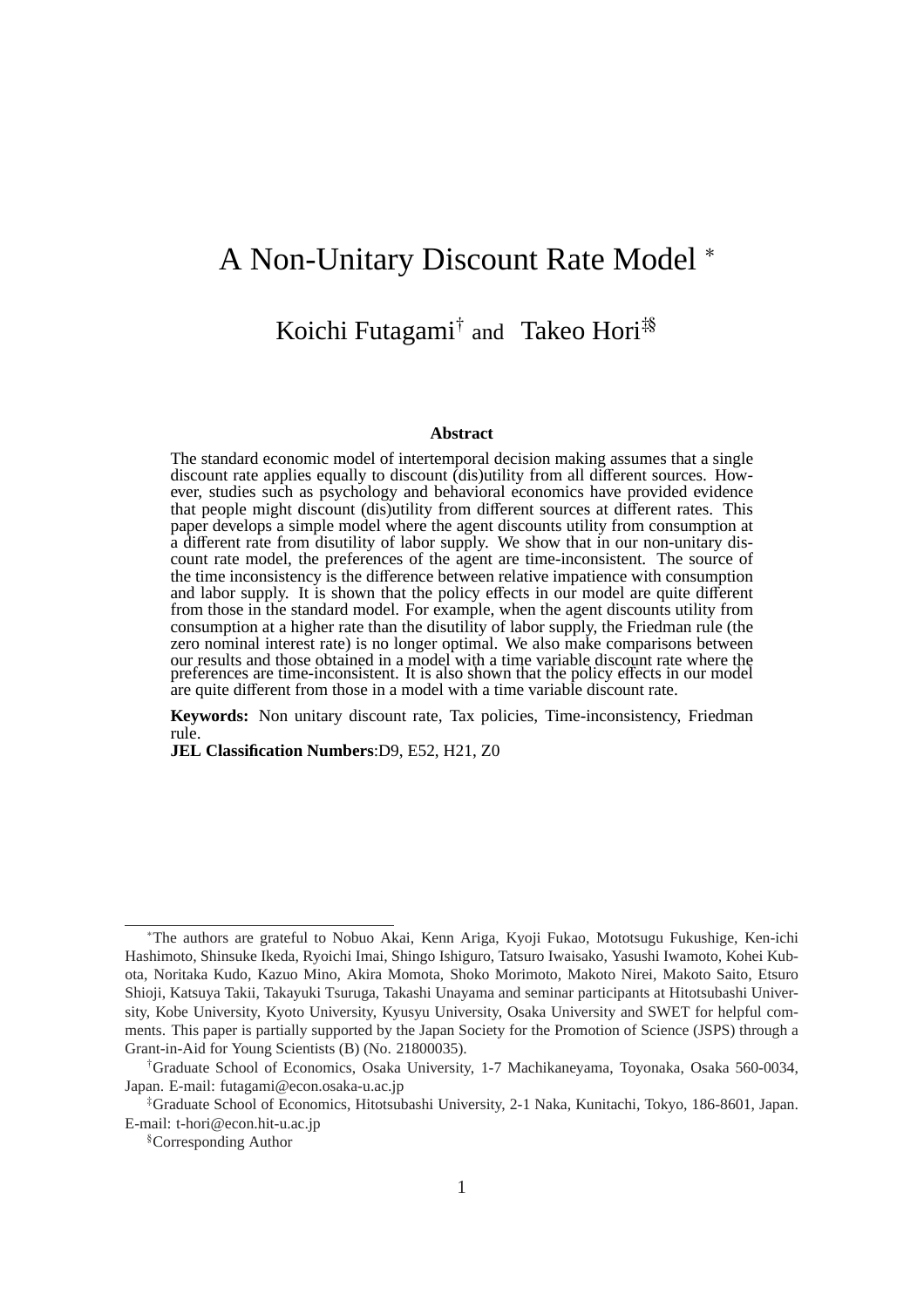# A Non-Unitary Discount Rate Model <sup>∗</sup>

# Koichi Futagami<sup>†</sup> and Takeo Hori<sup>‡§</sup>

#### **Abstract**

The standard economic model of intertemporal decision making assumes that a single discount rate applies equally to discount (dis)utility from all different sources. However, studies such as psychology and behavioral economics have provided evidence that people might discount (dis)utility from different sources at different rates. This paper develops a simple model where the agent discounts utility from consumption at a different rate from disutility of labor supply. We show that in our non-unitary discount rate model, the preferences of the agent are time-inconsistent. The source of the time inconsistency is the difference between relative impatience with consumption and labor supply. It is shown that the policy effects in our model are quite different from those in the standard model. For example, when the agent discounts utility from consumption at a higher rate than the disutility of labor supply, the Friedman rule (the zero nominal interest rate) is no longer optimal. We also make comparisons between our results and those obtained in a model with a time variable discount rate where the preferences are time-inconsistent. It is also shown that the policy effects in our model are quite different from those in a model with a time variable discount rate.

**Keywords:** Non unitary discount rate, Tax policies, Time-inconsistency, Friedman rule.

**JEL Classification Numbers**:D9, E52, H21, Z0

<sup>∗</sup>The authors are grateful to Nobuo Akai, Kenn Ariga, Kyoji Fukao, Mototsugu Fukushige, Ken-ichi Hashimoto, Shinsuke Ikeda, Ryoichi Imai, Shingo Ishiguro, Tatsuro Iwaisako, Yasushi Iwamoto, Kohei Kubota, Noritaka Kudo, Kazuo Mino, Akira Momota, Shoko Morimoto, Makoto Nirei, Makoto Saito, Etsuro Shioji, Katsuya Takii, Takayuki Tsuruga, Takashi Unayama and seminar participants at Hitotsubashi University, Kobe University, Kyoto University, Kyusyu University, Osaka University and SWET for helpful comments. This paper is partially supported by the Japan Society for the Promotion of Science (JSPS) through a Grant-in-Aid for Young Scientists (B) (No. 21800035).

<sup>†</sup>Graduate School of Economics, Osaka University, 1-7 Machikaneyama, Toyonaka, Osaka 560-0034, Japan. E-mail: futagami@econ.osaka-u.ac.jp

<sup>‡</sup>Graduate School of Economics, Hitotsubashi University, 2-1 Naka, Kunitachi, Tokyo, 186-8601, Japan. E-mail: t-hori@econ.hit-u.ac.jp

<sup>§</sup>Corresponding Author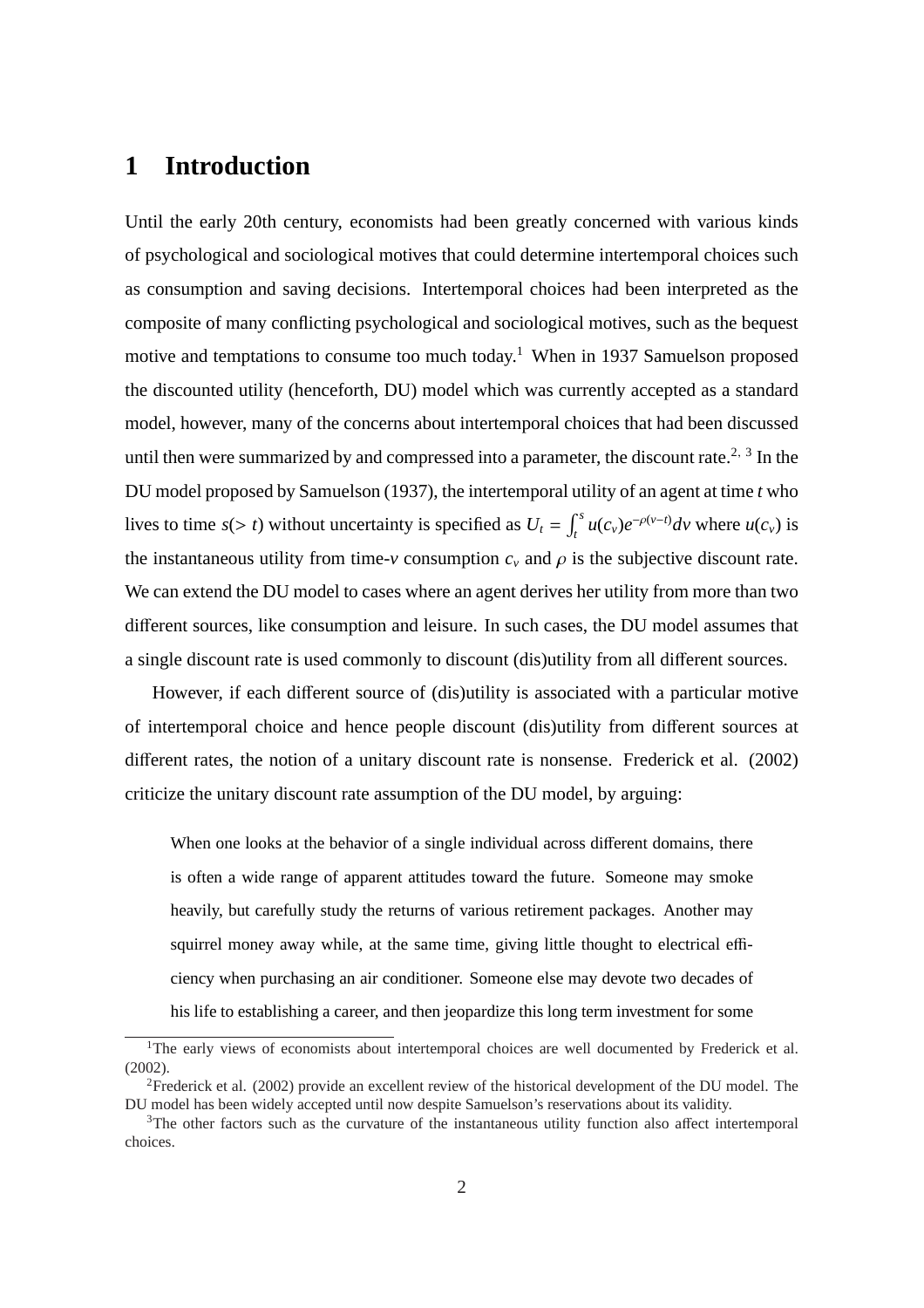### **1 Introduction**

Until the early 20th century, economists had been greatly concerned with various kinds of psychological and sociological motives that could determine intertemporal choices such as consumption and saving decisions. Intertemporal choices had been interpreted as the composite of many conflicting psychological and sociological motives, such as the bequest motive and temptations to consume too much today.<sup>1</sup> When in 1937 Samuelson proposed the discounted utility (henceforth, DU) model which was currently accepted as a standard model, however, many of the concerns about intertemporal choices that had been discussed until then were summarized by and compressed into a parameter, the discount rate.<sup>2, 3</sup> In the DU model proposed by Samuelson (1937), the intertemporal utility of an agent at time *t* who lives to time  $s(> t)$  without uncertainty is specified as  $U_t =$ R *s*  $\int_t^s u(c_v) e^{-\rho(v-t)} dv$  where  $u(c_v)$  is the instantaneous utility from time- $\nu$  consumption  $c<sub>v</sub>$  and  $\rho$  is the subjective discount rate. We can extend the DU model to cases where an agent derives her utility from more than two different sources, like consumption and leisure. In such cases, the DU model assumes that a single discount rate is used commonly to discount (dis)utility from all different sources.

However, if each different source of (dis)utility is associated with a particular motive of intertemporal choice and hence people discount (dis)utility from different sources at different rates, the notion of a unitary discount rate is nonsense. Frederick et al. (2002) criticize the unitary discount rate assumption of the DU model, by arguing:

When one looks at the behavior of a single individual across different domains, there is often a wide range of apparent attitudes toward the future. Someone may smoke heavily, but carefully study the returns of various retirement packages. Another may squirrel money away while, at the same time, giving little thought to electrical efficiency when purchasing an air conditioner. Someone else may devote two decades of his life to establishing a career, and then jeopardize this long term investment for some

<sup>&</sup>lt;sup>1</sup>The early views of economists about intertemporal choices are well documented by Frederick et al. (2002).

<sup>2</sup>Frederick et al. (2002) provide an excellent review of the historical development of the DU model. The DU model has been widely accepted until now despite Samuelson's reservations about its validity.

<sup>&</sup>lt;sup>3</sup>The other factors such as the curvature of the instantaneous utility function also affect intertemporal choices.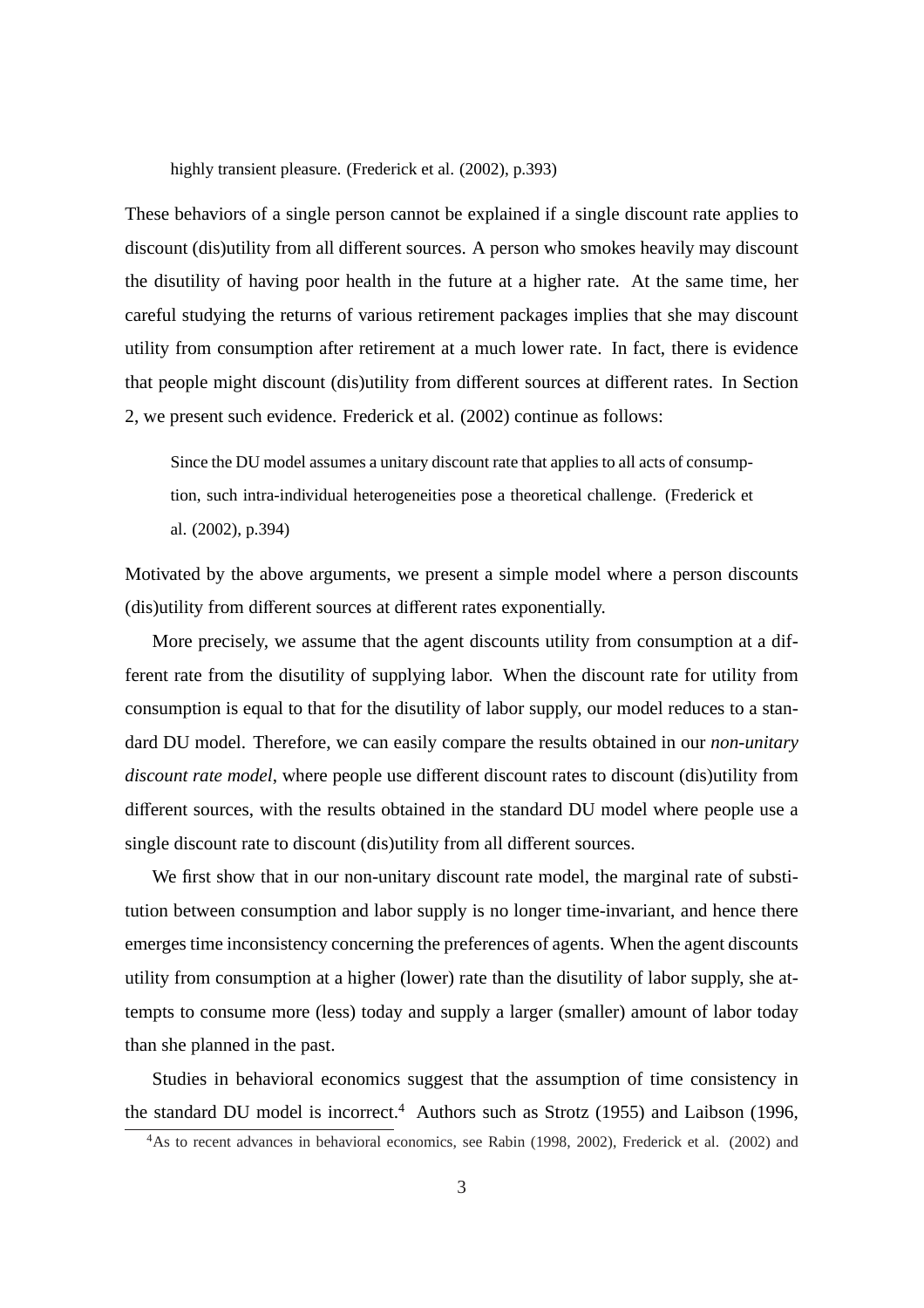highly transient pleasure. (Frederick et al. (2002), p.393)

These behaviors of a single person cannot be explained if a single discount rate applies to discount (dis)utility from all different sources. A person who smokes heavily may discount the disutility of having poor health in the future at a higher rate. At the same time, her careful studying the returns of various retirement packages implies that she may discount utility from consumption after retirement at a much lower rate. In fact, there is evidence that people might discount (dis)utility from different sources at different rates. In Section 2, we present such evidence. Frederick et al. (2002) continue as follows:

Since the DU model assumes a unitary discount rate that applies to all acts of consumption, such intra-individual heterogeneities pose a theoretical challenge. (Frederick et al. (2002), p.394)

Motivated by the above arguments, we present a simple model where a person discounts (dis)utility from different sources at different rates exponentially.

More precisely, we assume that the agent discounts utility from consumption at a different rate from the disutility of supplying labor. When the discount rate for utility from consumption is equal to that for the disutility of labor supply, our model reduces to a standard DU model. Therefore, we can easily compare the results obtained in our *non-unitary discount rate model*, where people use different discount rates to discount (dis)utility from different sources, with the results obtained in the standard DU model where people use a single discount rate to discount (dis)utility from all different sources.

We first show that in our non-unitary discount rate model, the marginal rate of substitution between consumption and labor supply is no longer time-invariant, and hence there emerges time inconsistency concerning the preferences of agents. When the agent discounts utility from consumption at a higher (lower) rate than the disutility of labor supply, she attempts to consume more (less) today and supply a larger (smaller) amount of labor today than she planned in the past.

Studies in behavioral economics suggest that the assumption of time consistency in the standard DU model is incorrect.<sup>4</sup> Authors such as Strotz (1955) and Laibson (1996,

<sup>&</sup>lt;sup>4</sup>As to recent advances in behavioral economics, see Rabin (1998, 2002), Frederick et al. (2002) and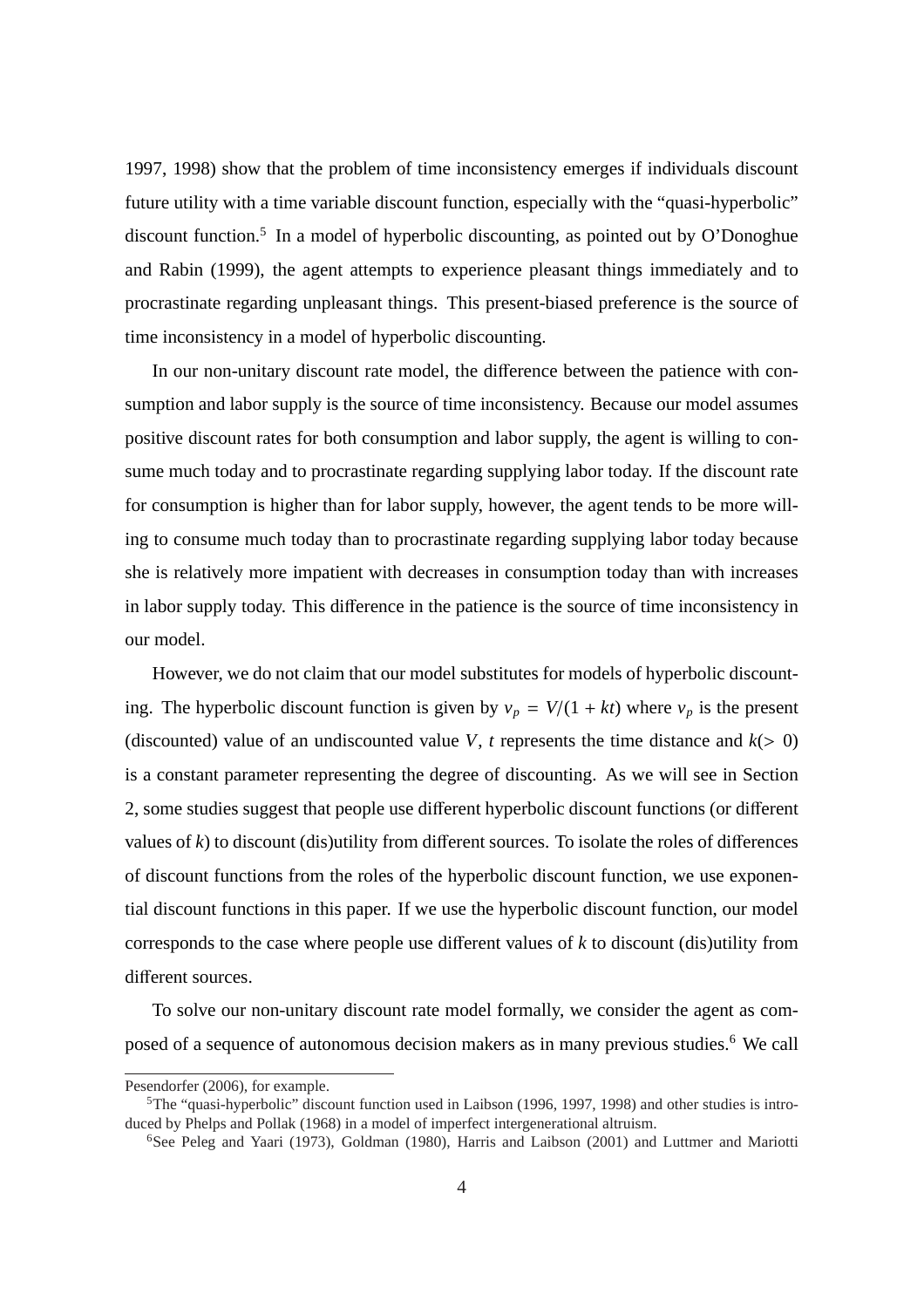1997, 1998) show that the problem of time inconsistency emerges if individuals discount future utility with a time variable discount function, especially with the "quasi-hyperbolic" discount function.<sup>5</sup> In a model of hyperbolic discounting, as pointed out by O'Donoghue and Rabin (1999), the agent attempts to experience pleasant things immediately and to procrastinate regarding unpleasant things. This present-biased preference is the source of time inconsistency in a model of hyperbolic discounting.

In our non-unitary discount rate model, the difference between the patience with consumption and labor supply is the source of time inconsistency. Because our model assumes positive discount rates for both consumption and labor supply, the agent is willing to consume much today and to procrastinate regarding supplying labor today. If the discount rate for consumption is higher than for labor supply, however, the agent tends to be more willing to consume much today than to procrastinate regarding supplying labor today because she is relatively more impatient with decreases in consumption today than with increases in labor supply today. This difference in the patience is the source of time inconsistency in our model.

However, we do not claim that our model substitutes for models of hyperbolic discounting. The hyperbolic discount function is given by  $v_p = V/(1 + kt)$  where  $v_p$  is the present (discounted) value of an undiscounted value *V*, *t* represents the time distance and  $k(>0)$ is a constant parameter representing the degree of discounting. As we will see in Section 2, some studies suggest that people use different hyperbolic discount functions (or different values of  $k$ ) to discount (dis)utility from different sources. To isolate the roles of differences of discount functions from the roles of the hyperbolic discount function, we use exponential discount functions in this paper. If we use the hyperbolic discount function, our model corresponds to the case where people use different values of *k* to discount (dis)utility from different sources.

To solve our non-unitary discount rate model formally, we consider the agent as composed of a sequence of autonomous decision makers as in many previous studies.<sup>6</sup> We call

Pesendorfer (2006), for example.

 ${}^{5}$ The "quasi-hyperbolic" discount function used in Laibson (1996, 1997, 1998) and other studies is introduced by Phelps and Pollak (1968) in a model of imperfect intergenerational altruism.

<sup>6</sup>See Peleg and Yaari (1973), Goldman (1980), Harris and Laibson (2001) and Luttmer and Mariotti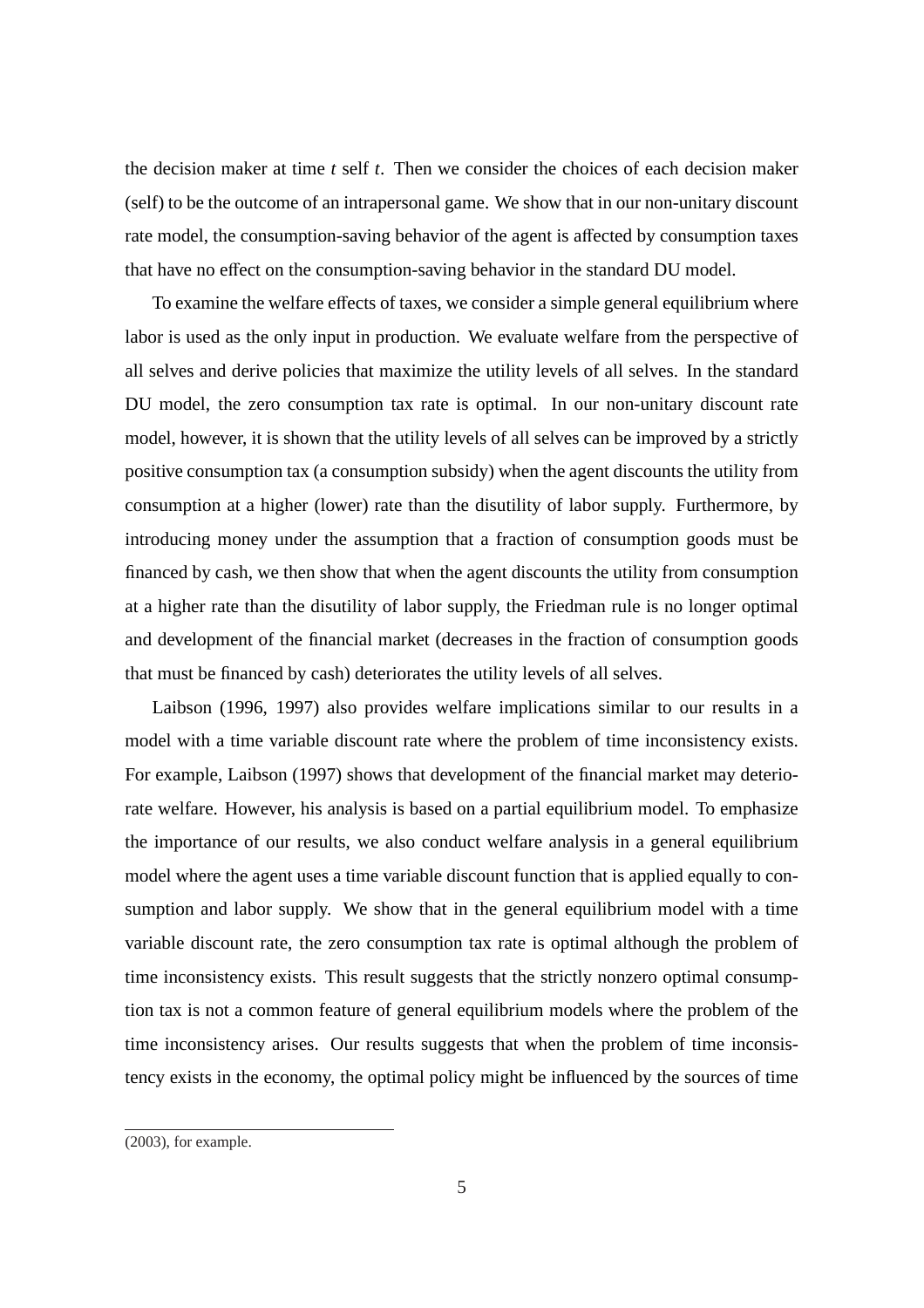the decision maker at time *t* self *t*. Then we consider the choices of each decision maker (self) to be the outcome of an intrapersonal game. We show that in our non-unitary discount rate model, the consumption-saving behavior of the agent is affected by consumption taxes that have no effect on the consumption-saving behavior in the standard DU model.

To examine the welfare effects of taxes, we consider a simple general equilibrium where labor is used as the only input in production. We evaluate welfare from the perspective of all selves and derive policies that maximize the utility levels of all selves. In the standard DU model, the zero consumption tax rate is optimal. In our non-unitary discount rate model, however, it is shown that the utility levels of all selves can be improved by a strictly positive consumption tax (a consumption subsidy) when the agent discounts the utility from consumption at a higher (lower) rate than the disutility of labor supply. Furthermore, by introducing money under the assumption that a fraction of consumption goods must be financed by cash, we then show that when the agent discounts the utility from consumption at a higher rate than the disutility of labor supply, the Friedman rule is no longer optimal and development of the financial market (decreases in the fraction of consumption goods that must be financed by cash) deteriorates the utility levels of all selves.

Laibson (1996, 1997) also provides welfare implications similar to our results in a model with a time variable discount rate where the problem of time inconsistency exists. For example, Laibson (1997) shows that development of the financial market may deteriorate welfare. However, his analysis is based on a partial equilibrium model. To emphasize the importance of our results, we also conduct welfare analysis in a general equilibrium model where the agent uses a time variable discount function that is applied equally to consumption and labor supply. We show that in the general equilibrium model with a time variable discount rate, the zero consumption tax rate is optimal although the problem of time inconsistency exists. This result suggests that the strictly nonzero optimal consumption tax is not a common feature of general equilibrium models where the problem of the time inconsistency arises. Our results suggests that when the problem of time inconsistency exists in the economy, the optimal policy might be influenced by the sources of time

<sup>(2003),</sup> for example.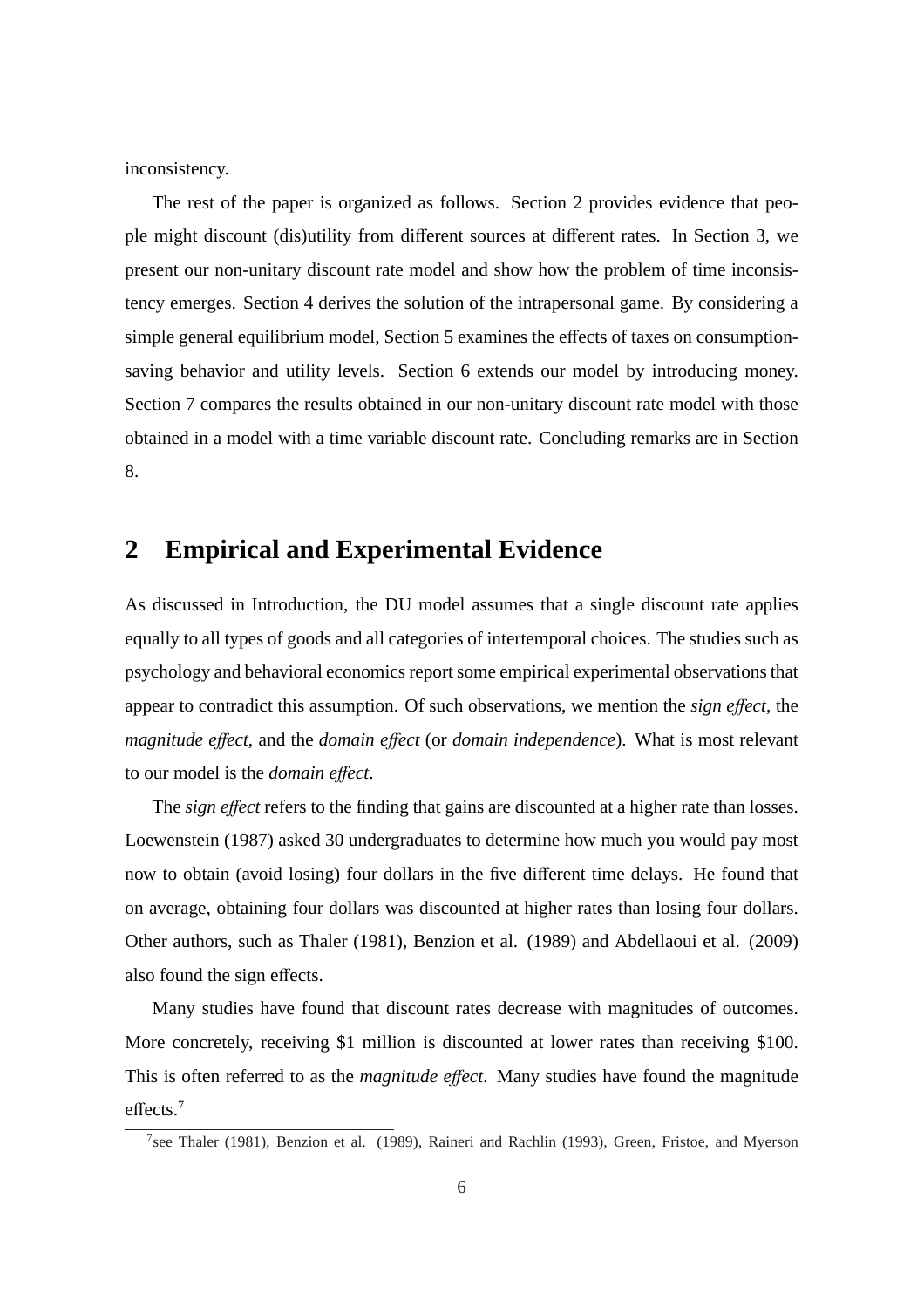inconsistency.

The rest of the paper is organized as follows. Section 2 provides evidence that people might discount (dis)utility from different sources at different rates. In Section 3, we present our non-unitary discount rate model and show how the problem of time inconsistency emerges. Section 4 derives the solution of the intrapersonal game. By considering a simple general equilibrium model, Section 5 examines the effects of taxes on consumptionsaving behavior and utility levels. Section 6 extends our model by introducing money. Section 7 compares the results obtained in our non-unitary discount rate model with those obtained in a model with a time variable discount rate. Concluding remarks are in Section 8.

# **2 Empirical and Experimental Evidence**

As discussed in Introduction, the DU model assumes that a single discount rate applies equally to all types of goods and all categories of intertemporal choices. The studies such as psychology and behavioral economics report some empirical experimental observations that appear to contradict this assumption. Of such observations, we mention the *sign e*ff*ect*, the *magnitude e*ff*ect*, and the *domain e*ff*ect* (or *domain independence*). What is most relevant to our model is the *domain e*ff*ect*.

The *sign effect* refers to the finding that gains are discounted at a higher rate than losses. Loewenstein (1987) asked 30 undergraduates to determine how much you would pay most now to obtain (avoid losing) four dollars in the five different time delays. He found that on average, obtaining four dollars was discounted at higher rates than losing four dollars. Other authors, such as Thaler (1981), Benzion et al. (1989) and Abdellaoui et al. (2009) also found the sign effects.

Many studies have found that discount rates decrease with magnitudes of outcomes. More concretely, receiving \$1 million is discounted at lower rates than receiving \$100. This is often referred to as the *magnitude e*ff*ect*. Many studies have found the magnitude effects.<sup>7</sup>

<sup>&</sup>lt;sup>7</sup>see Thaler (1981), Benzion et al. (1989), Raineri and Rachlin (1993), Green, Fristoe, and Myerson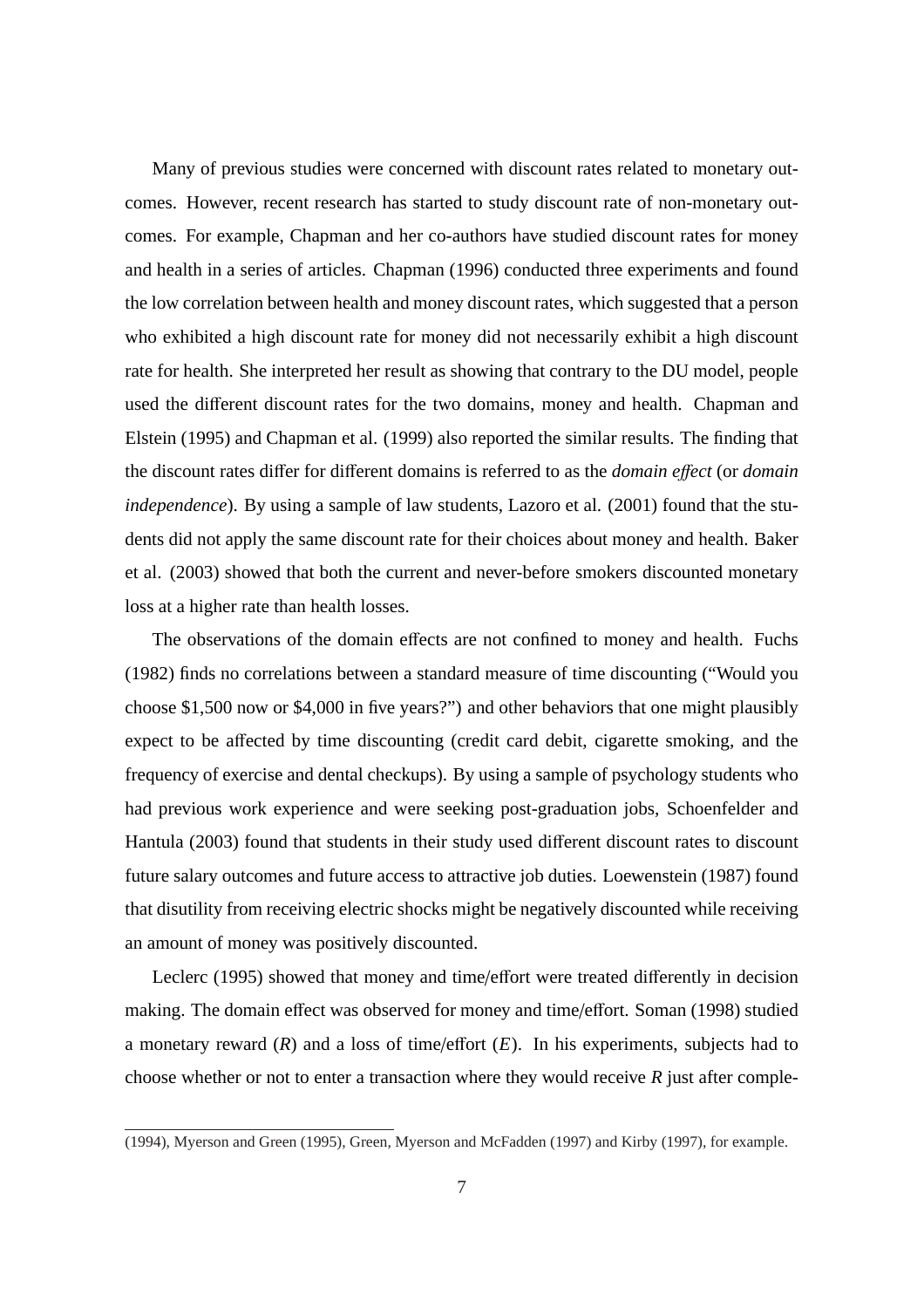Many of previous studies were concerned with discount rates related to monetary outcomes. However, recent research has started to study discount rate of non-monetary outcomes. For example, Chapman and her co-authors have studied discount rates for money and health in a series of articles. Chapman (1996) conducted three experiments and found the low correlation between health and money discount rates, which suggested that a person who exhibited a high discount rate for money did not necessarily exhibit a high discount rate for health. She interpreted her result as showing that contrary to the DU model, people used the different discount rates for the two domains, money and health. Chapman and Elstein (1995) and Chapman et al. (1999) also reported the similar results. The finding that the discount rates differ for different domains is referred to as the *domain e*ff*ect* (or *domain independence*). By using a sample of law students, Lazoro et al. (2001) found that the students did not apply the same discount rate for their choices about money and health. Baker et al. (2003) showed that both the current and never-before smokers discounted monetary loss at a higher rate than health losses.

The observations of the domain effects are not confined to money and health. Fuchs (1982) finds no correlations between a standard measure of time discounting ("Would you choose \$1,500 now or \$4,000 in five years?") and other behaviors that one might plausibly expect to be affected by time discounting (credit card debit, cigarette smoking, and the frequency of exercise and dental checkups). By using a sample of psychology students who had previous work experience and were seeking post-graduation jobs, Schoenfelder and Hantula (2003) found that students in their study used different discount rates to discount future salary outcomes and future access to attractive job duties. Loewenstein (1987) found that disutility from receiving electric shocks might be negatively discounted while receiving an amount of money was positively discounted.

Leclerc (1995) showed that money and time/effort were treated differently in decision making. The domain effect was observed for money and time/effort. Soman (1998) studied a monetary reward  $(R)$  and a loss of time/effort  $(E)$ . In his experiments, subjects had to choose whether or not to enter a transaction where they would receive *R* just after comple-

<sup>(1994),</sup> Myerson and Green (1995), Green, Myerson and McFadden (1997) and Kirby (1997), for example.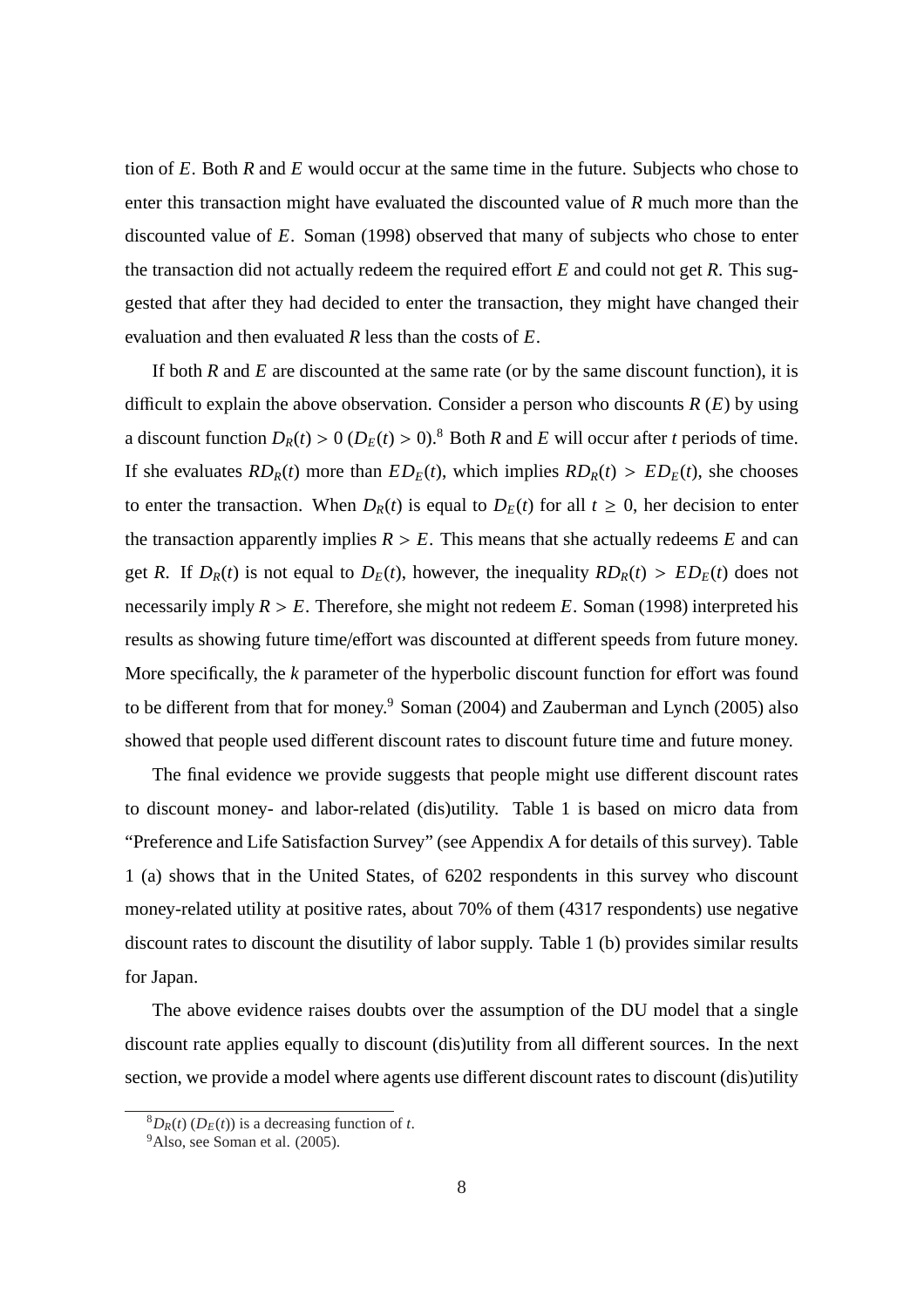tion of *E*. Both *R* and *E* would occur at the same time in the future. Subjects who chose to enter this transaction might have evaluated the discounted value of *R* much more than the discounted value of *E*. Soman (1998) observed that many of subjects who chose to enter the transaction did not actually redeem the required effort *E* and could not get *R*. This suggested that after they had decided to enter the transaction, they might have changed their evaluation and then evaluated *R* less than the costs of *E*.

If both *R* and *E* are discounted at the same rate (or by the same discount function), it is difficult to explain the above observation. Consider a person who discounts *R* (*E*) by using a discount function  $D_R(t) > 0$  ( $D_E(t) > 0$ ).<sup>8</sup> Both *R* and *E* will occur after *t* periods of time. If she evaluates  $RD_R(t)$  more than  $ED_E(t)$ , which implies  $RD_R(t) > ED_E(t)$ , she chooses to enter the transaction. When  $D_R(t)$  is equal to  $D_E(t)$  for all  $t \ge 0$ , her decision to enter the transaction apparently implies  $R > E$ . This means that she actually redeems *E* and can get *R*. If  $D_R(t)$  is not equal to  $D_E(t)$ , however, the inequality  $R D_R(t) > E D_E(t)$  does not necessarily imply  $R > E$ . Therefore, she might not redeem *E*. Soman (1998) interpreted his results as showing future time/effort was discounted at different speeds from future money. More specifically, the *k* parameter of the hyperbolic discount function for effort was found to be different from that for money.<sup>9</sup> Soman (2004) and Zauberman and Lynch (2005) also showed that people used different discount rates to discount future time and future money.

The final evidence we provide suggests that people might use different discount rates to discount money- and labor-related (dis)utility. Table 1 is based on micro data from "Preference and Life Satisfaction Survey" (see Appendix A for details of this survey). Table 1 (a) shows that in the United States, of 6202 respondents in this survey who discount money-related utility at positive rates, about 70% of them (4317 respondents) use negative discount rates to discount the disutility of labor supply. Table 1 (b) provides similar results for Japan.

The above evidence raises doubts over the assumption of the DU model that a single discount rate applies equally to discount (dis)utility from all different sources. In the next section, we provide a model where agents use different discount rates to discount (dis)utility

 ${}^8D_R(t)$  ( $D_F(t)$ ) is a decreasing function of *t*.

<sup>&</sup>lt;sup>9</sup>Also, see Soman et al. (2005).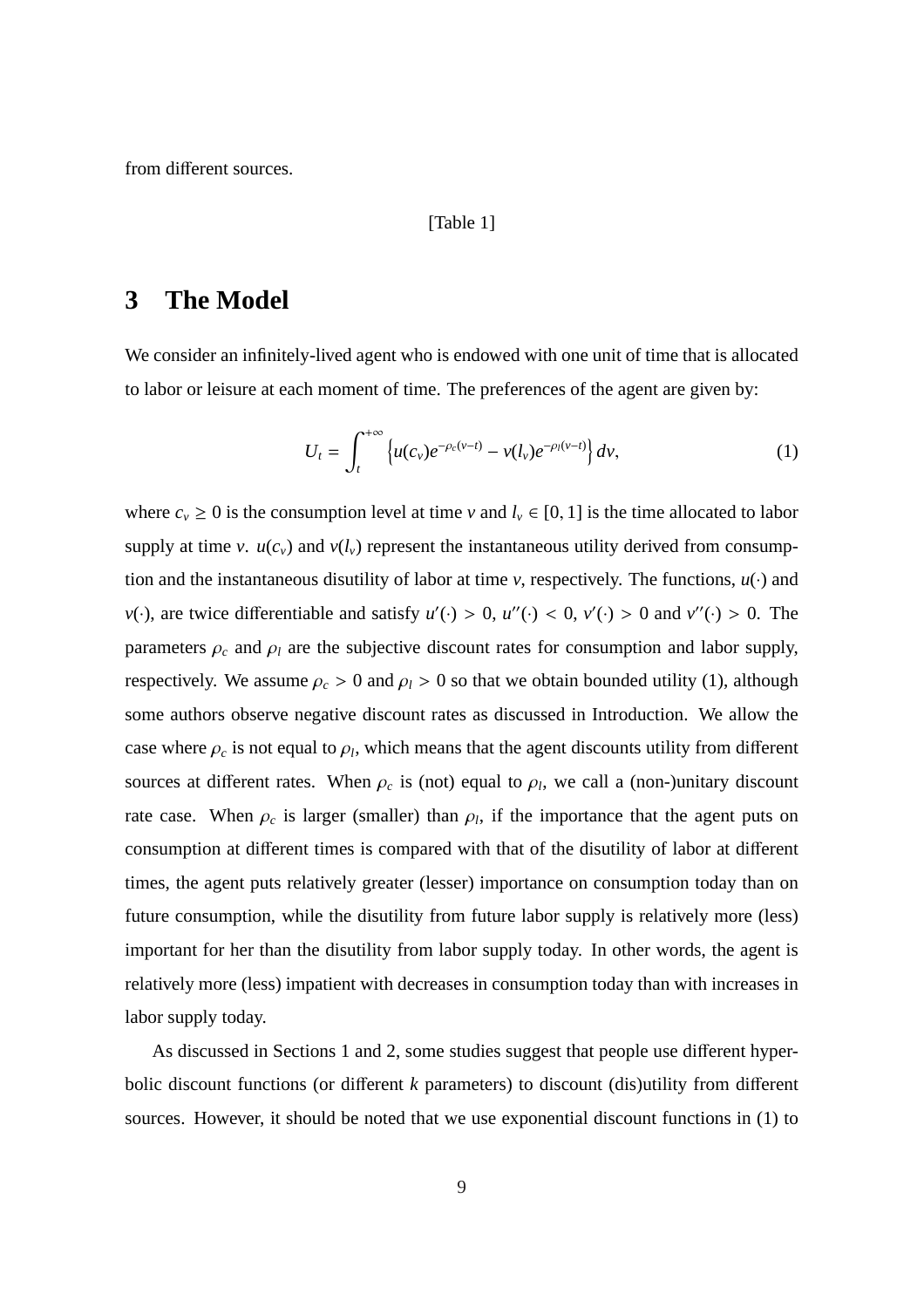from different sources.

#### [Table 1]

# **3 The Model**

We consider an infinitely-lived agent who is endowed with one unit of time that is allocated to labor or leisure at each moment of time. The preferences of the agent are given by:

$$
U_t = \int_t^{+\infty} \left\{ u(c_v) e^{-\rho_c(v-t)} - v(l_v) e^{-\rho_l(v-t)} \right\} dv,
$$
 (1)

where  $c_v \ge 0$  is the consumption level at time *v* and  $l_v \in [0, 1]$  is the time allocated to labor supply at time *v*.  $u(c_v)$  and  $v(l_v)$  represent the instantaneous utility derived from consumption and the instantaneous disutility of labor at time  $\nu$ , respectively. The functions,  $u(\cdot)$  and  $v(\cdot)$ , are twice differentiable and satisfy  $u'(\cdot) > 0$ ,  $u''(\cdot) < 0$ ,  $v'(\cdot) > 0$  and  $v''(\cdot) > 0$ . The parameters  $\rho_c$  and  $\rho_l$  are the subjective discount rates for consumption and labor supply, respectively. We assume  $\rho_c > 0$  and  $\rho_l > 0$  so that we obtain bounded utility (1), although some authors observe negative discount rates as discussed in Introduction. We allow the case where  $\rho_c$  is not equal to  $\rho_l$ , which means that the agent discounts utility from different sources at different rates. When  $\rho_c$  is (not) equal to  $\rho_l$ , we call a (non-)unitary discount rate case. When  $\rho_c$  is larger (smaller) than  $\rho_l$ , if the importance that the agent puts on consumption at different times is compared with that of the disutility of labor at different times, the agent puts relatively greater (lesser) importance on consumption today than on future consumption, while the disutility from future labor supply is relatively more (less) important for her than the disutility from labor supply today. In other words, the agent is relatively more (less) impatient with decreases in consumption today than with increases in labor supply today.

As discussed in Sections 1 and 2, some studies suggest that people use different hyperbolic discount functions (or different *k* parameters) to discount (dis)utility from different sources. However, it should be noted that we use exponential discount functions in (1) to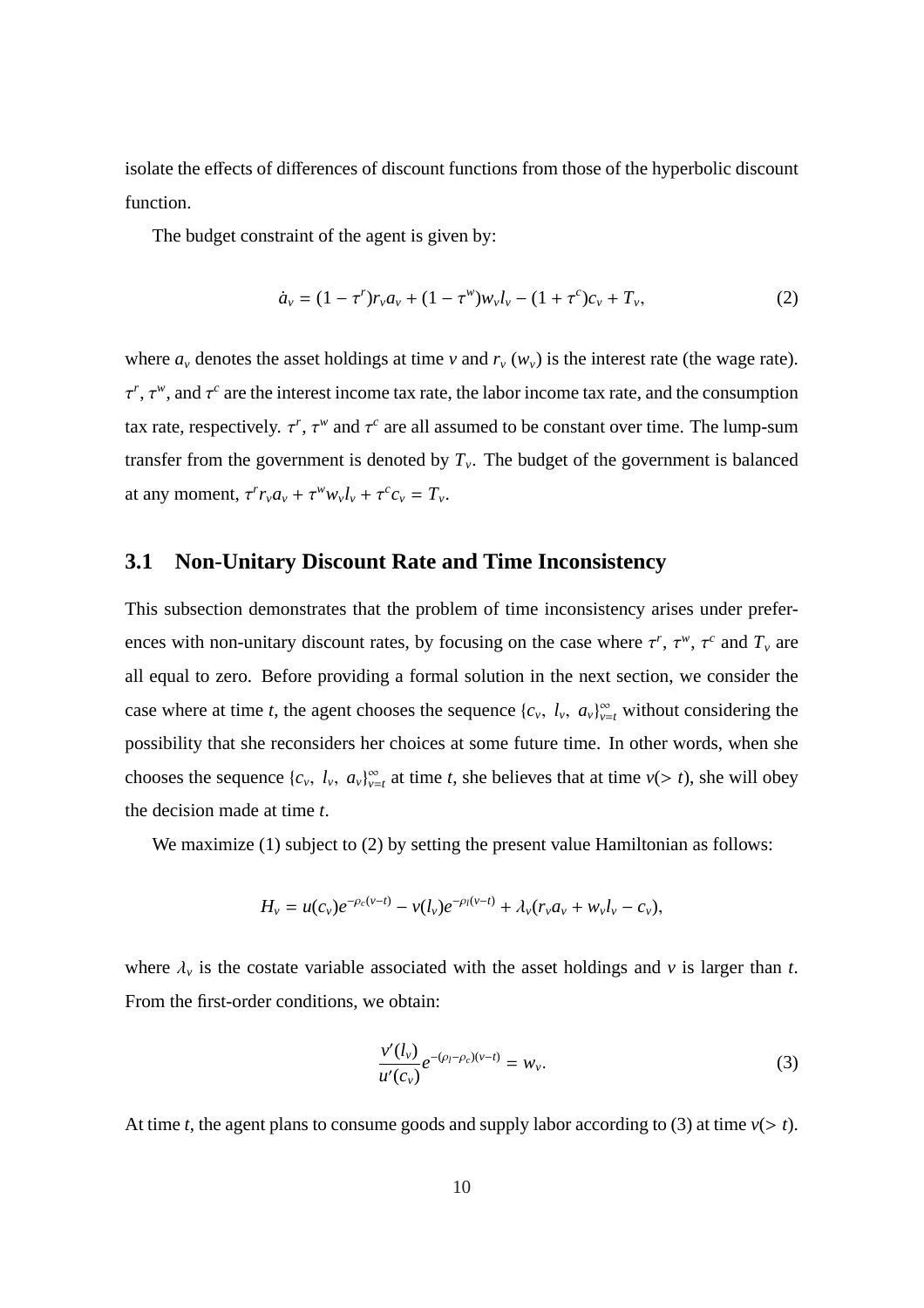isolate the effects of differences of discount functions from those of the hyperbolic discount function.

The budget constraint of the agent is given by:

$$
\dot{a}_v = (1 - \tau^r) r_v a_v + (1 - \tau^w) w_v l_v - (1 + \tau^c) c_v + T_v,
$$
\n(2)

where  $a_\nu$  denotes the asset holdings at time  $\nu$  and  $r_\nu$  ( $w_\nu$ ) is the interest rate (the wage rate).  $\tau^r$ ,  $\tau^w$ , and  $\tau^c$  are the interest income tax rate, the labor income tax rate, and the consumption tax rate, respectively.  $\tau^r$ ,  $\tau^w$  and  $\tau^c$  are all assumed to be constant over time. The lump-sum transfer from the government is denoted by  $T<sub>v</sub>$ . The budget of the government is balanced at any moment,  $\tau^r r_v a_v + \tau^w w_v l_v + \tau^c c_v = T_v$ .

#### **3.1 Non-Unitary Discount Rate and Time Inconsistency**

This subsection demonstrates that the problem of time inconsistency arises under preferences with non-unitary discount rates, by focusing on the case where  $\tau^r$ ,  $\tau^w$ ,  $\tau^c$  and  $T_v$  are all equal to zero. Before providing a formal solution in the next section, we consider the case where at time *t*, the agent chooses the sequence  $\{c_v, l_v, a_v\}_{v=t}^{\infty}$  without considering the possibility that she reconsiders her choices at some future time. In other words, when she chooses the sequence  $\{c_v, l_v, a_v\}_{v=t}^{\infty}$  at time *t*, she believes that at time  $v(> t)$ , she will obey the decision made at time *t*.

We maximize (1) subject to (2) by setting the present value Hamiltonian as follows:

$$
H_{\nu} = u(c_{\nu})e^{-\rho_c(\nu - t)} - v(l_{\nu})e^{-\rho_l(\nu - t)} + \lambda_{\nu}(r_{\nu}a_{\nu} + w_{\nu}l_{\nu} - c_{\nu}),
$$

where  $\lambda_{\nu}$  is the costate variable associated with the asset holdings and  $\nu$  is larger than *t*. From the first-order conditions, we obtain:

$$
\frac{v'(l_v)}{u'(c_v)}e^{-(\rho_l-\rho_c)(v-t)} = w_v.
$$
\n(3)

At time *t*, the agent plans to consume goods and supply labor according to (3) at time  $v(> t)$ .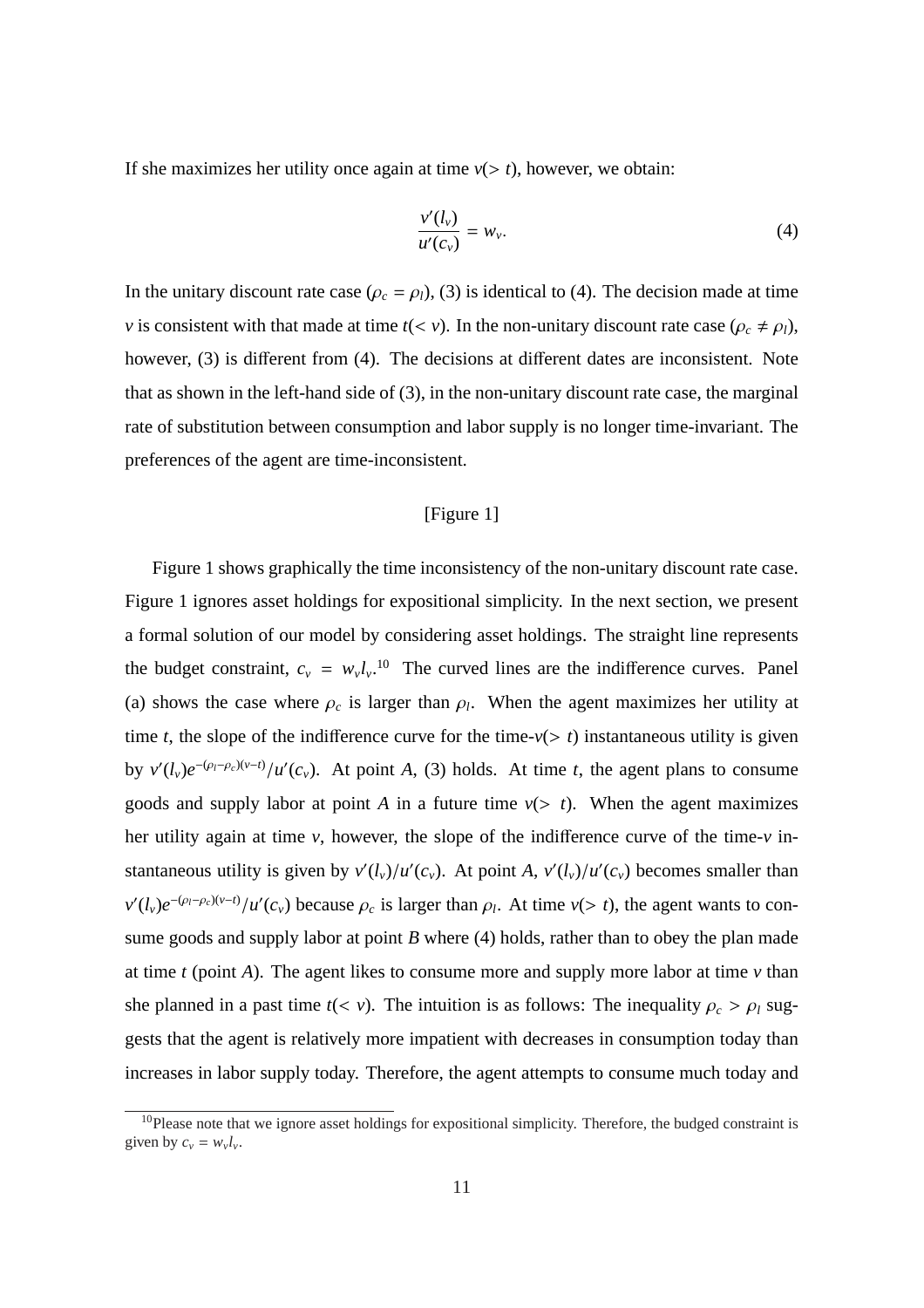If she maximizes her utility once again at time  $v(> t)$ , however, we obtain:

$$
\frac{v'(l_v)}{u'(c_v)} = w_v.
$$
\n<sup>(4)</sup>

In the unitary discount rate case ( $\rho_c = \rho_l$ ), (3) is identical to (4). The decision made at time *v* is consistent with that made at time  $t(< v)$ . In the non-unitary discount rate case ( $\rho_c \neq \rho_l$ ), however, (3) is different from (4). The decisions at different dates are inconsistent. Note that as shown in the left-hand side of (3), in the non-unitary discount rate case, the marginal rate of substitution between consumption and labor supply is no longer time-invariant. The preferences of the agent are time-inconsistent.

#### [Figure 1]

Figure 1 shows graphically the time inconsistency of the non-unitary discount rate case. Figure 1 ignores asset holdings for expositional simplicity. In the next section, we present a formal solution of our model by considering asset holdings. The straight line represents the budget constraint,  $c_v = w_v l_v$ .<sup>10</sup> The curved lines are the indifference curves. Panel (a) shows the case where  $\rho_c$  is larger than  $\rho_l$ . When the agent maximizes her utility at time *t*, the slope of the indifference curve for the time- $v(> t)$  instantaneous utility is given by  $v'(l_v)e^{-(\rho_l-\rho_c)(v-t)}/u'(c_v)$ . At point *A*, (3) holds. At time *t*, the agent plans to consume goods and supply labor at point *A* in a future time  $v(> t)$ . When the agent maximizes her utility again at time *v*, however, the slope of the indifference curve of the time-*v* instantaneous utility is given by  $v'(l_v)/u'(c_v)$ . At point *A*,  $v'(l_v)/u'(c_v)$  becomes smaller than  $v'(l_v)e^{-(\rho_l-\rho_c)(v-t)}/u'(c_v)$  because  $\rho_c$  is larger than  $\rho_l$ . At time  $v(> t)$ , the agent wants to consume goods and supply labor at point *B* where (4) holds, rather than to obey the plan made at time  $t$  (point  $A$ ). The agent likes to consume more and supply more labor at time  $v$  than she planned in a past time  $t(< v)$ . The intuition is as follows: The inequality  $\rho_c > \rho_l$  suggests that the agent is relatively more impatient with decreases in consumption today than increases in labor supply today. Therefore, the agent attempts to consume much today and

 $10P$  Please note that we ignore asset holdings for expositional simplicity. Therefore, the budged constraint is given by  $c_v = w_v l_v$ .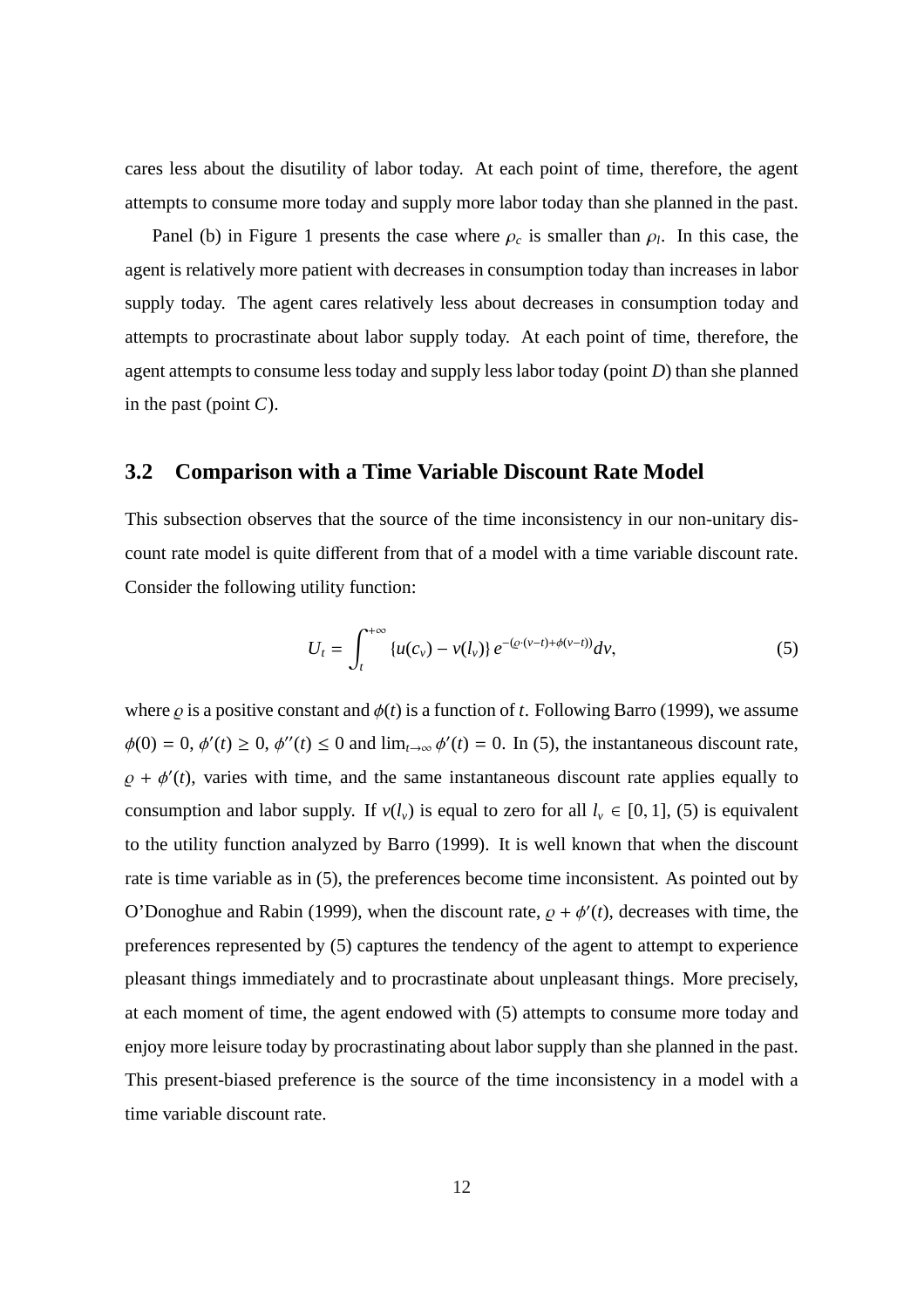cares less about the disutility of labor today. At each point of time, therefore, the agent attempts to consume more today and supply more labor today than she planned in the past.

Panel (b) in Figure 1 presents the case where  $\rho_c$  is smaller than  $\rho_l$ . In this case, the agent is relatively more patient with decreases in consumption today than increases in labor supply today. The agent cares relatively less about decreases in consumption today and attempts to procrastinate about labor supply today. At each point of time, therefore, the agent attempts to consume less today and supply less labor today (point *D*) than she planned in the past (point *C*).

### **3.2 Comparison with a Time Variable Discount Rate Model**

This subsection observes that the source of the time inconsistency in our non-unitary discount rate model is quite different from that of a model with a time variable discount rate. Consider the following utility function:

$$
U_t = \int_t^{+\infty} \{u(c_v) - v(l_v)\} e^{-(\varrho \cdot (v-t) + \phi(v-t))} dv,
$$
 (5)

where  $\rho$  is a positive constant and  $\phi(t)$  is a function of *t*. Following Barro (1999), we assume  $\phi(0) = 0$ ,  $\phi'(t) \ge 0$ ,  $\phi''(t) \le 0$  and  $\lim_{t \to \infty} \phi'(t) = 0$ . In (5), the instantaneous discount rate,  $\rho + \phi'(t)$ , varies with time, and the same instantaneous discount rate applies equally to consumption and labor supply. If  $v(l_v)$  is equal to zero for all  $l_v \in [0, 1]$ , (5) is equivalent to the utility function analyzed by Barro (1999). It is well known that when the discount rate is time variable as in (5), the preferences become time inconsistent. As pointed out by O'Donoghue and Rabin (1999), when the discount rate,  $\rho + \phi'(t)$ , decreases with time, the preferences represented by (5) captures the tendency of the agent to attempt to experience pleasant things immediately and to procrastinate about unpleasant things. More precisely, at each moment of time, the agent endowed with (5) attempts to consume more today and enjoy more leisure today by procrastinating about labor supply than she planned in the past. This present-biased preference is the source of the time inconsistency in a model with a time variable discount rate.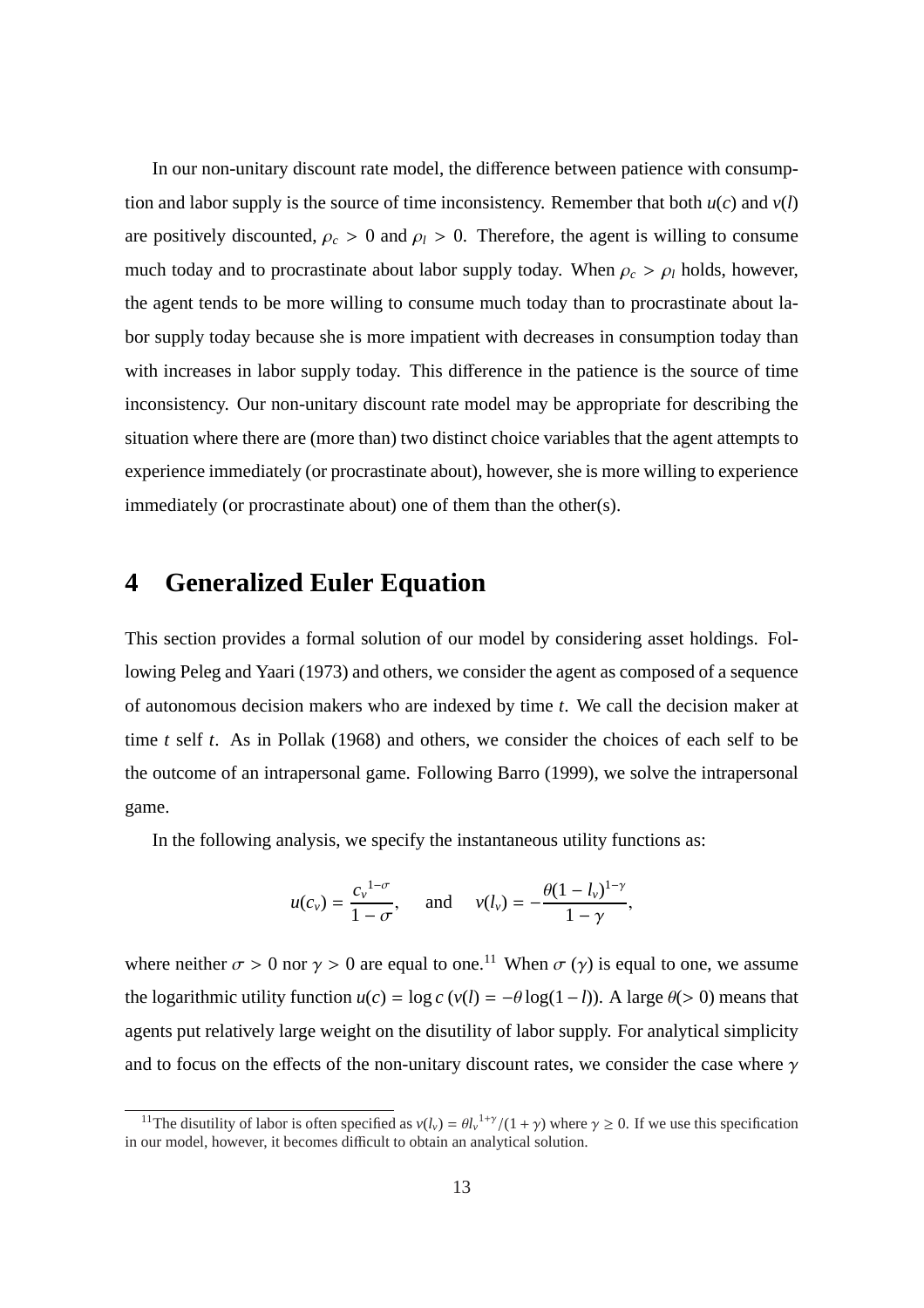In our non-unitary discount rate model, the difference between patience with consumption and labor supply is the source of time inconsistency. Remember that both  $u(c)$  and  $v(l)$ are positively discounted,  $\rho_c > 0$  and  $\rho_l > 0$ . Therefore, the agent is willing to consume much today and to procrastinate about labor supply today. When  $\rho_c > \rho_l$  holds, however, the agent tends to be more willing to consume much today than to procrastinate about labor supply today because she is more impatient with decreases in consumption today than with increases in labor supply today. This difference in the patience is the source of time inconsistency. Our non-unitary discount rate model may be appropriate for describing the situation where there are (more than) two distinct choice variables that the agent attempts to experience immediately (or procrastinate about), however, she is more willing to experience immediately (or procrastinate about) one of them than the other(s).

# **4 Generalized Euler Equation**

This section provides a formal solution of our model by considering asset holdings. Following Peleg and Yaari (1973) and others, we consider the agent as composed of a sequence of autonomous decision makers who are indexed by time *t*. We call the decision maker at time *t* self *t*. As in Pollak (1968) and others, we consider the choices of each self to be the outcome of an intrapersonal game. Following Barro (1999), we solve the intrapersonal game.

In the following analysis, we specify the instantaneous utility functions as:

$$
u(c_v) = \frac{c_v^{1-\sigma}}{1-\sigma}
$$
, and  $v(l_v) = -\frac{\theta(1-l_v)^{1-\gamma}}{1-\gamma}$ ,

where neither  $\sigma > 0$  nor  $\gamma > 0$  are equal to one.<sup>11</sup> When  $\sigma(\gamma)$  is equal to one, we assume the logarithmic utility function  $u(c) = \log c$  ( $v(l) = -\theta \log(1-l)$ ). A large  $\theta$ (> 0) means that agents put relatively large weight on the disutility of labor supply. For analytical simplicity and to focus on the effects of the non-unitary discount rates, we consider the case where  $\gamma$ 

<sup>&</sup>lt;sup>11</sup>The disutility of labor is often specified as  $v(l_v) = \theta l_v^{1+\gamma}/(1+\gamma)$  where  $\gamma \ge 0$ . If we use this specification in our model, however, it becomes difficult to obtain an analytical solution.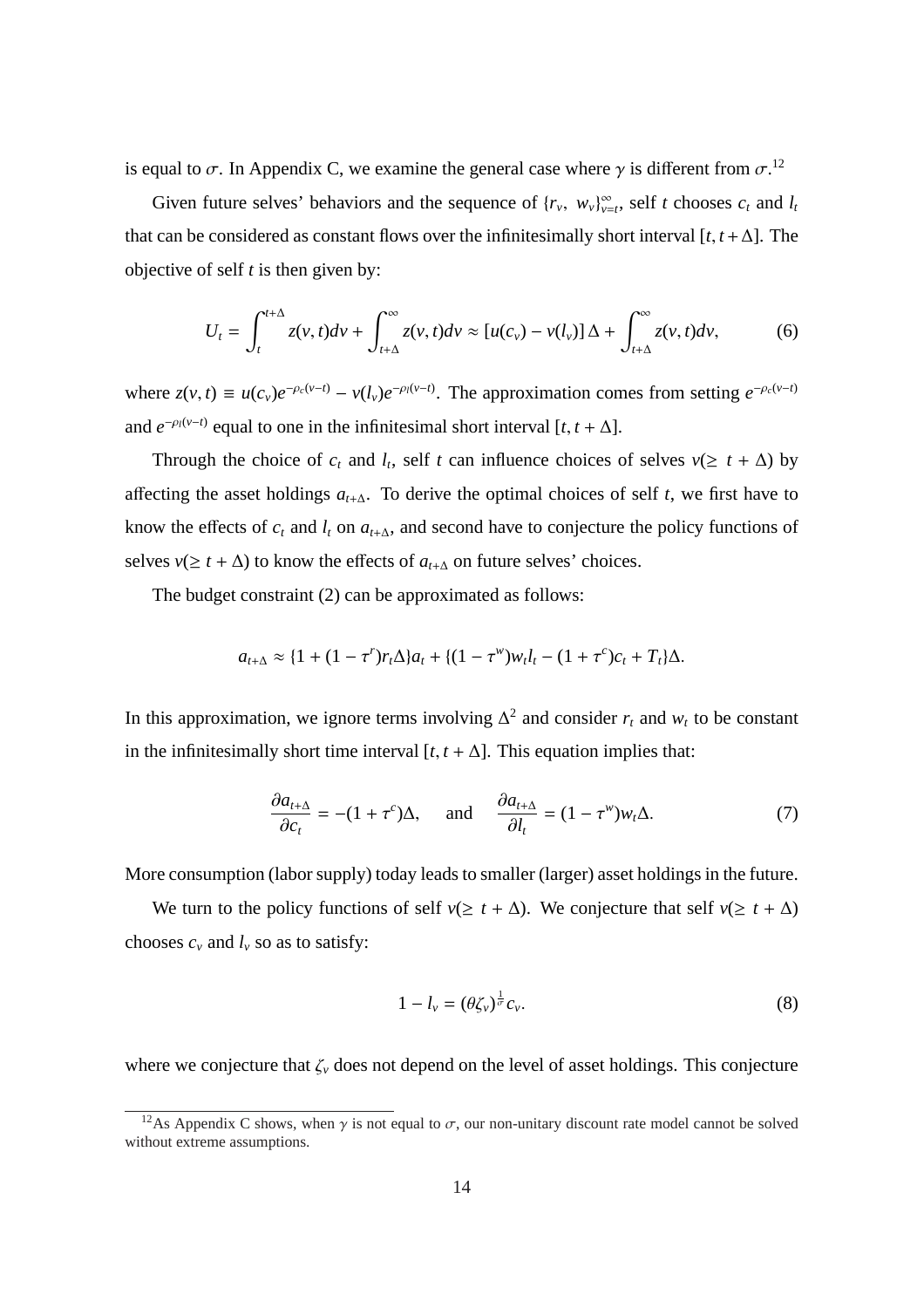is equal to  $\sigma$ . In Appendix C, we examine the general case where  $\gamma$  is different from  $\sigma$ .<sup>12</sup>

Given future selves' behaviors and the sequence of  $\{r_v, w_v\}_{v=t}^{\infty}$ , self *t* chooses  $c_t$  and  $l_t$ that can be considered as constant flows over the infinitesimally short interval  $[t, t + \Delta]$ . The objective of self *t* is then given by:

$$
U_t = \int_t^{t+\Delta} z(v, t)dv + \int_{t+\Delta}^{\infty} z(v, t)dv \approx [u(c_v) - v(l_v)]\Delta + \int_{t+\Delta}^{\infty} z(v, t)dv,
$$
 (6)

where  $z(v, t) \equiv u(c_v)e^{-\rho_c(v-t)} - v(l_v)e^{-\rho_l(v-t)}$ . The approximation comes from setting  $e^{-\rho_c(v-t)}$ and  $e^{-\rho_l(v-t)}$  equal to one in the infinitesimal short interval  $[t, t + \Delta]$ .

Through the choice of  $c_t$  and  $l_t$ , self  $t$  can influence choices of selves  $v(\geq t + \Delta)$  by affecting the asset holdings *at*+∆. To derive the optimal choices of self *t*, we first have to know the effects of  $c_t$  and  $l_t$  on  $a_{t+\Delta}$ , and second have to conjecture the policy functions of selves *v*( $\geq t + \Delta$ ) to know the effects of  $a_{t+\Delta}$  on future selves' choices.

The budget constraint (2) can be approximated as follows:

$$
a_{t+\Delta} \approx \{1 + (1 - \tau^r)r_t\Delta\}a_t + \{(1 - \tau^w)w_t l_t - (1 + \tau^c)c_t + T_t\}\Delta.
$$

In this approximation, we ignore terms involving  $\Delta^2$  and consider  $r_t$  and  $w_t$  to be constant in the infinitesimally short time interval  $[t, t + \Delta]$ . This equation implies that:

$$
\frac{\partial a_{t+\Delta}}{\partial c_t} = -(1+\tau^c)\Delta, \quad \text{and} \quad \frac{\partial a_{t+\Delta}}{\partial l_t} = (1-\tau^w)w_t\Delta. \tag{7}
$$

More consumption (labor supply) today leads to smaller (larger) asset holdings in the future.

We turn to the policy functions of self  $v(\geq t + \Delta)$ . We conjecture that self  $v(\geq t + \Delta)$ chooses  $c_v$  and  $l_v$  so as to satisfy:

$$
1 - l_{\nu} = (\theta \zeta_{\nu})^{\frac{1}{\sigma}} c_{\nu}.
$$
\n
$$
(8)
$$

where we conjecture that  $\zeta$ <sup>*v*</sup> does not depend on the level of asset holdings. This conjecture

<sup>&</sup>lt;sup>12</sup>As Appendix C shows, when  $\gamma$  is not equal to  $\sigma$ , our non-unitary discount rate model cannot be solved without extreme assumptions.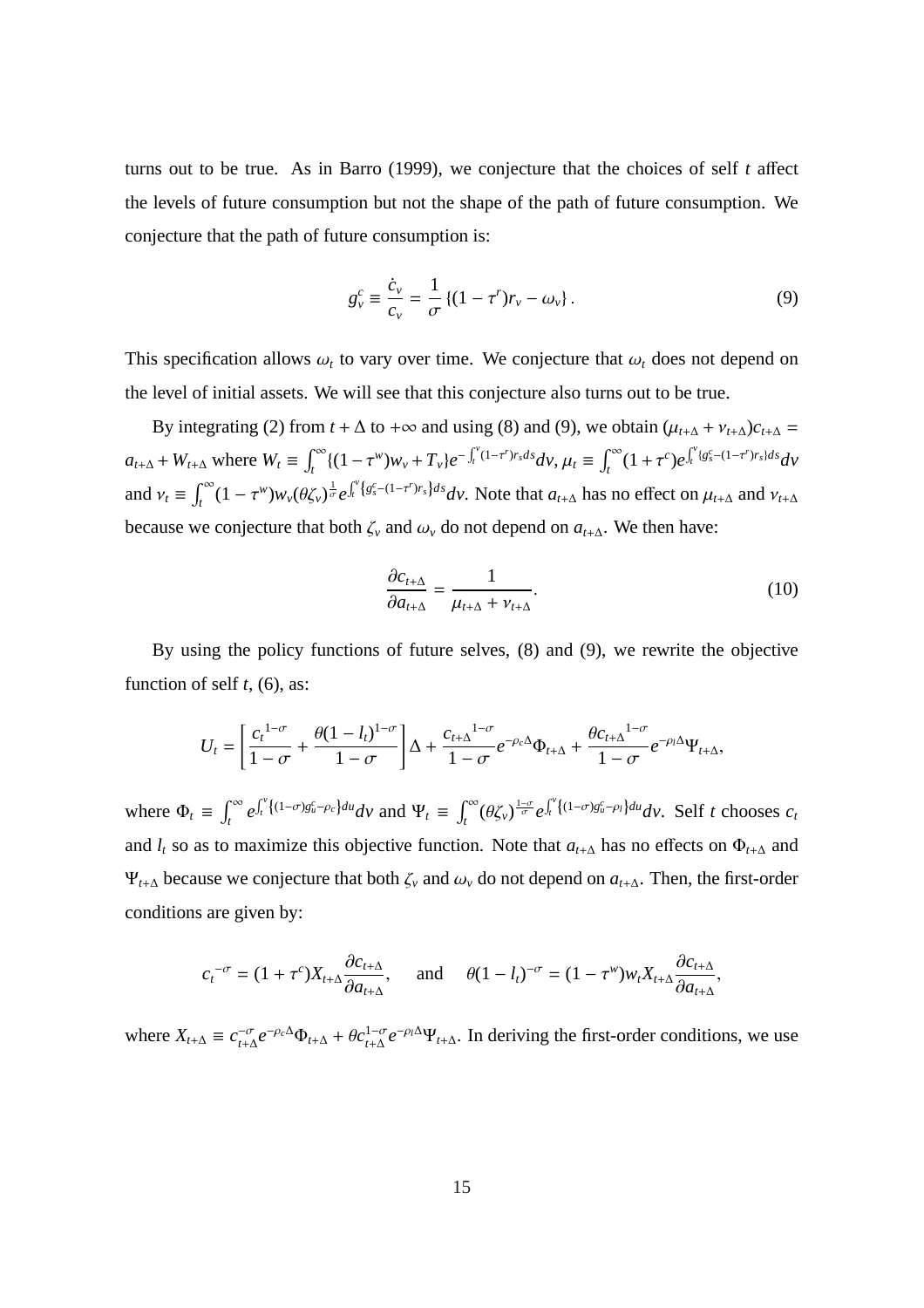turns out to be true. As in Barro (1999), we conjecture that the choices of self *t* affect the levels of future consumption but not the shape of the path of future consumption. We conjecture that the path of future consumption is:

$$
g_{\nu}^{c} \equiv \frac{\dot{c}_{\nu}}{c_{\nu}} = \frac{1}{\sigma} \left\{ (1 - \tau') r_{\nu} - \omega_{\nu} \right\}.
$$
 (9)

This specification allows  $\omega_t$  to vary over time. We conjecture that  $\omega_t$  does not depend on the level of initial assets. We will see that this conjecture also turns out to be true.

By integrating (2) from  $t + \Delta$  to + $\infty$  and using (8) and (9), we obtain  $(\mu_{t+\Delta} + \nu_{t+\Delta})c_{t+\Delta} =$  $a_{t+\Delta}$  +  $W_{t+\Delta}$  where  $W_t \equiv$  $r^{\infty}$  $\int_t^{\infty} \{ (1 - \tau^w) w_v + T_v \} e^{-\int_t^v}$  $\int_t^v (1-\tau^r) r_s ds dv, \mu_t \equiv$  $r^{\infty}$  $\int_t^\infty (1+\tau^c)e^{-\tau^c}$  $\int_0^v$  $\int_t^v \{g_s^c - (1 - \tau^r)r_s\}ds$ *dv* and  $v_t \equiv$  $\int_{0}^{\infty}$  $\int_t^\infty (1-\tau^w) w_\nu(\theta \zeta_\nu)^{\frac{1}{\sigma}} e^{-\tau^w}$  $\mathbf{r}^{\nu}$  $f_t^{\nu} \{ g_s^c - (1 - \tau^r) r_s \} ds d\nu$ . Note that  $a_{t+\Delta}$  has no effect on  $\mu_{t+\Delta}$  and  $\nu_{t+\Delta}$ because we conjecture that both  $\zeta$ <sup>*v*</sup> and  $\omega$ <sup>*v*</sup> do not depend on  $a$ <sub>*t*+∆</sub>. We then have:

$$
\frac{\partial c_{t+\Delta}}{\partial a_{t+\Delta}} = \frac{1}{\mu_{t+\Delta} + \nu_{t+\Delta}}.\tag{10}
$$

By using the policy functions of future selves, (8) and (9), we rewrite the objective function of self  $t$ , (6), as:

$$
U_t = \left[\frac{c_t^{1-\sigma}}{1-\sigma} + \frac{\theta(1-l_t)^{1-\sigma}}{1-\sigma}\right]\Delta + \frac{c_{t+\Delta}^{1-\sigma}}{1-\sigma}e^{-\rho_c\Delta}\Phi_{t+\Delta} + \frac{\theta c_{t+\Delta}^{1-\sigma}}{1-\sigma}e^{-\rho_l\Delta}\Psi_{t+\Delta},
$$

where  $\Phi_t \equiv$  $\mathcal{C}^{\infty}$ *t e*  $\mathbf{r}^{\nu}$  $\int_t^v \{(1-\sigma)g_u^c - \rho_c\}du$  *dv* and  $\Psi_t \equiv \int_t^\infty$ *t*<sup>∞</sup> (θζ<sub>ν</sub>)  $\frac{1-\sigma}{\sigma}$  e  $\mathbf{r}^{\nu}$  $\int_{t}^{\nu} \{(1-\sigma)g_{u}^{c}-\rho_{l}\}du_{v}$ . Self *t* chooses  $c_{t}$ and  $l_t$  so as to maximize this objective function. Note that  $a_{t+\Delta}$  has no effects on  $\Phi_{t+\Delta}$  and  $\Psi$ <sub>*t*+∆</sub> because we conjecture that both  $\zeta$ <sup>*v*</sup> and  $\omega$ <sup>*γ*</sup> do not depend on  $a$ <sub>*t*+∆</sub>. Then, the first-order conditions are given by:

$$
c_t^{-\sigma} = (1 + \tau^c)X_{t+\Delta} \frac{\partial c_{t+\Delta}}{\partial a_{t+\Delta}}, \quad \text{and} \quad \theta (1 - l_t)^{-\sigma} = (1 - \tau^w)W_t X_{t+\Delta} \frac{\partial c_{t+\Delta}}{\partial a_{t+\Delta}},
$$

where  $X_{t+\Delta} \equiv c_{t+\Delta}^{-\sigma} e^{-\rho_c \Delta} \Phi_{t+\Delta} + \theta c_{t+\Delta}^{1-\sigma} e^{-\rho_l \Delta} \Psi_{t+\Delta}$ . In deriving the first-order conditions, we use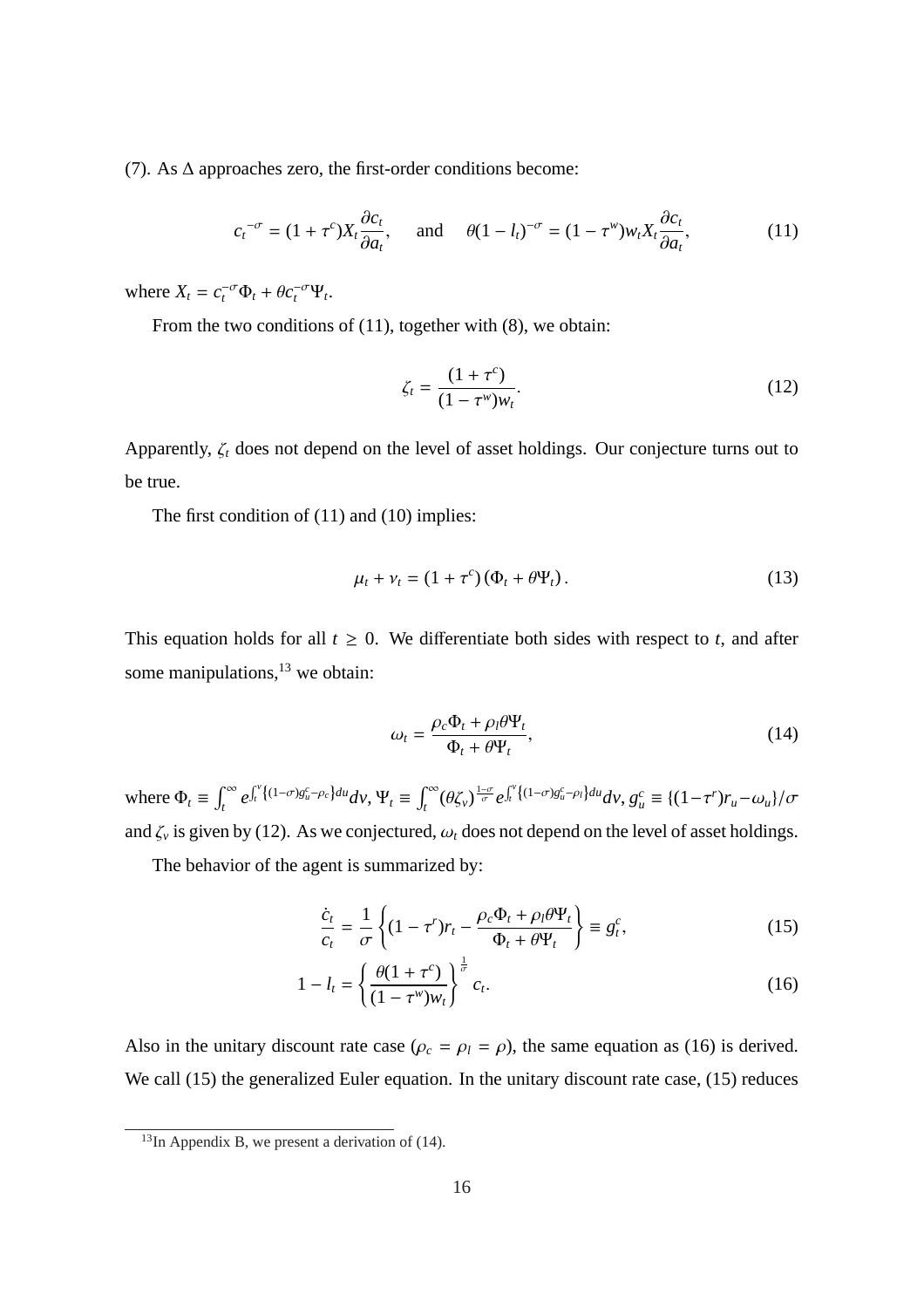(7). As  $\Delta$  approaches zero, the first-order conditions become:

$$
c_t^{-\sigma} = (1 + \tau^c) X_t \frac{\partial c_t}{\partial a_t}, \quad \text{and} \quad \theta (1 - l_t)^{-\sigma} = (1 - \tau^w) w_t X_t \frac{\partial c_t}{\partial a_t}, \tag{11}
$$

where  $X_t = c_t^{-\sigma} \Phi_t + \theta c_t^{-\sigma} \Psi_t$ .

From the two conditions of (11), together with (8), we obtain:

$$
\zeta_t = \frac{(1 + \tau^c)}{(1 - \tau^w) w_t}.
$$
\n(12)

Apparently, ζ*<sup>t</sup>* does not depend on the level of asset holdings. Our conjecture turns out to be true.

The first condition of (11) and (10) implies:

$$
\mu_t + \nu_t = (1 + \tau^c)(\Phi_t + \theta \Psi_t). \tag{13}
$$

This equation holds for all  $t \geq 0$ . We differentiate both sides with respect to *t*, and after some manipulations, $13$  we obtain:

$$
\omega_t = \frac{\rho_c \Phi_t + \rho_l \theta \Psi_t}{\Phi_t + \theta \Psi_t},\tag{14}
$$

where  $\Phi_t \equiv$  $\int_0^\infty$ *t e*  $\mathbf{r}^{\nu}$  $\int_t^v \{(1-\sigma)g^c_u - \rho_c\}du$   $d\mathcal{V}, \Psi_t \equiv \int_t^\infty$ *t*<sup>∞</sup> (θζ<sub>ν</sub>)<sup> $\frac{1-\sigma}{\sigma}$ </sup> e  $\mathbf{r}^{\nu}$  $f_t^{\nu} \{(1-\sigma)g_u^c - \rho_l\}du$   $d\nu, g_u^c \equiv \{(1-\tau^r)r_u - \omega_u\}/\sigma$ and  $\zeta$ <sup>*v*</sup> is given by (12). As we conjectured,  $\omega_t$  does not depend on the level of asset holdings.

The behavior of the agent is summarized by:

$$
\frac{\dot{c}_t}{c_t} = \frac{1}{\sigma} \left\{ (1 - \tau^r) r_t - \frac{\rho_c \Phi_t + \rho_l \theta \Psi_t}{\Phi_t + \theta \Psi_t} \right\} \equiv g_t^c,
$$
\n(15)

$$
1 - l_t = \left\{ \frac{\theta(1 + \tau^c)}{(1 - \tau^w)w_t} \right\}^{\frac{1}{\sigma}} c_t.
$$
 (16)

Also in the unitary discount rate case  $(\rho_c = \rho_l = \rho)$ , the same equation as (16) is derived. We call (15) the generalized Euler equation. In the unitary discount rate case, (15) reduces

 $13$ In Appendix B, we present a derivation of (14).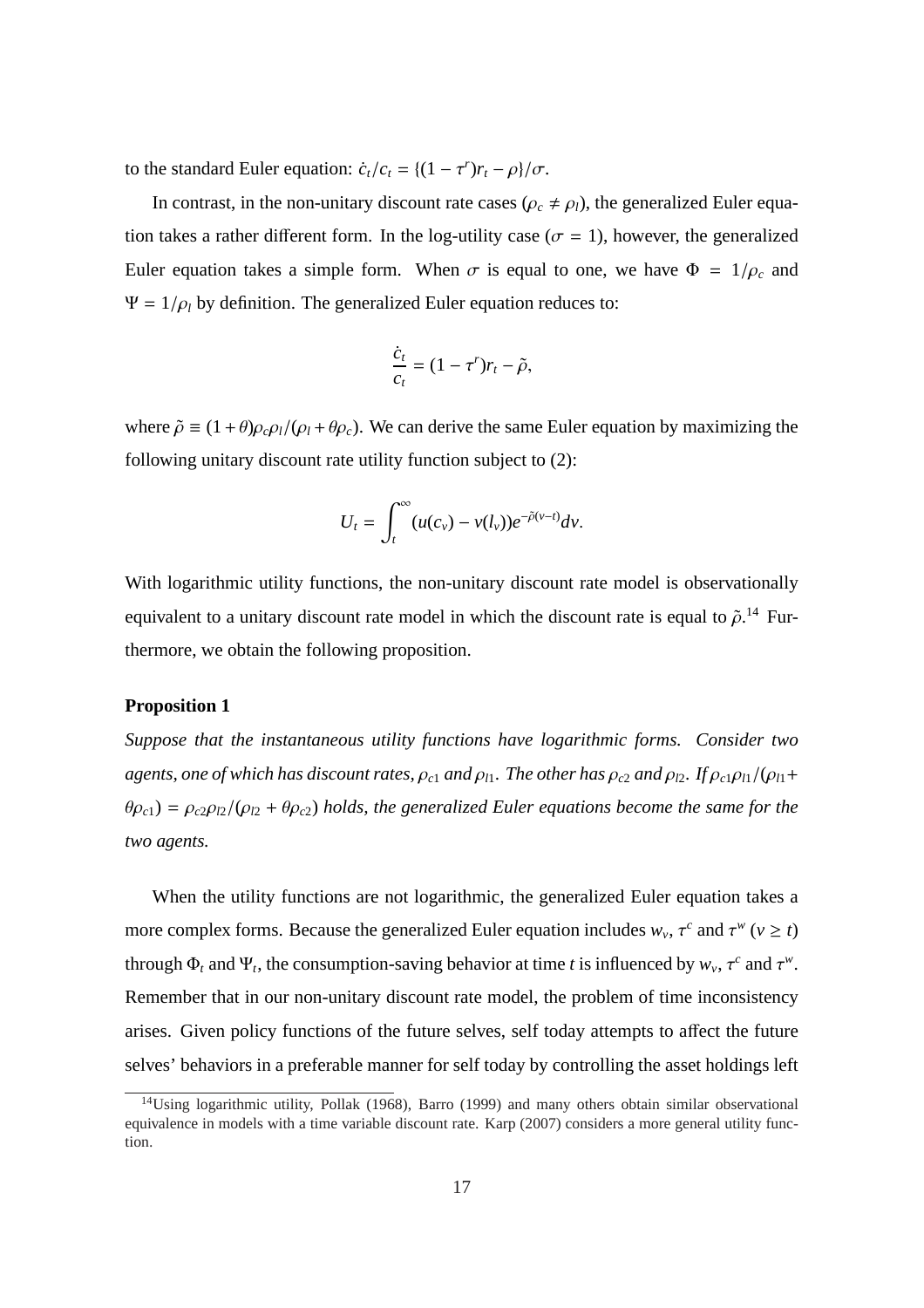to the standard Euler equation:  $\dot{c}_t/c_t = \frac{(1 - \tau^r)r_t - \rho}{\sigma}$ .

In contrast, in the non-unitary discount rate cases ( $\rho_c \neq \rho_l$ ), the generalized Euler equation takes a rather different form. In the log-utility case ( $\sigma = 1$ ), however, the generalized Euler equation takes a simple form. When  $\sigma$  is equal to one, we have  $\Phi = 1/\rho_c$  and  $\Psi = 1/\rho_l$  by definition. The generalized Euler equation reduces to:

$$
\frac{\dot{c}_t}{c_t} = (1 - \tau^r) r_t - \tilde{\rho},
$$

where  $\tilde{\rho} \equiv (1+\theta)\rho_c\rho_l/(\rho_l+\theta\rho_c)$ . We can derive the same Euler equation by maximizing the following unitary discount rate utility function subject to (2):

$$
U_t = \int_t^{\infty} (u(c_v) - v(l_v))e^{-\tilde{\rho}(v-t)}dv.
$$

With logarithmic utility functions, the non-unitary discount rate model is observationally equivalent to a unitary discount rate model in which the discount rate is equal to  $\tilde{\rho}$ .<sup>14</sup> Furthermore, we obtain the following proposition.

#### **Proposition 1**

*Suppose that the instantaneous utility functions have logarithmic forms. Consider two agents, one of which has discount rates,*  $\rho_{c1}$  *and*  $\rho_{l1}$ *. The other has*  $\rho_{c2}$  *and*  $\rho_{l2}$ *. If*  $\rho_{c1}\rho_{l1}/(\rho_{l1} + \rho_{l2})$  $\theta \rho_{c1}$ ) =  $\rho_{c2} \rho_{l2}/(\rho_{l2} + \theta \rho_{c2})$  *holds, the generalized Euler equations become the same for the two agents.*

When the utility functions are not logarithmic, the generalized Euler equation takes a more complex forms. Because the generalized Euler equation includes  $w_v$ ,  $\tau^c$  and  $\tau^w$  ( $v \ge t$ ) through  $\Phi_t$  and  $\Psi_t$ , the consumption-saving behavior at time *t* is influenced by  $w_v$ ,  $\tau^c$  and  $\tau^w$ . Remember that in our non-unitary discount rate model, the problem of time inconsistency arises. Given policy functions of the future selves, self today attempts to affect the future selves' behaviors in a preferable manner for self today by controlling the asset holdings left

<sup>&</sup>lt;sup>14</sup>Using logarithmic utility, Pollak (1968), Barro (1999) and many others obtain similar observational equivalence in models with a time variable discount rate. Karp (2007) considers a more general utility function.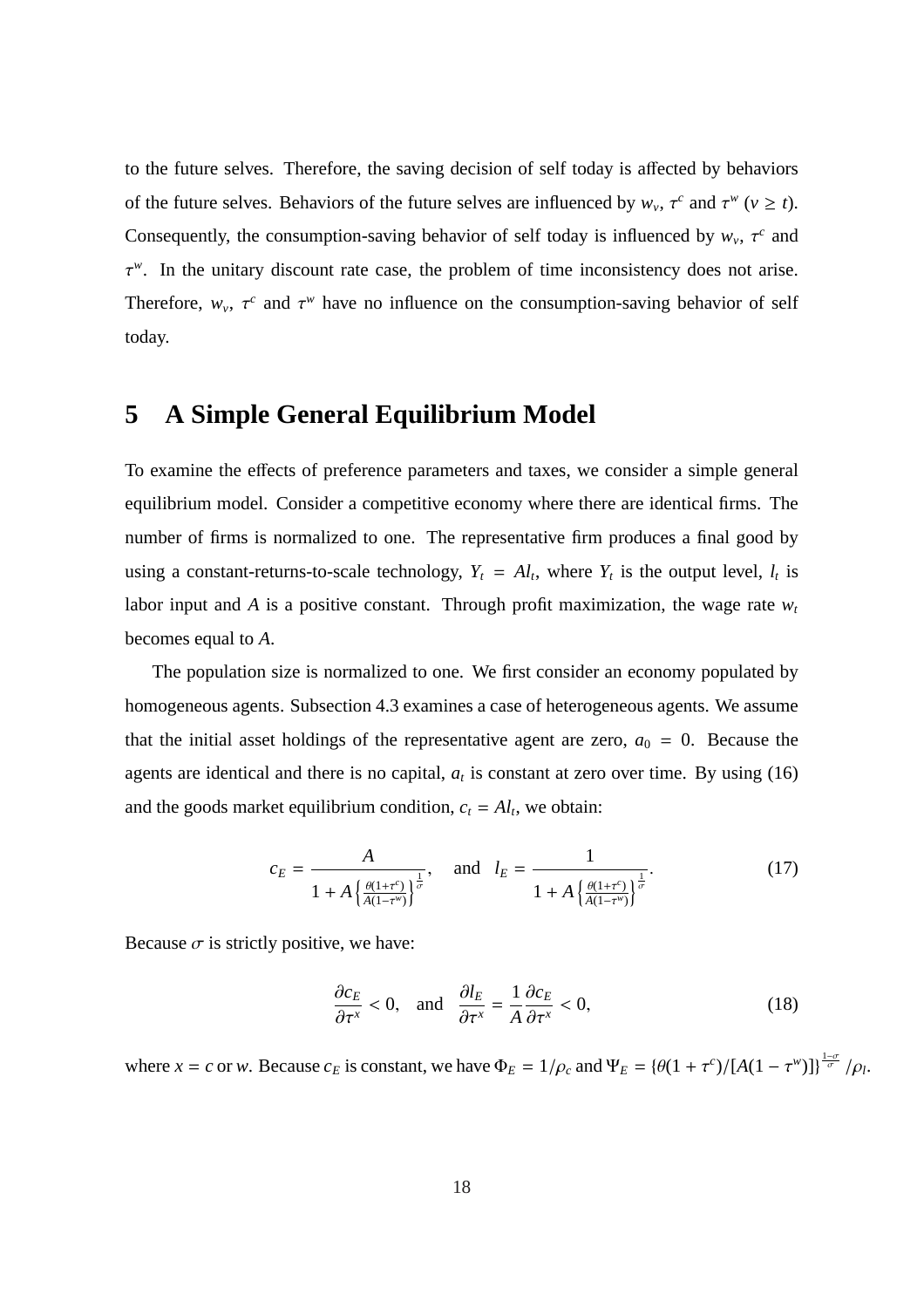to the future selves. Therefore, the saving decision of self today is affected by behaviors of the future selves. Behaviors of the future selves are influenced by  $w_v$ ,  $\tau^c$  and  $\tau^w$  ( $v \ge t$ ). Consequently, the consumption-saving behavior of self today is influenced by  $w_v$ ,  $\tau^c$  and  $\tau^w$ . In the unitary discount rate case, the problem of time inconsistency does not arise. Therefore,  $w_v$ ,  $\tau^c$  and  $\tau^w$  have no influence on the consumption-saving behavior of self today.

### **5 A Simple General Equilibrium Model**

To examine the effects of preference parameters and taxes, we consider a simple general equilibrium model. Consider a competitive economy where there are identical firms. The number of firms is normalized to one. The representative firm produces a final good by using a constant-returns-to-scale technology,  $Y_t = A_l$ , where  $Y_t$  is the output level,  $l_t$  is labor input and *A* is a positive constant. Through profit maximization, the wage rate  $w_t$ becomes equal to *A*.

The population size is normalized to one. We first consider an economy populated by homogeneous agents. Subsection 4.3 examines a case of heterogeneous agents. We assume that the initial asset holdings of the representative agent are zero,  $a_0 = 0$ . Because the agents are identical and there is no capital,  $a_t$  is constant at zero over time. By using (16) and the goods market equilibrium condition,  $c_t = A_l$ , we obtain:

$$
c_E = \frac{A}{1 + A \left(\frac{\theta(1 + \tau^c)}{A(1 - \tau^w)}\right)^{\frac{1}{\sigma}}}, \quad \text{and} \quad l_E = \frac{1}{1 + A \left(\frac{\theta(1 + \tau^c)}{A(1 - \tau^w)}\right)^{\frac{1}{\sigma}}}.
$$
 (17)

Because  $\sigma$  is strictly positive, we have:

$$
\frac{\partial c_E}{\partial \tau^x} < 0, \quad \text{and} \quad \frac{\partial l_E}{\partial \tau^x} = \frac{1}{A} \frac{\partial c_E}{\partial \tau^x} < 0,\tag{18}
$$

where  $x = c$  or *w*. Because  $c_E$  is constant, we have  $\Phi_E = 1/\rho_c$  and  $\Psi_E = {\theta(1 + \tau^c)}/{[A(1 - \tau^w)]}^{\frac{1-\sigma}{\sigma}}/\rho_l$ .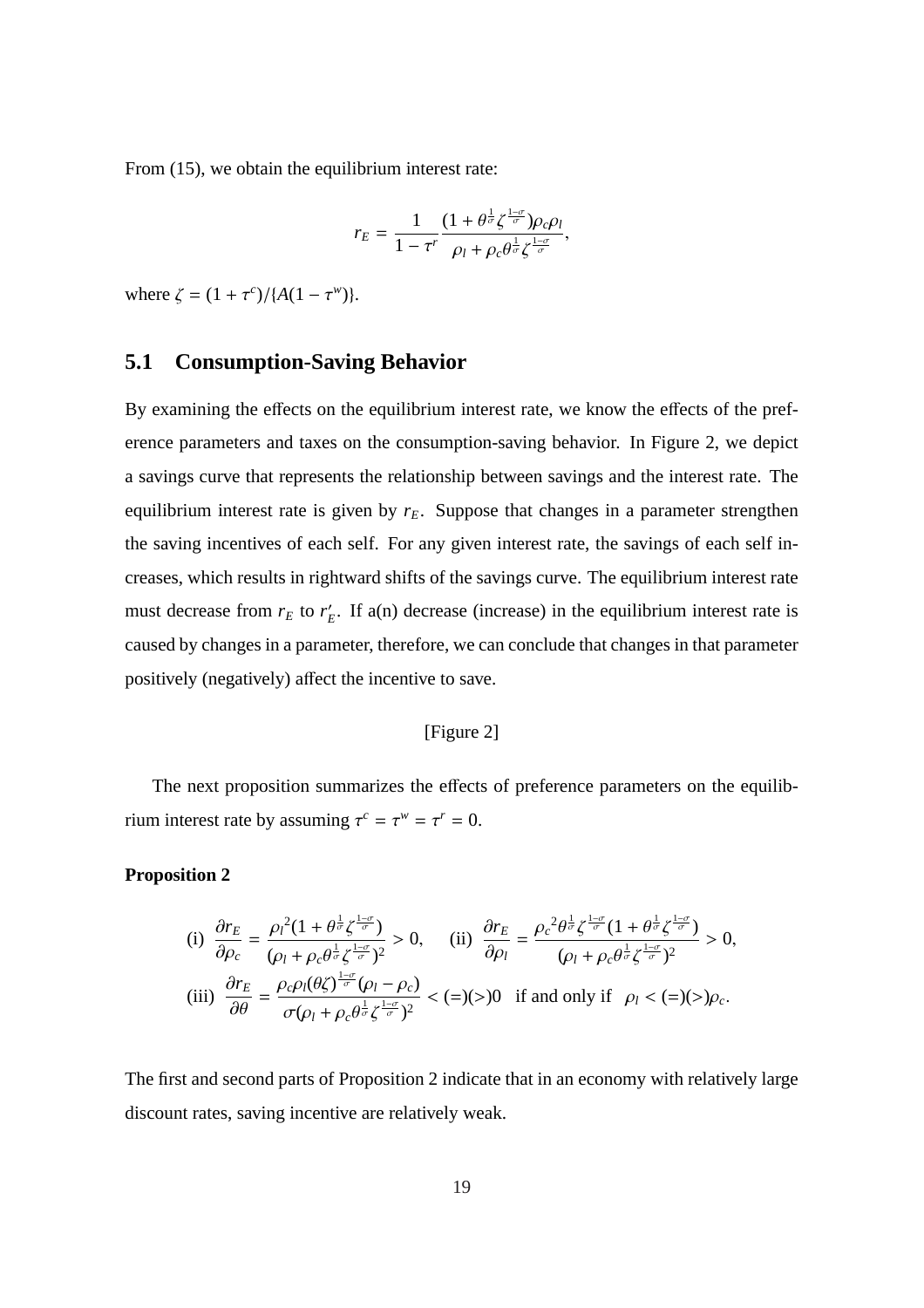From  $(15)$ , we obtain the equilibrium interest rate:

$$
r_E = \frac{1}{1 - \tau^r} \frac{(1 + \theta^{\frac{1}{\sigma}} \zeta^{\frac{1 - \sigma}{\sigma}}) \rho_c \rho_l}{\rho_l + \rho_c \theta^{\frac{1}{\sigma}} \zeta^{\frac{1 - \sigma}{\sigma}}},
$$

where  $\zeta = (1 + \tau^c) / {A(1 - \tau^w)}$ .

#### **5.1 Consumption-Saving Behavior**

By examining the effects on the equilibrium interest rate, we know the effects of the preference parameters and taxes on the consumption-saving behavior. In Figure 2, we depict a savings curve that represents the relationship between savings and the interest rate. The equilibrium interest rate is given by  $r_E$ . Suppose that changes in a parameter strengthen the saving incentives of each self. For any given interest rate, the savings of each self increases, which results in rightward shifts of the savings curve. The equilibrium interest rate must decrease from  $r_E$  to  $r'_F$  $E$ . If a(n) decrease (increase) in the equilibrium interest rate is caused by changes in a parameter, therefore, we can conclude that changes in that parameter positively (negatively) affect the incentive to save.

#### [Figure 2]

The next proposition summarizes the effects of preference parameters on the equilibrium interest rate by assuming  $\tau^c = \tau^w = \tau^r = 0$ .

#### **Proposition 2**

(i) 
$$
\frac{\partial r_E}{\partial \rho_c} = \frac{\rho_l^2 (1 + \theta^{\frac{1}{\sigma}} \zeta^{\frac{1-\sigma}{\sigma}})}{(\rho_l + \rho_c \theta^{\frac{1}{\sigma}} \zeta^{\frac{1-\sigma}{\sigma}})^2} > 0, \quad \text{(ii) } \frac{\partial r_E}{\partial \rho_l} = \frac{\rho_c^2 \theta^{\frac{1}{\sigma}} \zeta^{\frac{1-\sigma}{\sigma}} (1 + \theta^{\frac{1}{\sigma}} \zeta^{\frac{1-\sigma}{\sigma}})}{(\rho_l + \rho_c \theta^{\frac{1}{\sigma}} \zeta^{\frac{1-\sigma}{\sigma}})^2} > 0,
$$
  
(iii) 
$$
\frac{\partial r_E}{\partial \theta} = \frac{\rho_c \rho_l (\theta \zeta)^{\frac{1-\sigma}{\sigma}} (\rho_l - \rho_c)}{\sigma (\rho_l + \rho_c \theta^{\frac{1}{\sigma}} \zeta^{\frac{1-\sigma}{\sigma}})^2} < (=)(>0) \text{ if and only if } \rho_l < (=)(>)\rho_c.
$$

The first and second parts of Proposition 2 indicate that in an economy with relatively large discount rates, saving incentive are relatively weak.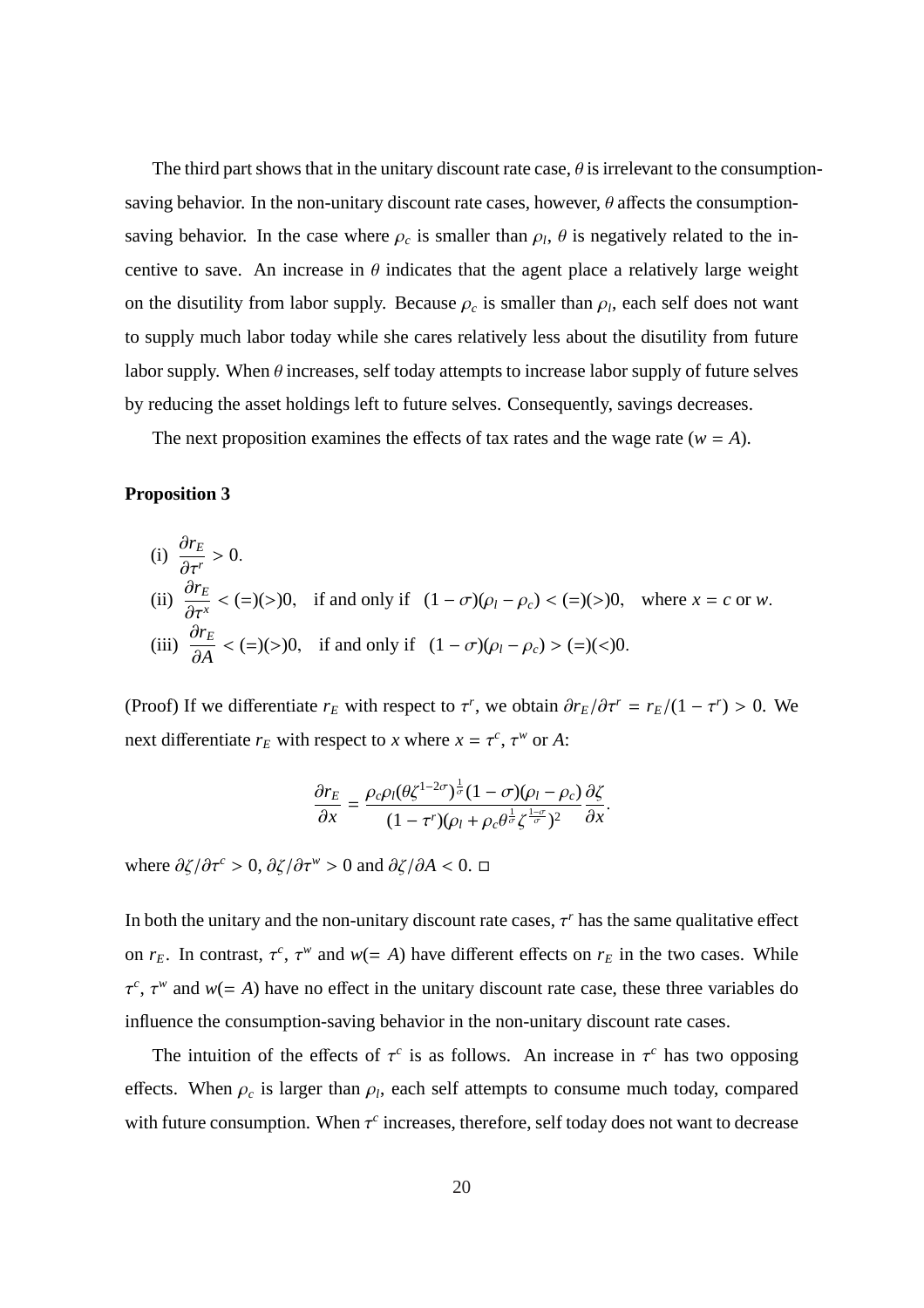The third part shows that in the unitary discount rate case,  $\theta$  is irrelevant to the consumptionsaving behavior. In the non-unitary discount rate cases, however,  $\theta$  affects the consumptionsaving behavior. In the case where  $\rho_c$  is smaller than  $\rho_l$ ,  $\theta$  is negatively related to the incentive to save. An increase in  $\theta$  indicates that the agent place a relatively large weight on the disutility from labor supply. Because  $\rho_c$  is smaller than  $\rho_l$ , each self does not want to supply much labor today while she cares relatively less about the disutility from future labor supply. When  $\theta$  increases, self today attempts to increase labor supply of future selves by reducing the asset holdings left to future selves. Consequently, savings decreases.

The next proposition examines the effects of tax rates and the wage rate ( $w = A$ ).

#### **Proposition 3**

(i) 
$$
\frac{\partial r_E}{\partial \tau^r} > 0
$$
.  
\n(ii)  $\frac{\partial r_E}{\partial \tau^x} < (=(>)(>))0$ , if and only if  $(1 - \sigma)(\rho_l - \rho_c) < (=(>)(>)0$ , where  $x = c$  or w.  
\n(iii)  $\frac{\partial r_E}{\partial A} < (=(>)(>)0$ , if and only if  $(1 - \sigma)(\rho_l - \rho_c) > (=() <)0$ .

(Proof) If we differentiate  $r_E$  with respect to  $\tau^r$ , we obtain  $\partial r_E/\partial \tau^r = r_E/(1 - \tau^r) > 0$ . We next differentiate  $r_E$  with respect to *x* where  $x = \tau^c$ ,  $\tau^w$  or *A*:

$$
\frac{\partial r_E}{\partial x} = \frac{\rho_c \rho_l (\theta \zeta^{1-2\sigma})^{\frac{1}{\sigma}} (1-\sigma) (\rho_l - \rho_c)}{(1-\tau^r) (\rho_l + \rho_c \theta^{\frac{1}{\sigma}} \zeta^{\frac{1-\sigma}{\sigma}})^2} \frac{\partial \zeta}{\partial x}.
$$

where  $\partial \zeta / \partial \tau^c > 0$ ,  $\partial \zeta / \partial \tau^w > 0$  and  $\partial \zeta / \partial A < 0$ .  $\Box$ 

In both the unitary and the non-unitary discount rate cases,  $\tau^r$  has the same qualitative effect on  $r_E$ . In contrast,  $\tau^c$ ,  $\tau^w$  and  $w(= A)$  have different effects on  $r_E$  in the two cases. While  $\tau^c$ ,  $\tau^w$  and  $w (= A)$  have no effect in the unitary discount rate case, these three variables do influence the consumption-saving behavior in the non-unitary discount rate cases.

The intuition of the effects of  $\tau^c$  is as follows. An increase in  $\tau^c$  has two opposing effects. When  $\rho_c$  is larger than  $\rho_l$ , each self attempts to consume much today, compared with future consumption. When  $\tau^c$  increases, therefore, self today does not want to decrease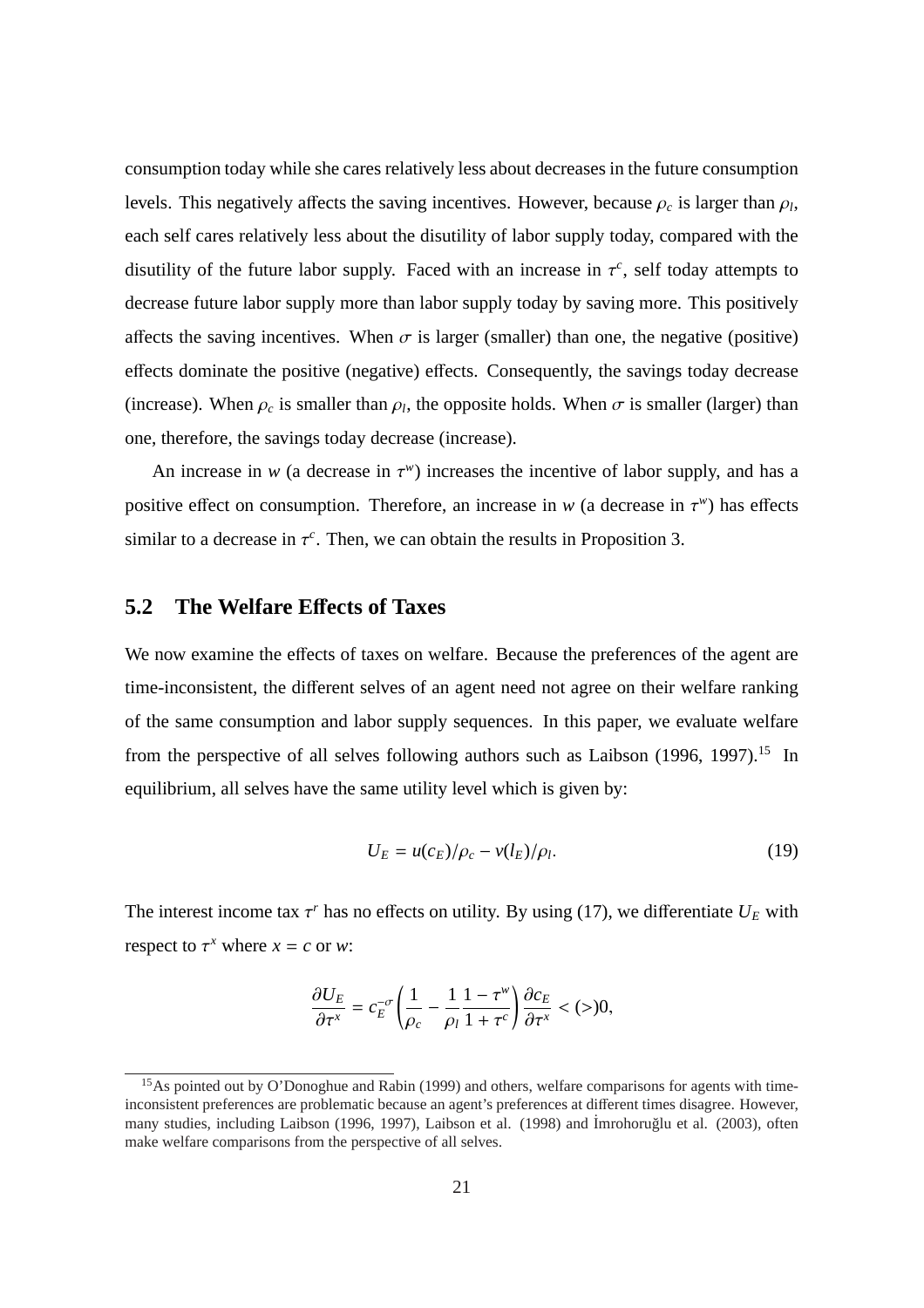consumption today while she cares relatively less about decreases in the future consumption levels. This negatively affects the saving incentives. However, because  $\rho_c$  is larger than  $\rho_l$ , each self cares relatively less about the disutility of labor supply today, compared with the disutility of the future labor supply. Faced with an increase in  $\tau^c$ , self today attempts to decrease future labor supply more than labor supply today by saving more. This positively affects the saving incentives. When  $\sigma$  is larger (smaller) than one, the negative (positive) effects dominate the positive (negative) effects. Consequently, the savings today decrease (increase). When  $\rho_c$  is smaller than  $\rho_l$ , the opposite holds. When  $\sigma$  is smaller (larger) than one, therefore, the savings today decrease (increase).

An increase in  $w$  (a decrease in  $\tau^w$ ) increases the incentive of labor supply, and has a positive effect on consumption. Therefore, an increase in  $w$  (a decrease in  $\tau^w$ ) has effects similar to a decrease in  $\tau^c$ . Then, we can obtain the results in Proposition 3.

### **5.2 The Welfare E**ff**ects of Taxes**

We now examine the effects of taxes on welfare. Because the preferences of the agent are time-inconsistent, the different selves of an agent need not agree on their welfare ranking of the same consumption and labor supply sequences. In this paper, we evaluate welfare from the perspective of all selves following authors such as Laibson  $(1996, 1997)$ .<sup>15</sup> In equilibrium, all selves have the same utility level which is given by:

$$
U_E = u(c_E)/\rho_c - v(l_E)/\rho_l. \tag{19}
$$

The interest income tax  $\tau^r$  has no effects on utility. By using (17), we differentiate  $U_E$  with respect to  $\tau^x$  where  $x = c$  or *w*:

$$
\frac{\partial U_E}{\partial \tau^x} = c_E^{-\sigma} \left( \frac{1}{\rho_c} - \frac{1}{\rho_l} \frac{1 - \tau^w}{1 + \tau^c} \right) \frac{\partial c_E}{\partial \tau^x} < (>)0,
$$

<sup>&</sup>lt;sup>15</sup>As pointed out by O'Donoghue and Rabin (1999) and others, welfare comparisons for agents with timeinconsistent preferences are problematic because an agent's preferences at different times disagree. However, many studies, including Laibson (1996, 1997), Laibson et al. (1998) and İmrohoruğlu et al. (2003), often make welfare comparisons from the perspective of all selves.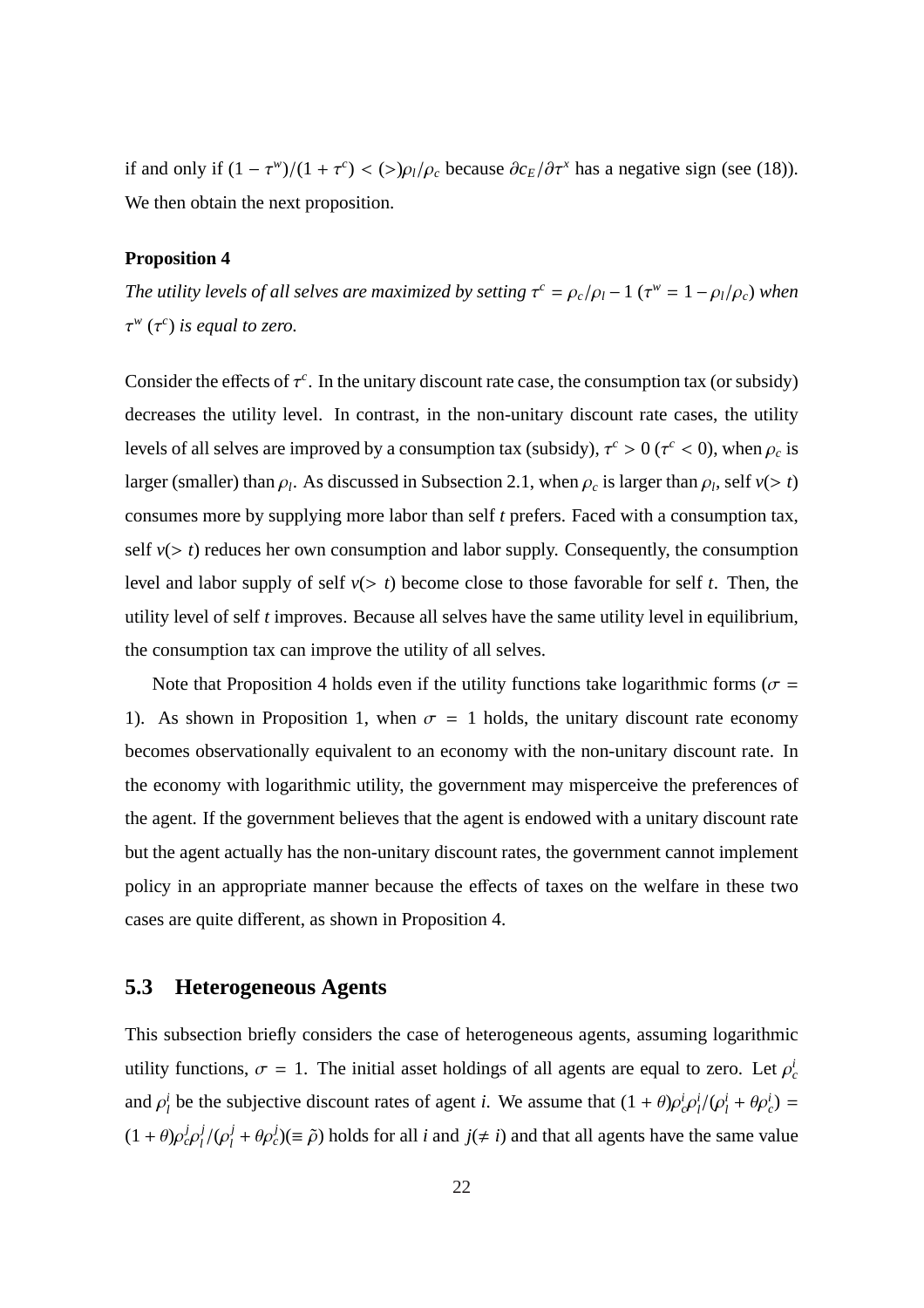if and only if  $(1 - \tau^w)/(1 + \tau^c) < (>\rho_l/\rho_c)$  because  $\partial c_E/\partial \tau^x$  has a negative sign (see (18)). We then obtain the next proposition.

#### **Proposition 4**

*The utility levels of all selves are maximized by setting*  $\tau^c = \rho_c/\rho_l - 1$  ( $\tau^w = 1 - \rho_l/\rho_c$ ) when  $\tau^w$  ( $\tau^c$ ) *is equal to zero.* 

Consider the effects of  $\tau^c$ . In the unitary discount rate case, the consumption tax (or subsidy) decreases the utility level. In contrast, in the non-unitary discount rate cases, the utility levels of all selves are improved by a consumption tax (subsidy),  $\tau^c > 0$  ( $\tau^c < 0$ ), when  $\rho_c$  is larger (smaller) than  $\rho_l$ . As discussed in Subsection 2.1, when  $\rho_c$  is larger than  $\rho_l$ , self  $v(> t)$ consumes more by supplying more labor than self *t* prefers. Faced with a consumption tax, self  $v(> t)$  reduces her own consumption and labor supply. Consequently, the consumption level and labor supply of self  $v(> t)$  become close to those favorable for self *t*. Then, the utility level of self *t* improves. Because all selves have the same utility level in equilibrium, the consumption tax can improve the utility of all selves.

Note that Proposition 4 holds even if the utility functions take logarithmic forms ( $\sigma$  = 1). As shown in Proposition 1, when  $\sigma = 1$  holds, the unitary discount rate economy becomes observationally equivalent to an economy with the non-unitary discount rate. In the economy with logarithmic utility, the government may misperceive the preferences of the agent. If the government believes that the agent is endowed with a unitary discount rate but the agent actually has the non-unitary discount rates, the government cannot implement policy in an appropriate manner because the effects of taxes on the welfare in these two cases are quite different, as shown in Proposition 4.

### **5.3 Heterogeneous Agents**

This subsection briefly considers the case of heterogeneous agents, assuming logarithmic utility functions,  $\sigma = 1$ . The initial asset holdings of all agents are equal to zero. Let  $\rho_c^i$ and  $\rho_l^i$ *l*<sup>*i*</sup> be the subjective discount rates of agent *i*. We assume that  $(1 + \theta)\rho_c^i \rho_l^i$  $\frac{i}{l}/(\rho_l^i + \theta \rho_c^i) =$  $(1+\theta)\rho_c^j\rho_l^j$ *l* /(ρ *j*  $j_l^j + \theta \rho_c^j$ )( $\equiv \tilde{\rho}$ ) holds for all *i* and *j*( $\neq i$ ) and that all agents have the same value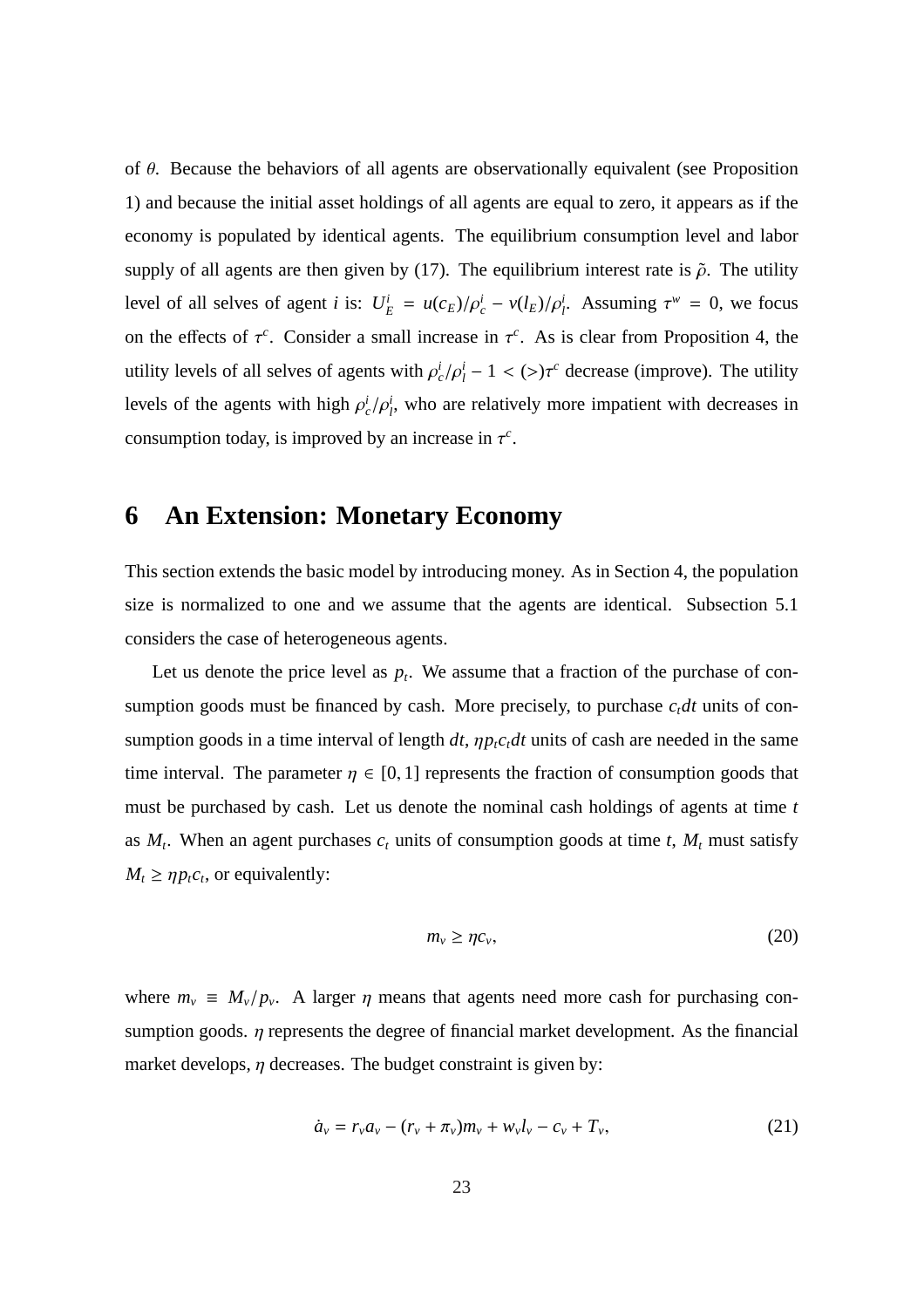of  $\theta$ . Because the behaviors of all agents are observationally equivalent (see Proposition 1) and because the initial asset holdings of all agents are equal to zero, it appears as if the economy is populated by identical agents. The equilibrium consumption level and labor supply of all agents are then given by (17). The equilibrium interest rate is  $\tilde{\rho}$ . The utility level of all selves of agent *i* is:  $U_E^i = u(c_E)/\rho_c^i - v(l_E)/\rho_l^i$ . Assuming  $\tau^w = 0$ , we focus on the effects of  $\tau^c$ . Consider a small increase in  $\tau^c$ . As is clear from Proposition 4, the utility levels of all selves of agents with  $\rho_c^i/\rho_l^i - 1 < (>)\tau_c^c$  decrease (improve). The utility levels of the agents with high  $\rho_c^i/\rho_f^i$ , who are relatively more impatient with decreases in consumption today, is improved by an increase in  $\tau^c$ .

# **6 An Extension: Monetary Economy**

This section extends the basic model by introducing money. As in Section 4, the population size is normalized to one and we assume that the agents are identical. Subsection 5.1 considers the case of heterogeneous agents.

Let us denote the price level as  $p_t$ . We assume that a fraction of the purchase of consumption goods must be financed by cash. More precisely, to purchase  $c_t dt$  units of consumption goods in a time interval of length  $dt$ ,  $\eta p_t c_t dt$  units of cash are needed in the same time interval. The parameter  $\eta \in [0, 1]$  represents the fraction of consumption goods that must be purchased by cash. Let us denote the nominal cash holdings of agents at time *t* as  $M_t$ . When an agent purchases  $c_t$  units of consumption goods at time  $t$ ,  $M_t$  must satisfy  $M_t \ge \eta p_t c_t$ , or equivalently:

$$
m_{\nu} \ge \eta c_{\nu},\tag{20}
$$

where  $m_v \equiv M_v/p_v$ . A larger  $\eta$  means that agents need more cash for purchasing consumption goods.  $\eta$  represents the degree of financial market development. As the financial market develops,  $\eta$  decreases. The budget constraint is given by:

$$
\dot{a}_v = r_v a_v - (r_v + \pi_v) m_v + w_v l_v - c_v + T_v,
$$
\n(21)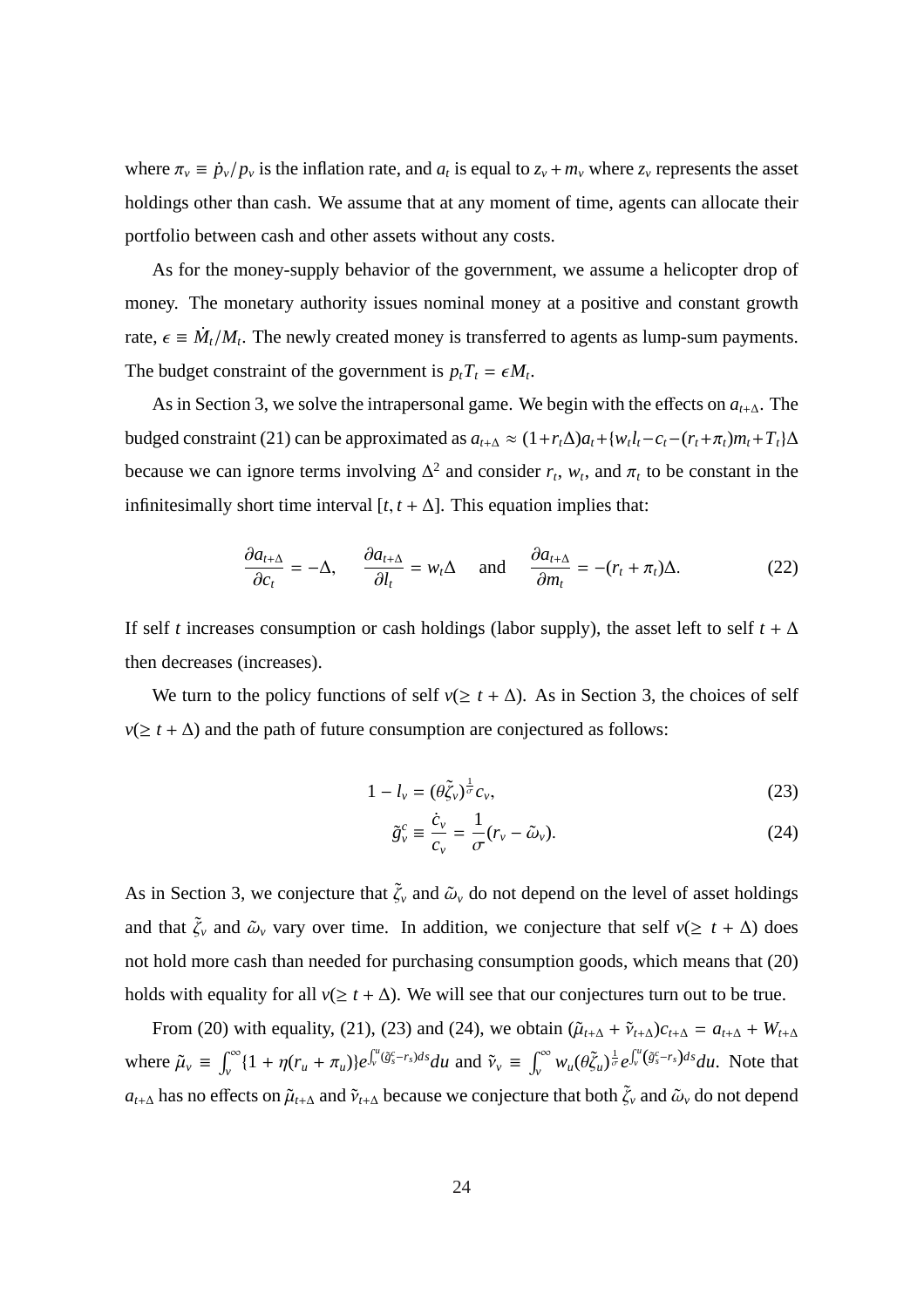where  $\pi_v \equiv \dot{p}_v / p_v$  is the inflation rate, and  $a_t$  is equal to  $z_v + m_v$  where  $z_v$  represents the asset holdings other than cash. We assume that at any moment of time, agents can allocate their portfolio between cash and other assets without any costs.

As for the money-supply behavior of the government, we assume a helicopter drop of money. The monetary authority issues nominal money at a positive and constant growth rate,  $\epsilon \equiv \dot{M}_t / M_t$ . The newly created money is transferred to agents as lump-sum payments. The budget constraint of the government is  $p_t T_t = \epsilon M_t$ .

As in Section 3, we solve the intrapersonal game. We begin with the effects on *at*+∆. The budged constraint (21) can be approximated as  $a_{t+\Delta} \approx (1 + r_t \Delta)a_t + \{w_t l_t - c_t - (r_t + \pi_t)m_t + T_t\}\Delta$ because we can ignore terms involving  $\Delta^2$  and consider  $r_t$ ,  $w_t$ , and  $\pi_t$  to be constant in the infinitesimally short time interval  $[t, t + \Delta]$ . This equation implies that:

$$
\frac{\partial a_{t+\Delta}}{\partial c_t} = -\Delta, \qquad \frac{\partial a_{t+\Delta}}{\partial l_t} = w_t \Delta \qquad \text{and} \qquad \frac{\partial a_{t+\Delta}}{\partial m_t} = -(r_t + \pi_t) \Delta. \tag{22}
$$

If self *t* increases consumption or cash holdings (labor supply), the asset left to self  $t + \Delta$ then decreases (increases).

We turn to the policy functions of self  $v(\geq t + \Delta)$ . As in Section 3, the choices of self  $v(\geq t + \Delta)$  and the path of future consumption are conjectured as follows:

$$
1 - l_{\nu} = (\theta \tilde{\zeta}_{\nu})^{\frac{1}{\sigma}} c_{\nu},\tag{23}
$$

$$
\tilde{g}_{\nu}^{c} \equiv \frac{\dot{c}_{\nu}}{c_{\nu}} = \frac{1}{\sigma} (r_{\nu} - \tilde{\omega}_{\nu}).
$$
\n(24)

As in Section 3, we conjecture that  $\tilde{\zeta}_v$  and  $\tilde{\omega}_v$  do not depend on the level of asset holdings and that  $\tilde{\zeta}_v$  and  $\tilde{\omega}_v$  vary over time. In addition, we conjecture that self  $v(\geq t + \Delta)$  does not hold more cash than needed for purchasing consumption goods, which means that (20) holds with equality for all  $v(\geq t + \Delta)$ . We will see that our conjectures turn out to be true.

From (20) with equality, (21), (23) and (24), we obtain  $(\tilde{\mu}_{t+\Delta} + \tilde{\nu}_{t+\Delta})c_{t+\Delta} = a_{t+\Delta} + W_{t+\Delta}$ where  $\tilde{\mu}_v$  =  $\int_0^\infty$  $\int_{v}^{\infty} \{1 + \eta(r_u + \pi_u)\} e^{-\frac{1}{2}r_u}$  $\int u$  $\int_{v}^{u} (\tilde{g}_{s}^{c} - r_{s}) ds du$  and  $\tilde{v}_{v} \equiv$  $r^{\infty}$  $\int_{v}^{\infty} w_u(\theta \tilde{\zeta}_u)^{\frac{1}{\sigma}} e$  $\int u$  $\int_{v}^{u} (\tilde{g}_{s}^{c} - r_{s}) ds du$ . Note that  $a_{t+\Delta}$  has no effects on  $\tilde{\mu}_{t+\Delta}$  and  $\tilde{\nu}_{t+\Delta}$  because we conjecture that both  $\tilde{\zeta}_v$  and  $\tilde{\omega}_v$  do not depend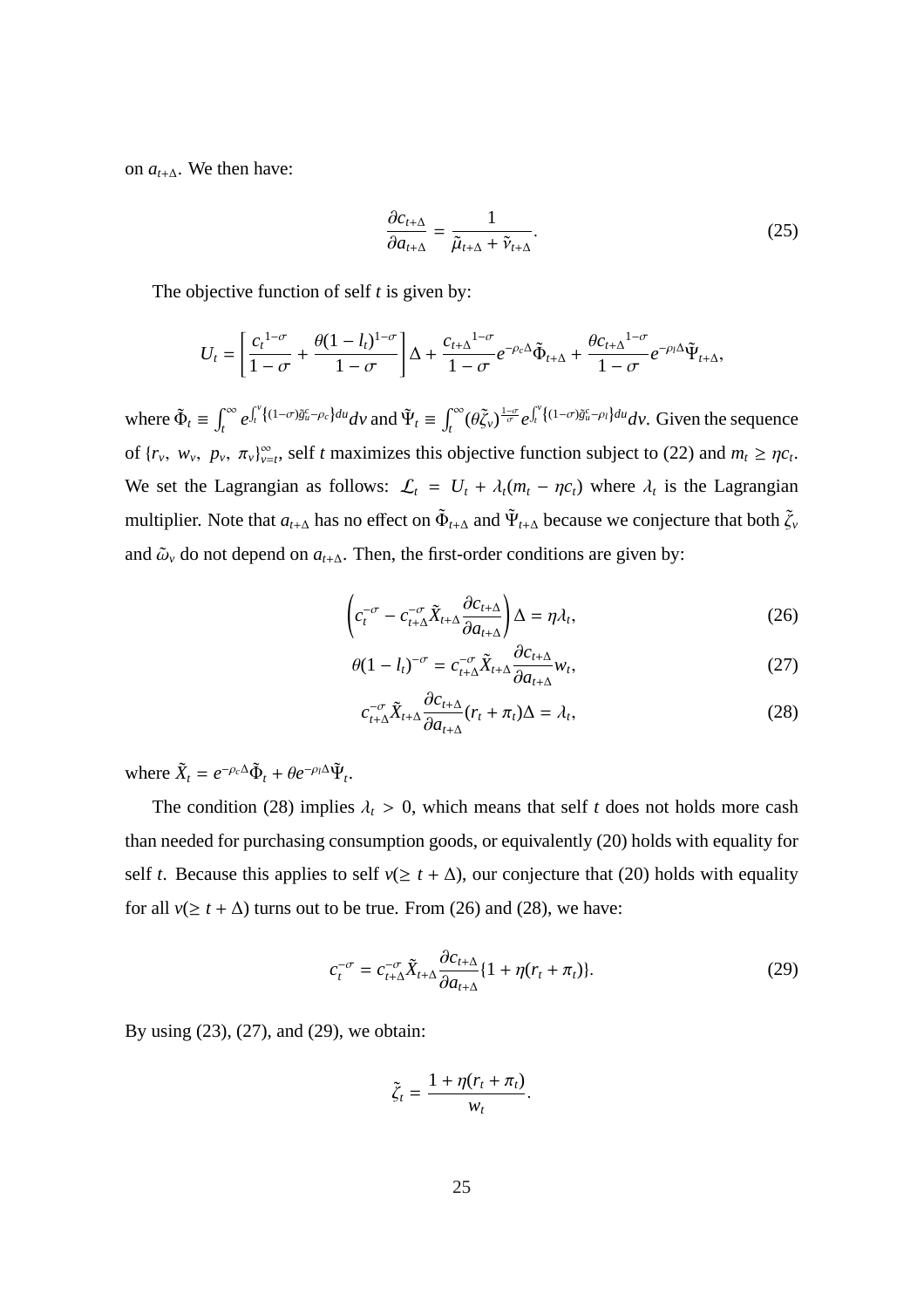on  $a_{t+\Delta}$ . We then have:

$$
\frac{\partial c_{t+\Delta}}{\partial a_{t+\Delta}} = \frac{1}{\tilde{\mu}_{t+\Delta} + \tilde{\nu}_{t+\Delta}}.\tag{25}
$$

The objective function of self *t* is given by:

$$
U_t = \left[\frac{c_t^{1-\sigma}}{1-\sigma} + \frac{\theta(1-l_t)^{1-\sigma}}{1-\sigma}\right]\Delta + \frac{c_{t+\Delta}^{1-\sigma}}{1-\sigma}e^{-\rho_c\Delta}\tilde{\Phi}_{t+\Delta} + \frac{\theta c_{t+\Delta}^{1-\sigma}}{1-\sigma}e^{-\rho_l\Delta}\tilde{\Psi}_{t+\Delta},
$$

where  $\tilde{\Phi}_t \equiv$  $\int_0^\infty$ *t e*  $\mathbf{r}^{\nu}$  $\oint_t^{\nu} \{(1-\sigma)\tilde{g}_u^c - \rho_c\} du \, dv$  and  $\tilde{\Psi}_t \equiv$  $\int_0^\infty$ *t*<sup>∞</sup> (θξ<sub>ν</sub>)  $\frac{1-\sigma}{\sigma}$ e  $\mathbf{r}^{\nu}$ *t*<sup>γ'</sup>{<sup>(1−σ) $\tilde{g}_{u}^{c}$ - $\rho$ <sub>*l</sub>*}*dud*<sub>*v*</sub>. Given the sequence</sup></sub> of  $\{r_v, w_v, p_v, \pi_v\}_{v=t}^{\infty}$ , self *t* maximizes this objective function subject to (22) and  $m_t \geq \eta c_t$ . We set the Lagrangian as follows:  $\mathcal{L}_t = U_t + \lambda_t (m_t - \eta c_t)$  where  $\lambda_t$  is the Lagrangian multiplier. Note that  $a_{t+\Delta}$  has no effect on  $\tilde{\Phi}_{t+\Delta}$  and  $\Psi_{t+\Delta}$  because we conjecture that both  $\tilde{\zeta}_v$ and  $\tilde{\omega}_v$  do not depend on  $a_{t+\Delta}$ . Then, the first-order conditions are given by:

$$
\left(c_t^{-\sigma} - c_{t+\Delta}^{-\sigma} \tilde{X}_{t+\Delta} \frac{\partial c_{t+\Delta}}{\partial a_{t+\Delta}}\right) \Delta = \eta \lambda_t, \tag{26}
$$

$$
\theta (1 - l_t)^{-\sigma} = c_{t + \Delta}^{-\sigma} \tilde{X}_{t + \Delta} \frac{\partial c_{t + \Delta}}{\partial a_{t + \Delta}} w_t,
$$
\n(27)

$$
c_{t+\Delta}^{-\sigma} \tilde{X}_{t+\Delta} \frac{\partial c_{t+\Delta}}{\partial a_{t+\Delta}} (r_t + \pi_t) \Delta = \lambda_t,
$$
\n(28)

where  $\tilde{X}_t = e^{-\rho_c \Delta} \tilde{\Phi}_t + \theta e^{-\rho_l \Delta} \tilde{\Psi}_t$ .

The condition (28) implies  $\lambda_t > 0$ , which means that self *t* does not holds more cash than needed for purchasing consumption goods, or equivalently (20) holds with equality for self *t*. Because this applies to self  $v(\geq t + \Delta)$ , our conjecture that (20) holds with equality for all  $v(\geq t + \Delta)$  turns out to be true. From (26) and (28), we have:

$$
c_t^{-\sigma} = c_{t+\Delta}^{-\sigma} \tilde{X}_{t+\Delta} \frac{\partial c_{t+\Delta}}{\partial a_{t+\Delta}} \{1 + \eta(r_t + \pi_t)\}.
$$
 (29)

By using (23), (27), and (29), we obtain:

$$
\tilde{\zeta}_t = \frac{1 + \eta(r_t + \pi_t)}{w_t}.
$$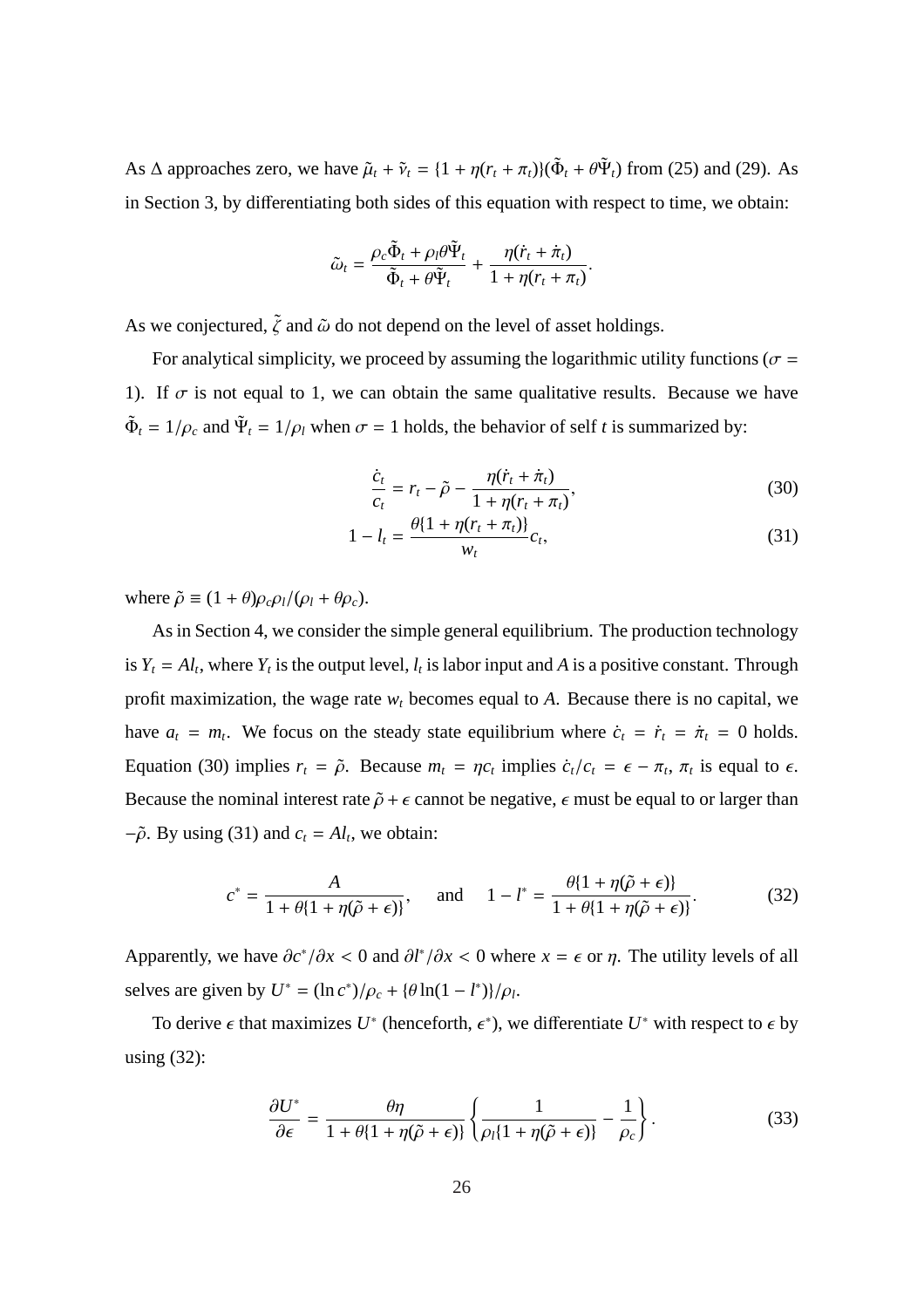As  $\Delta$  approaches zero, we have  $\tilde{\mu}_t + \tilde{\nu}_t = \{1 + \eta(r_t + \pi_t)\}\tilde{\Phi}_t + \theta \tilde{\Psi}_t\}$  from (25) and (29). As in Section 3, by differentiating both sides of this equation with respect to time, we obtain:

$$
\tilde{\omega}_t = \frac{\rho_c \tilde{\Phi}_t + \rho_l \theta \tilde{\Psi}_t}{\tilde{\Phi}_t + \theta \tilde{\Psi}_t} + \frac{\eta (\dot{r}_t + \dot{\pi}_t)}{1 + \eta (r_t + \pi_t)}
$$

As we conjectured,  $\tilde{\zeta}$  and  $\tilde{\omega}$  do not depend on the level of asset holdings.

For analytical simplicity, we proceed by assuming the logarithmic utility functions ( $\sigma$  = 1). If  $\sigma$  is not equal to 1, we can obtain the same qualitative results. Because we have  $\tilde{\Phi}_t = 1/\rho_c$  and  $\tilde{\Psi}_t = 1/\rho_l$  when  $\sigma = 1$  holds, the behavior of self *t* is summarized by:

$$
\frac{\dot{c}_t}{c_t} = r_t - \tilde{\rho} - \frac{\eta(\dot{r}_t + \dot{\pi}_t)}{1 + \eta(r_t + \pi_t)},
$$
\n(30)

.

$$
1 - l_t = \frac{\theta \{1 + \eta (r_t + \pi_t)\}}{w_t} c_t,
$$
\n(31)

where  $\tilde{\rho} \equiv (1 + \theta) \rho_c \rho_l / (\rho_l + \theta \rho_c)$ .

As in Section 4, we consider the simple general equilibrium. The production technology is  $Y_t = A_l$ , where  $Y_t$  is the output level,  $l_t$  is labor input and A is a positive constant. Through profit maximization, the wage rate  $w_t$  becomes equal to  $A$ . Because there is no capital, we have  $a_t = m_t$ . We focus on the steady state equilibrium where  $\dot{c}_t = \dot{r}_t = \dot{\pi}_t = 0$  holds. Equation (30) implies  $r_t = \tilde{\rho}$ . Because  $m_t = \eta c_t$  implies  $\dot{c}_t/c_t = \epsilon - \pi_t$ ,  $\pi_t$  is equal to  $\epsilon$ . Because the nominal interest rate  $\tilde{\rho} + \epsilon$  cannot be negative,  $\epsilon$  must be equal to or larger than  $-\tilde{\rho}$ . By using (31) and  $c_t = A_l$ , we obtain:

$$
c^* = \frac{A}{1 + \theta \{1 + \eta(\tilde{\rho} + \epsilon)\}}, \quad \text{and} \quad 1 - l^* = \frac{\theta \{1 + \eta(\tilde{\rho} + \epsilon)\}}{1 + \theta \{1 + \eta(\tilde{\rho} + \epsilon)\}}.
$$
 (32)

Apparently, we have  $\partial c^* / \partial x < 0$  and  $\partial l^* / \partial x < 0$  where  $x = \epsilon$  or  $\eta$ . The utility levels of all selves are given by  $U^* = (\ln c^*)/\rho_c + (\theta \ln(1 - l^*))/\rho_l$ .

To derive  $\epsilon$  that maximizes  $U^*$  (henceforth,  $\epsilon^*$ ), we differentiate  $U^*$  with respect to  $\epsilon$  by using (32):

$$
\frac{\partial U^*}{\partial \epsilon} = \frac{\theta \eta}{1 + \theta \{1 + \eta(\tilde{\rho} + \epsilon)\}} \left\{ \frac{1}{\rho_l (1 + \eta(\tilde{\rho} + \epsilon))} - \frac{1}{\rho_c} \right\}.
$$
(33)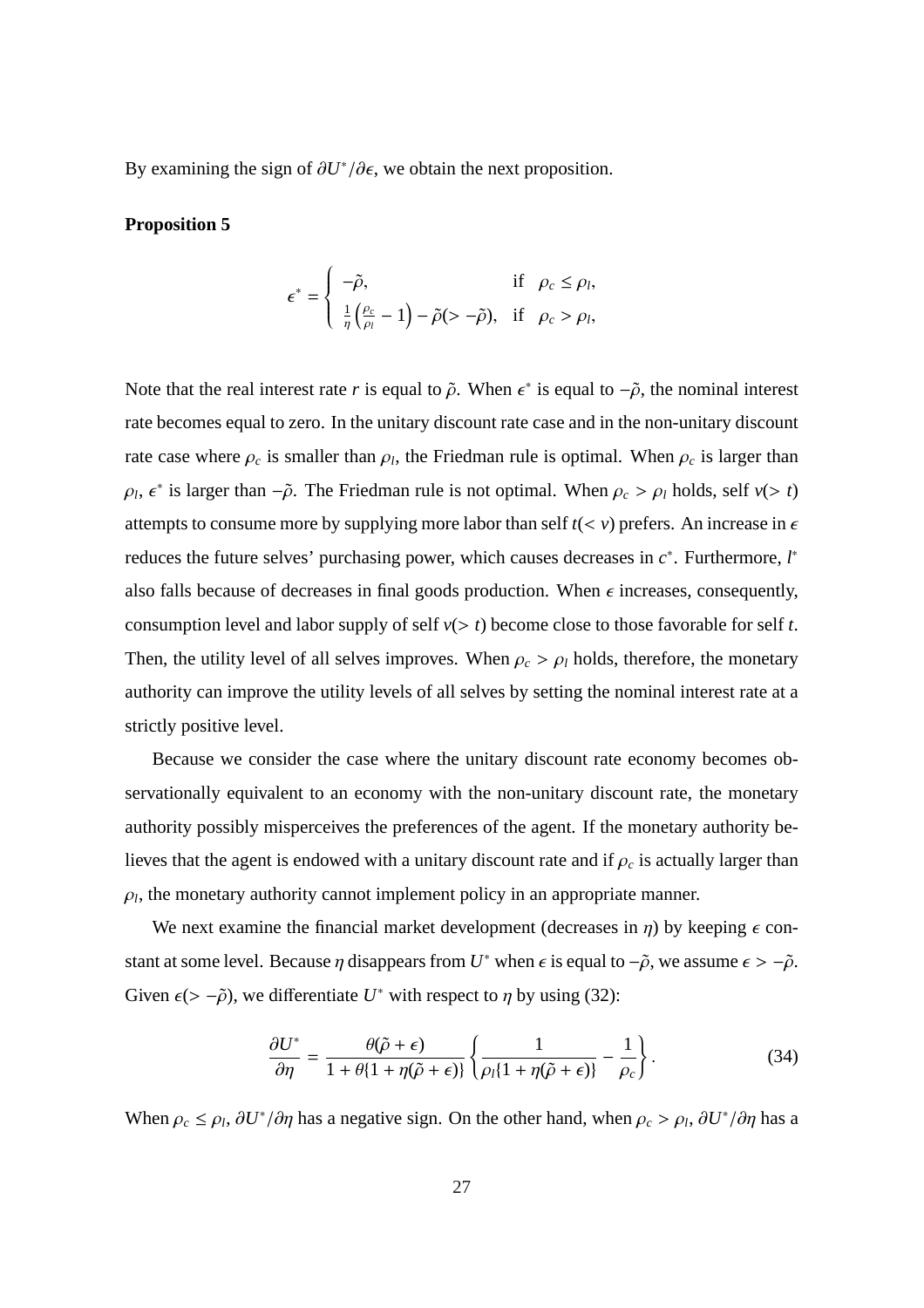By examining the sign of  $\partial U^*/\partial \epsilon$ , we obtain the next proposition.

#### **Proposition 5**

$$
\epsilon^* = \begin{cases} -\tilde{\rho}, & \text{if } \rho_c \leq \rho_l, \\ \frac{1}{\eta} \left( \frac{\rho_c}{\rho_l} - 1 \right) - \tilde{\rho} (> -\tilde{\rho}), & \text{if } \rho_c > \rho_l, \end{cases}
$$

Note that the real interest rate *r* is equal to  $\tilde{\rho}$ . When  $\epsilon^*$  is equal to  $-\tilde{\rho}$ , the nominal interest rate becomes equal to zero. In the unitary discount rate case and in the non-unitary discount rate case where  $\rho_c$  is smaller than  $\rho_l$ , the Friedman rule is optimal. When  $\rho_c$  is larger than  $\rho_l$ ,  $\epsilon^*$  is larger than  $-\tilde{\rho}$ . The Friedman rule is not optimal. When  $\rho_c > \rho_l$  holds, self *v*( $> t$ ) attempts to consume more by supplying more labor than self  $t \leq v$ ) prefers. An increase in  $\epsilon$ reduces the future selves' purchasing power, which causes decreases in *c* ∗ . Furthermore, *l* ∗ also falls because of decreases in final goods production. When  $\epsilon$  increases, consequently, consumption level and labor supply of self  $v(> t)$  become close to those favorable for self *t*. Then, the utility level of all selves improves. When  $\rho_c > \rho_l$  holds, therefore, the monetary authority can improve the utility levels of all selves by setting the nominal interest rate at a strictly positive level.

Because we consider the case where the unitary discount rate economy becomes observationally equivalent to an economy with the non-unitary discount rate, the monetary authority possibly misperceives the preferences of the agent. If the monetary authority believes that the agent is endowed with a unitary discount rate and if  $\rho_c$  is actually larger than  $\rho_l$ , the monetary authority cannot implement policy in an appropriate manner.

We next examine the financial market development (decreases in  $\eta$ ) by keeping  $\epsilon$  constant at some level. Because  $\eta$  disappears from  $U^*$  when  $\epsilon$  is equal to  $-\tilde{\rho}$ , we assume  $\epsilon > -\tilde{\rho}$ . Given  $\epsilon$ (> - $\tilde{\rho}$ ), we differentiate *U*<sup>\*</sup> with respect to  $\eta$  by using (32):

$$
\frac{\partial U^*}{\partial \eta} = \frac{\theta(\tilde{\rho} + \epsilon)}{1 + \theta \{1 + \eta(\tilde{\rho} + \epsilon)\}} \left\{ \frac{1}{\rho_l \{1 + \eta(\tilde{\rho} + \epsilon)\}} - \frac{1}{\rho_c} \right\}.
$$
(34)

When  $\rho_c \le \rho_l$ ,  $\partial U^* / \partial \eta$  has a negative sign. On the other hand, when  $\rho_c > \rho_l$ ,  $\partial U^* / \partial \eta$  has a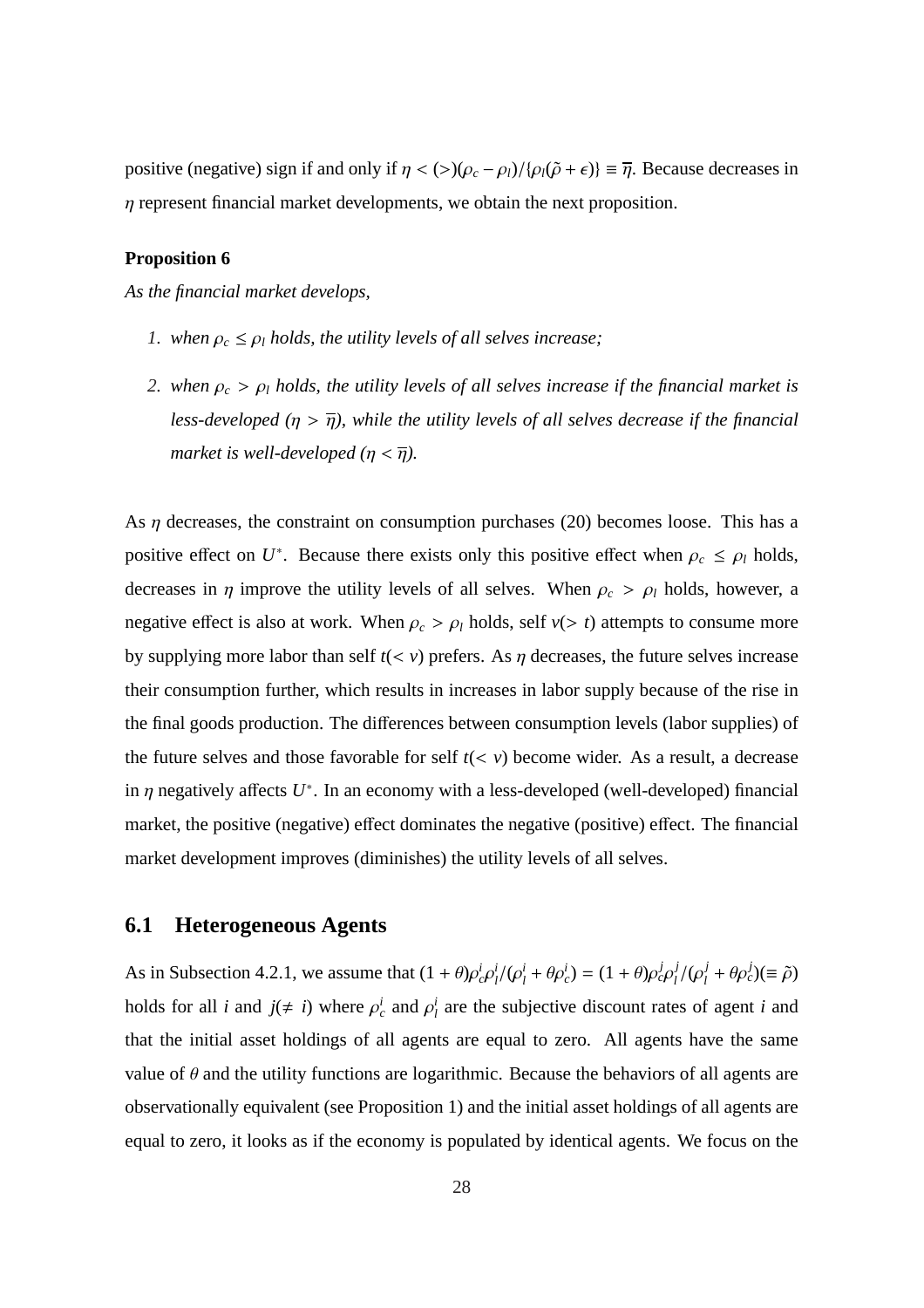positive (negative) sign if and only if  $\eta < (>(\rho_c - \rho_l)/{\rho_l(\tilde{\rho} + \epsilon)} \equiv \overline{\eta}$ . Because decreases in  $\eta$  represent financial market developments, we obtain the next proposition.

#### **Proposition 6**

*As the financial market develops,*

- *1. when*  $\rho_c \leq \rho_l$  *holds, the utility levels of all selves increase;*
- *2. when*  $\rho_c > \rho_l$  *holds, the utility levels of all selves increase if the financial market is less-developed* ( $\eta > \overline{\eta}$ ), while the utility levels of all selves decrease if the financial *market is well-developed (* $\eta < \overline{\eta}$ *).*

As  $\eta$  decreases, the constraint on consumption purchases (20) becomes loose. This has a positive effect on  $U^*$ . Because there exists only this positive effect when  $\rho_c \leq \rho_l$  holds, decreases in  $\eta$  improve the utility levels of all selves. When  $\rho_c > \rho_l$  holds, however, a negative effect is also at work. When  $\rho_c > \rho_l$  holds, self  $v(> t)$  attempts to consume more by supplying more labor than self  $t(*v*)$  prefers. As  $\eta$  decreases, the future selves increase their consumption further, which results in increases in labor supply because of the rise in the final goods production. The differences between consumption levels (labor supplies) of the future selves and those favorable for self  $t(*v*)$  become wider. As a result, a decrease in  $\eta$  negatively affects  $U^*$ . In an economy with a less-developed (well-developed) financial market, the positive (negative) effect dominates the negative (positive) effect. The financial market development improves (diminishes) the utility levels of all selves.

### **6.1 Heterogeneous Agents**

As in Subsection 4.2.1, we assume that  $(1 + \theta)\rho_c^i \rho_l^i$  $i_{l}^{i}/(\rho_{l}^{i} + \theta \rho_{c}^{i}) = (1 + \theta)\rho_{c}^{j}\rho_{l}^{j}$ *l* /(ρ *j*  $\frac{j}{l} + \theta \rho_c^j$  $( \equiv \tilde{\rho})$ holds for all *i* and  $j(\neq i)$  where  $\rho_c^i$  and  $\rho_l^i$  $\frac{i}{l}$  are the subjective discount rates of agent *i* and that the initial asset holdings of all agents are equal to zero. All agents have the same value of  $\theta$  and the utility functions are logarithmic. Because the behaviors of all agents are observationally equivalent (see Proposition 1) and the initial asset holdings of all agents are equal to zero, it looks as if the economy is populated by identical agents. We focus on the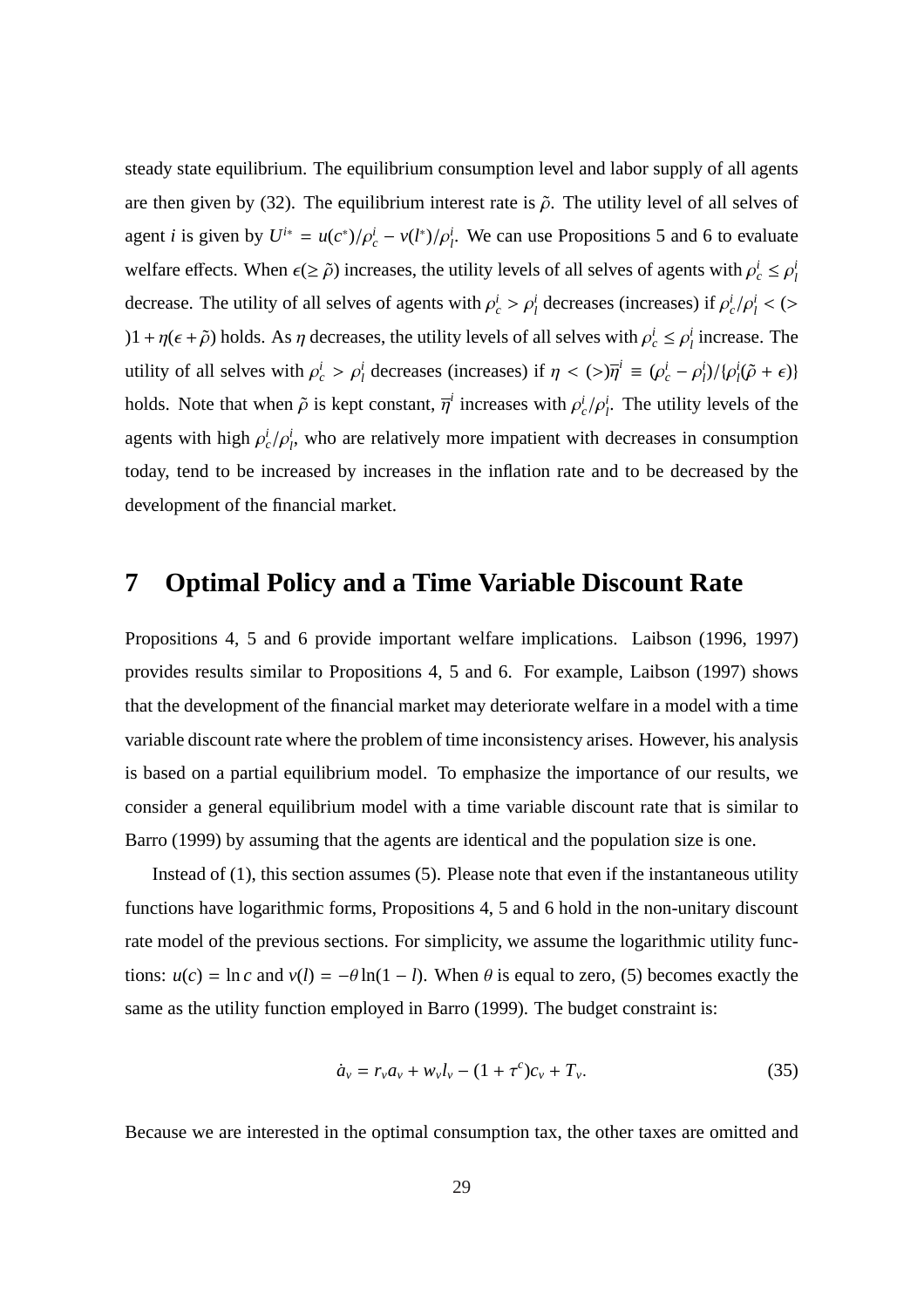steady state equilibrium. The equilibrium consumption level and labor supply of all agents are then given by (32). The equilibrium interest rate is  $\tilde{\rho}$ . The utility level of all selves of agent *i* is given by  $U^{i*} = u(c^*)/\rho_c^i - v(l^*)/\rho_l^i$ . We can use Propositions 5 and 6 to evaluate welfare effects. When  $\epsilon (\ge \tilde{\rho})$  increases, the utility levels of all selves of agents with  $\rho_c^i \le \rho_l^i$ *l* decrease. The utility of all selves of agents with  $\rho_c^i > \rho_l^i$  decreases (increases) if  $\rho_c^i/\rho_l^i <$  (>  $(1 + \eta(\epsilon + \tilde{\rho}))$  holds. As  $\eta$  decreases, the utility levels of all selves with  $\rho_c^i \leq \rho_l^i$  $i_l$  increase. The utility of all selves with  $\rho_c^i > \rho_l^i$  decreases (increases) if  $\eta < (>\eta_l^i \equiv (\rho_c^i - \rho_l^i)$ *l* )/{ρ *i*  $\sum_{l}^{i}(\tilde{\rho}+\epsilon)$ } holds. Note that when  $\tilde{\rho}$  is kept constant,  $\overline{\eta}^i$  increases with  $\rho_c^i/\rho_f^i$ . The utility levels of the agents with high  $\rho_c^i/\rho_l^i$ , who are relatively more impatient with decreases in consumption today, tend to be increased by increases in the inflation rate and to be decreased by the development of the financial market.

### **7 Optimal Policy and a Time Variable Discount Rate**

Propositions 4, 5 and 6 provide important welfare implications. Laibson (1996, 1997) provides results similar to Propositions 4, 5 and 6. For example, Laibson (1997) shows that the development of the financial market may deteriorate welfare in a model with a time variable discount rate where the problem of time inconsistency arises. However, his analysis is based on a partial equilibrium model. To emphasize the importance of our results, we consider a general equilibrium model with a time variable discount rate that is similar to Barro (1999) by assuming that the agents are identical and the population size is one.

Instead of (1), this section assumes (5). Please note that even if the instantaneous utility functions have logarithmic forms, Propositions 4, 5 and 6 hold in the non-unitary discount rate model of the previous sections. For simplicity, we assume the logarithmic utility functions:  $u(c) = \ln c$  and  $v(l) = -\theta \ln(1 - l)$ . When  $\theta$  is equal to zero, (5) becomes exactly the same as the utility function employed in Barro (1999). The budget constraint is:

$$
\dot{a}_v = r_v a_v + w_v l_v - (1 + \tau^c) c_v + T_v. \tag{35}
$$

Because we are interested in the optimal consumption tax, the other taxes are omitted and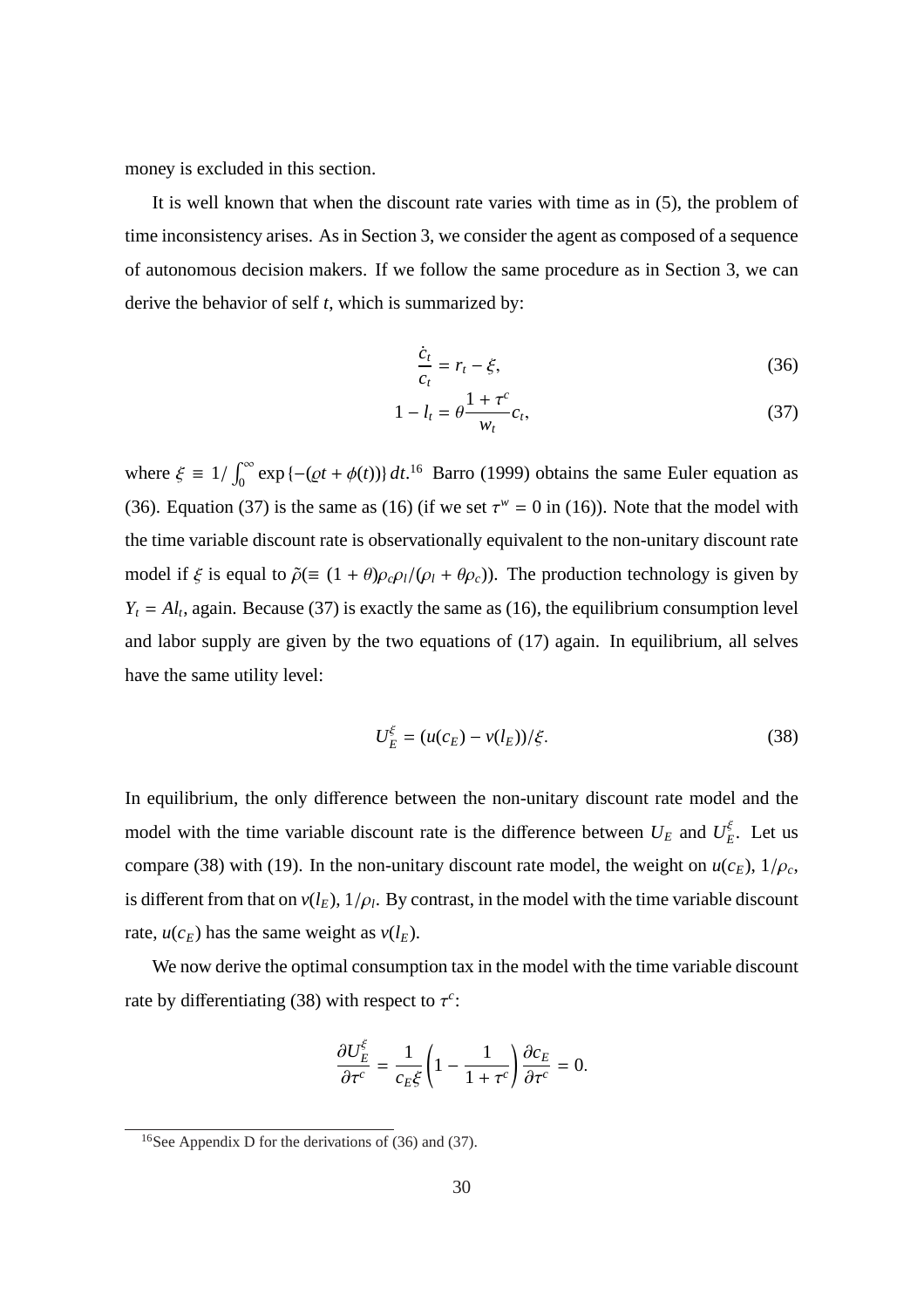money is excluded in this section.

It is well known that when the discount rate varies with time as in (5), the problem of time inconsistency arises. As in Section 3, we consider the agent as composed of a sequence of autonomous decision makers. If we follow the same procedure as in Section 3, we can derive the behavior of self *t*, which is summarized by:

$$
\frac{\dot{c}_t}{c_t} = r_t - \xi,\tag{36}
$$

$$
1 - l_t = \theta \frac{1 + \tau^c}{w_t} c_t,
$$
\n
$$
(37)
$$

where  $\xi \equiv 1/2$  $\int_0^\infty$  $\int_0^\infty \exp\left\{-\left(\varrho t + \phi(t)\right)\right\} dt$ <sup>16</sup> Barro (1999) obtains the same Euler equation as (36). Equation (37) is the same as (16) (if we set  $\tau^w = 0$  in (16)). Note that the model with the time variable discount rate is observationally equivalent to the non-unitary discount rate model if  $\xi$  is equal to  $\tilde{\rho}(\equiv (1 + \theta)\rho_c\rho_l/(\rho_l + \theta\rho_c))$ . The production technology is given by  $Y_t = A_l$ , again. Because (37) is exactly the same as (16), the equilibrium consumption level and labor supply are given by the two equations of (17) again. In equilibrium, all selves have the same utility level:

$$
U_E^{\xi} = (u(c_E) - v(l_E)) / \xi.
$$
 (38)

In equilibrium, the only difference between the non-unitary discount rate model and the model with the time variable discount rate is the difference between  $U_E$  and  $U_F^{\xi}$  $E<sup>5</sup>$ . Let us compare (38) with (19). In the non-unitary discount rate model, the weight on  $u(c_E)$ ,  $1/\rho_c$ , is different from that on  $v(l_E)$ ,  $1/\rho_l$ . By contrast, in the model with the time variable discount rate,  $u(c_E)$  has the same weight as  $v(l_E)$ .

We now derive the optimal consumption tax in the model with the time variable discount rate by differentiating (38) with respect to  $\tau^c$ :

$$
\frac{\partial U_E^{\xi}}{\partial \tau^c} = \frac{1}{c_E \xi} \left( 1 - \frac{1}{1 + \tau^c} \right) \frac{\partial c_E}{\partial \tau^c} = 0.
$$

<sup>&</sup>lt;sup>16</sup>See Appendix D for the derivations of (36) and (37).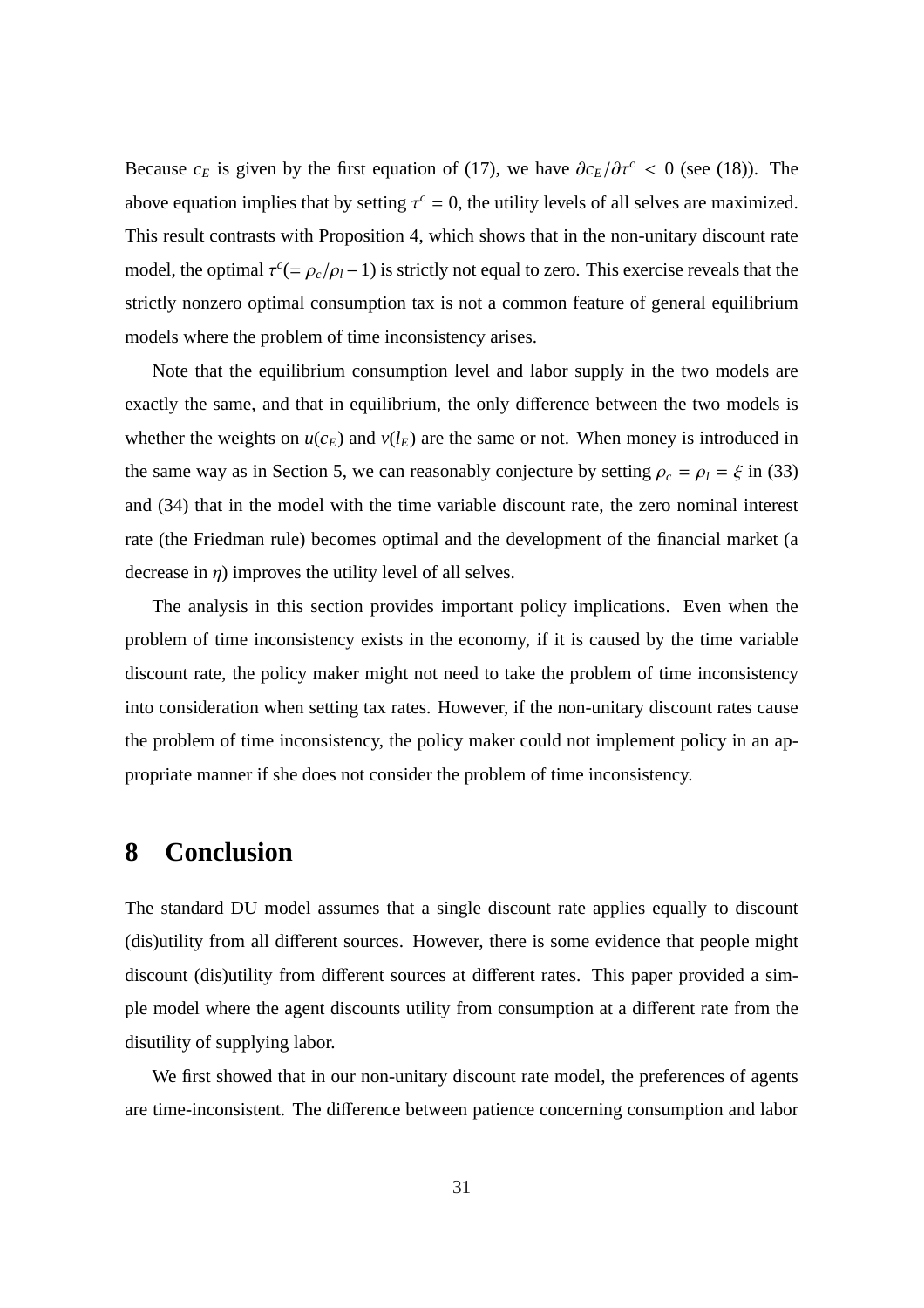Because  $c_E$  is given by the first equation of (17), we have  $\partial c_E/\partial \tau^c < 0$  (see (18)). The above equation implies that by setting  $\tau^c = 0$ , the utility levels of all selves are maximized. This result contrasts with Proposition 4, which shows that in the non-unitary discount rate model, the optimal  $\tau^c = \rho_c/\rho_l - 1$ ) is strictly not equal to zero. This exercise reveals that the strictly nonzero optimal consumption tax is not a common feature of general equilibrium models where the problem of time inconsistency arises.

Note that the equilibrium consumption level and labor supply in the two models are exactly the same, and that in equilibrium, the only difference between the two models is whether the weights on  $u(c_E)$  and  $v(l_E)$  are the same or not. When money is introduced in the same way as in Section 5, we can reasonably conjecture by setting  $\rho_c = \rho_l = \xi$  in (33) and (34) that in the model with the time variable discount rate, the zero nominal interest rate (the Friedman rule) becomes optimal and the development of the financial market (a decrease in  $\eta$ ) improves the utility level of all selves.

The analysis in this section provides important policy implications. Even when the problem of time inconsistency exists in the economy, if it is caused by the time variable discount rate, the policy maker might not need to take the problem of time inconsistency into consideration when setting tax rates. However, if the non-unitary discount rates cause the problem of time inconsistency, the policy maker could not implement policy in an appropriate manner if she does not consider the problem of time inconsistency.

# **8 Conclusion**

The standard DU model assumes that a single discount rate applies equally to discount (dis)utility from all different sources. However, there is some evidence that people might discount (dis)utility from different sources at different rates. This paper provided a simple model where the agent discounts utility from consumption at a different rate from the disutility of supplying labor.

We first showed that in our non-unitary discount rate model, the preferences of agents are time-inconsistent. The difference between patience concerning consumption and labor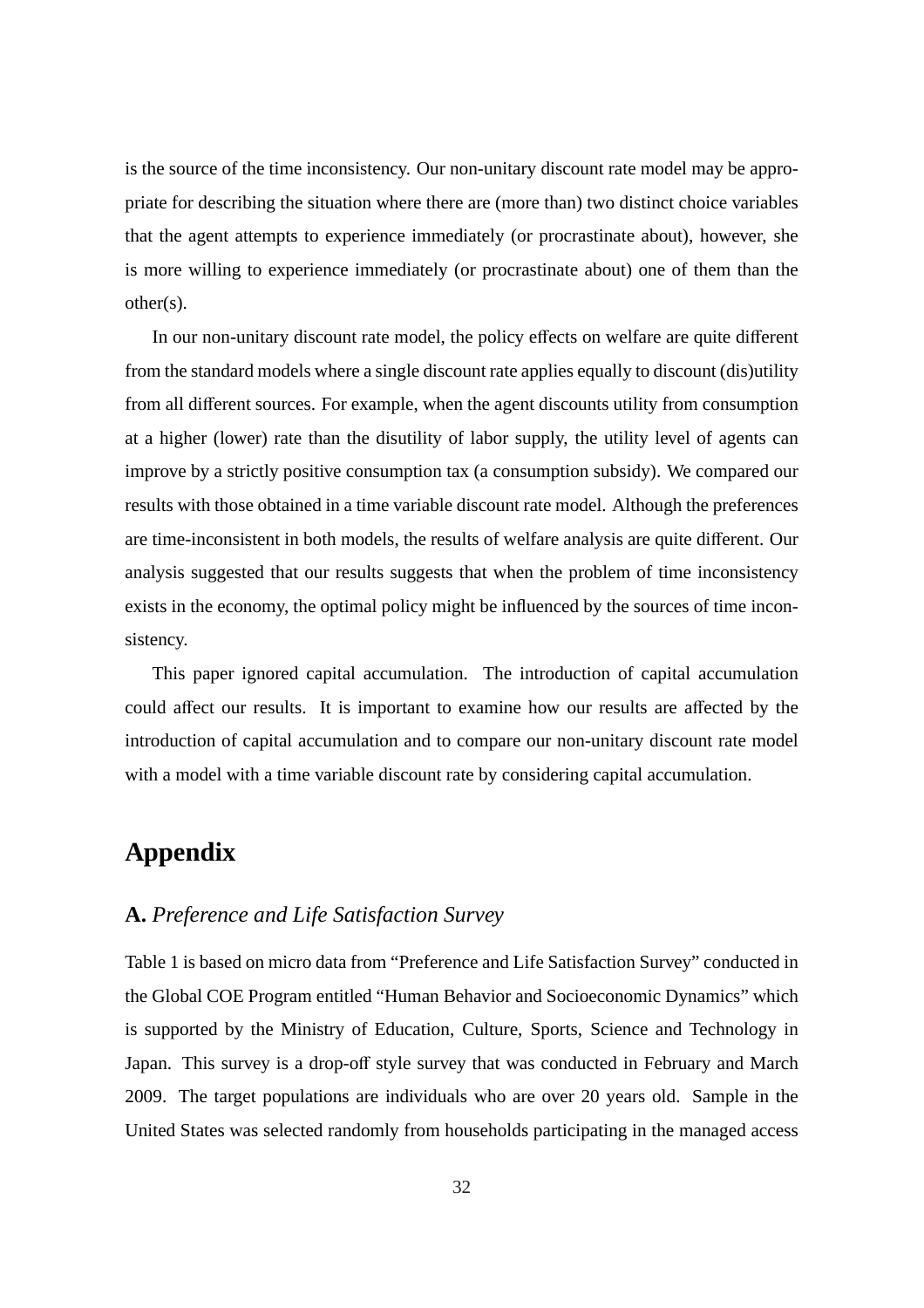is the source of the time inconsistency. Our non-unitary discount rate model may be appropriate for describing the situation where there are (more than) two distinct choice variables that the agent attempts to experience immediately (or procrastinate about), however, she is more willing to experience immediately (or procrastinate about) one of them than the other(s).

In our non-unitary discount rate model, the policy effects on welfare are quite different from the standard models where a single discount rate applies equally to discount (dis)utility from all different sources. For example, when the agent discounts utility from consumption at a higher (lower) rate than the disutility of labor supply, the utility level of agents can improve by a strictly positive consumption tax (a consumption subsidy). We compared our results with those obtained in a time variable discount rate model. Although the preferences are time-inconsistent in both models, the results of welfare analysis are quite different. Our analysis suggested that our results suggests that when the problem of time inconsistency exists in the economy, the optimal policy might be influenced by the sources of time inconsistency.

This paper ignored capital accumulation. The introduction of capital accumulation could affect our results. It is important to examine how our results are affected by the introduction of capital accumulation and to compare our non-unitary discount rate model with a model with a time variable discount rate by considering capital accumulation.

# **Appendix**

### **A.** *Preference and Life Satisfaction Survey*

Table 1 is based on micro data from "Preference and Life Satisfaction Survey" conducted in the Global COE Program entitled "Human Behavior and Socioeconomic Dynamics" which is supported by the Ministry of Education, Culture, Sports, Science and Technology in Japan. This survey is a drop-off style survey that was conducted in February and March 2009. The target populations are individuals who are over 20 years old. Sample in the United States was selected randomly from households participating in the managed access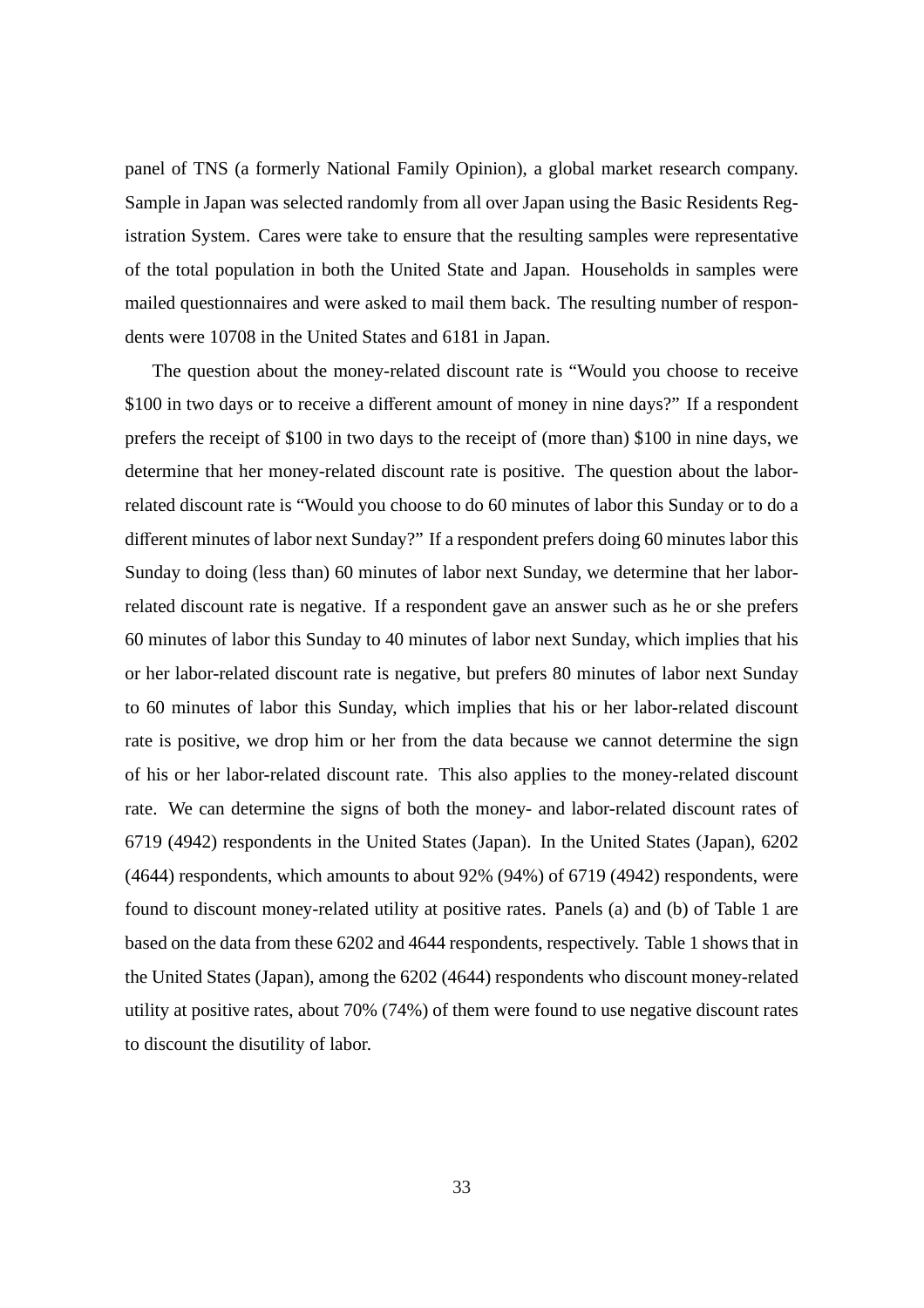panel of TNS (a formerly National Family Opinion), a global market research company. Sample in Japan was selected randomly from all over Japan using the Basic Residents Registration System. Cares were take to ensure that the resulting samples were representative of the total population in both the United State and Japan. Households in samples were mailed questionnaires and were asked to mail them back. The resulting number of respondents were 10708 in the United States and 6181 in Japan.

The question about the money-related discount rate is "Would you choose to receive \$100 in two days or to receive a different amount of money in nine days?" If a respondent prefers the receipt of \$100 in two days to the receipt of (more than) \$100 in nine days, we determine that her money-related discount rate is positive. The question about the laborrelated discount rate is "Would you choose to do 60 minutes of labor this Sunday or to do a different minutes of labor next Sunday?" If a respondent prefers doing 60 minutes labor this Sunday to doing (less than) 60 minutes of labor next Sunday, we determine that her laborrelated discount rate is negative. If a respondent gave an answer such as he or she prefers 60 minutes of labor this Sunday to 40 minutes of labor next Sunday, which implies that his or her labor-related discount rate is negative, but prefers 80 minutes of labor next Sunday to 60 minutes of labor this Sunday, which implies that his or her labor-related discount rate is positive, we drop him or her from the data because we cannot determine the sign of his or her labor-related discount rate. This also applies to the money-related discount rate. We can determine the signs of both the money- and labor-related discount rates of 6719 (4942) respondents in the United States (Japan). In the United States (Japan), 6202 (4644) respondents, which amounts to about 92% (94%) of 6719 (4942) respondents, were found to discount money-related utility at positive rates. Panels (a) and (b) of Table 1 are based on the data from these 6202 and 4644 respondents, respectively. Table 1 shows that in the United States (Japan), among the 6202 (4644) respondents who discount money-related utility at positive rates, about 70% (74%) of them were found to use negative discount rates to discount the disutility of labor.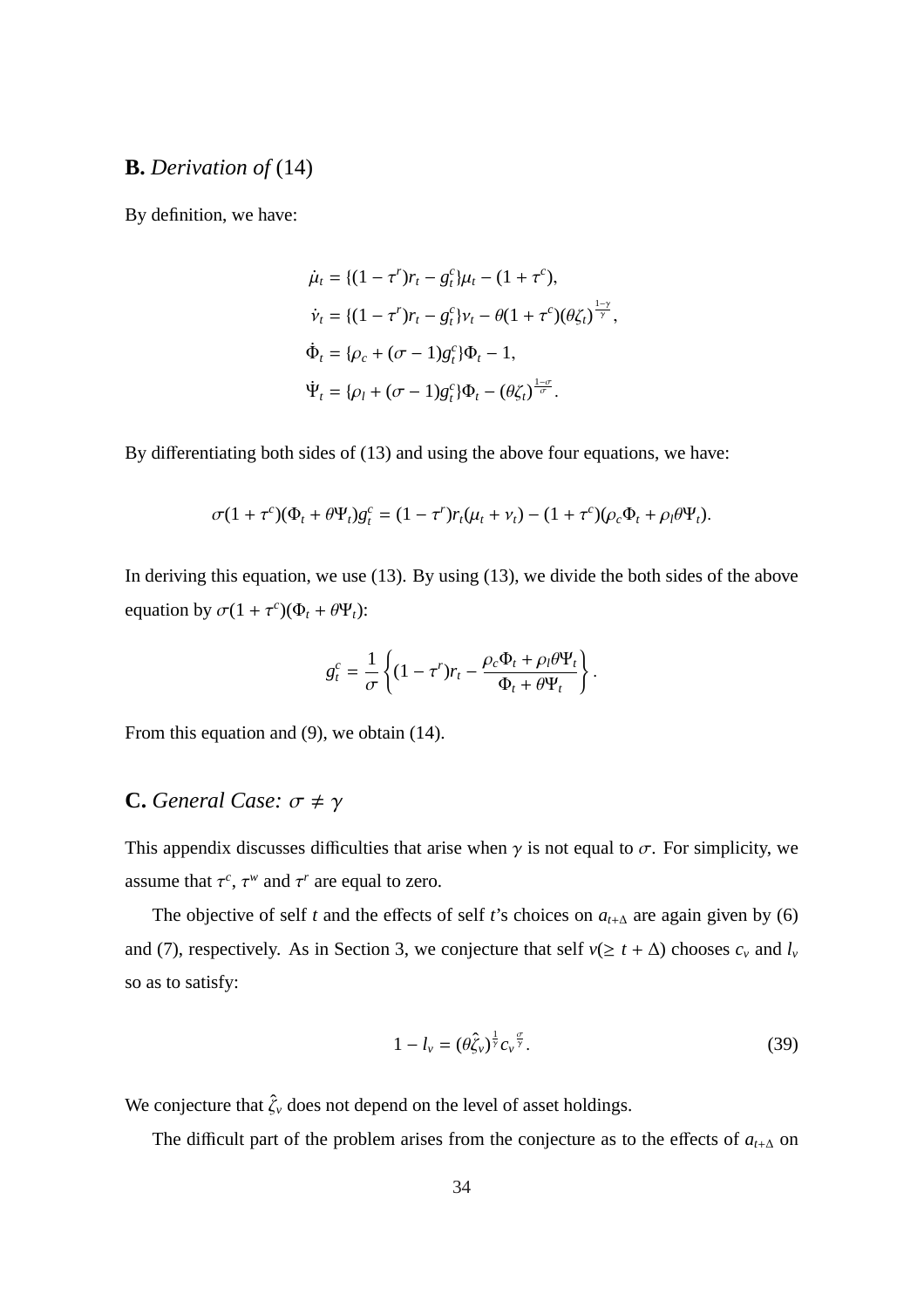### **B.** *Derivation of* (14)

By definition, we have:

$$
\dot{\mu}_t = \{ (1 - \tau^r) r_t - g_t^c \} \mu_t - (1 + \tau^c),
$$
\n
$$
\dot{v}_t = \{ (1 - \tau^r) r_t - g_t^c \} v_t - \theta (1 + \tau^c) (\theta \zeta_t)^{\frac{1 - \gamma}{\gamma}},
$$
\n
$$
\dot{\Phi}_t = \{ \rho_c + (\sigma - 1) g_t^c \} \Phi_t - 1,
$$
\n
$$
\dot{\Psi}_t = \{ \rho_l + (\sigma - 1) g_t^c \} \Phi_t - (\theta \zeta_t)^{\frac{1 - \sigma}{\sigma}}.
$$

By differentiating both sides of (13) and using the above four equations, we have:

$$
\sigma(1+\tau^c)(\Phi_t+\theta\Psi_t)g_t^c=(1-\tau^r)r_t(\mu_t+\nu_t)-(1+\tau^c)(\rho_c\Phi_t+\rho_t\theta\Psi_t).
$$

In deriving this equation, we use (13). By using (13), we divide the both sides of the above equation by  $\sigma(1 + \tau^c)(\Phi_t + \theta \Psi_t)$ :

$$
g_t^c = \frac{1}{\sigma} \left\{ (1 - \tau^r) r_t - \frac{\rho_c \Phi_t + \rho_l \theta \Psi_t}{\Phi_t + \theta \Psi_t} \right\}.
$$

From this equation and (9), we obtain (14).

### **C.** *General Case:*  $\sigma \neq \gamma$

This appendix discusses difficulties that arise when  $\gamma$  is not equal to  $\sigma$ . For simplicity, we assume that  $\tau^c$ ,  $\tau^w$  and  $\tau^r$  are equal to zero.

The objective of self *t* and the effects of self *t*'s choices on  $a_{t+\Delta}$  are again given by (6) and (7), respectively. As in Section 3, we conjecture that self  $v(\geq t + \Delta)$  chooses  $c_v$  and  $l_v$ so as to satisfy:

$$
1 - l_{\nu} = (\theta \hat{\zeta}_{\nu})^{\frac{1}{\gamma}} c_{\nu}^{\ \frac{\sigma}{\gamma}}.
$$

We conjecture that  $\hat{\zeta}_v$  does not depend on the level of asset holdings.

The difficult part of the problem arises from the conjecture as to the effects of  $a_{t+\Delta}$  on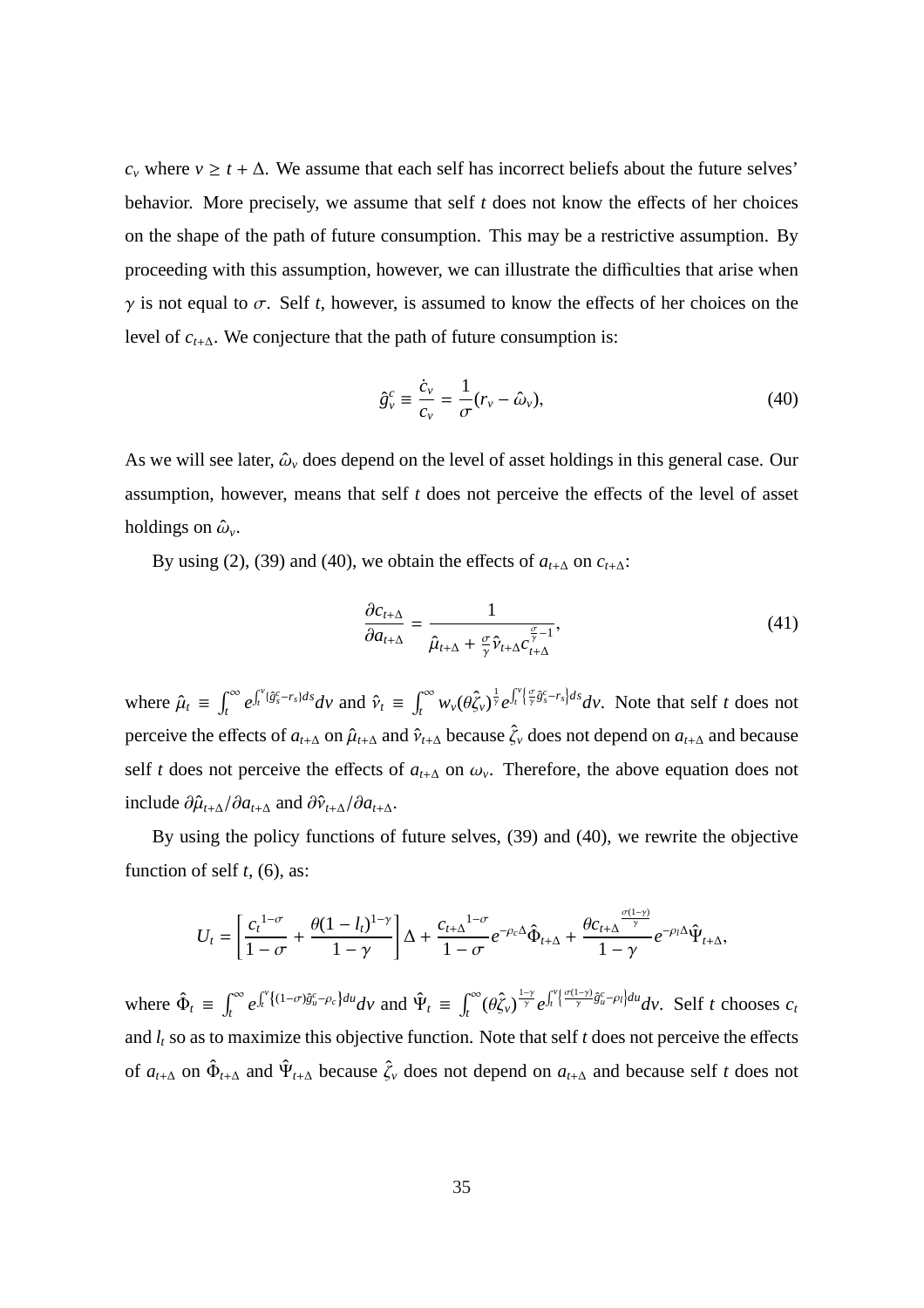$c<sub>v</sub>$  where  $v \ge t + \Delta$ . We assume that each self has incorrect beliefs about the future selves' behavior. More precisely, we assume that self *t* does not know the effects of her choices on the shape of the path of future consumption. This may be a restrictive assumption. By proceeding with this assumption, however, we can illustrate the difficulties that arise when  $\gamma$  is not equal to  $\sigma$ . Self *t*, however, is assumed to know the effects of her choices on the level of *ct*+∆. We conjecture that the path of future consumption is:

$$
\hat{g}_{\nu}^{c} \equiv \frac{\dot{c}_{\nu}}{c_{\nu}} = \frac{1}{\sigma} (r_{\nu} - \hat{\omega}_{\nu}), \tag{40}
$$

As we will see later,  $\hat{\omega}_v$  does depend on the level of asset holdings in this general case. Our assumption, however, means that self *t* does not perceive the effects of the level of asset holdings on  $\hat{\omega}_v$ .

By using (2), (39) and (40), we obtain the effects of  $a_{t+\Delta}$  on  $c_{t+\Delta}$ :

$$
\frac{\partial c_{t+\Delta}}{\partial a_{t+\Delta}} = \frac{1}{\hat{\mu}_{t+\Delta} + \frac{\sigma}{\gamma} \hat{\nu}_{t+\Delta} c_{t+\Delta}^{\frac{\sigma}{\gamma}-1}},\tag{41}
$$

where  $\hat{\mu}_t \equiv$  $\mathcal{C}^{\infty}$ *t e*  $\mathbf{r}^{\nu}$  $\hat{v}_t^{\nu}$ <sup>*(g*°<sub>s</sub>-*r*<sub>*s*</sub>)*dsdv* and  $\hat{v}_t$  ≡</sup>  $\mathcal{C}^{\infty}$  $\int_t^\infty w_\nu(\theta \hat{\zeta}_\nu)^{\frac{1}{\gamma}} e^{-\frac{1}{2}\theta}$  $\mathbf{r}^{\nu}$ *t*  $\left\{\frac{\sigma}{\gamma}\hat{g}_{s}^{c}-r_{s}\right\}ds$  *dv*. Note that self *t* does not perceive the effects of  $a_{t+\Delta}$  on  $\hat{\mu}_{t+\Delta}$  and  $\hat{\nu}_{t+\Delta}$  because  $\hat{\zeta}_v$  does not depend on  $a_{t+\Delta}$  and because self *t* does not perceive the effects of  $a_{t+\Delta}$  on  $\omega_{\nu}$ . Therefore, the above equation does not include  $\partial \hat{\mu}_{t+\Delta}/\partial a_{t+\Delta}$  and  $\partial \hat{v}_{t+\Delta}/\partial a_{t+\Delta}$ .

By using the policy functions of future selves, (39) and (40), we rewrite the objective function of self *t*, (6), as:

$$
U_t = \left[\frac{c_t^{1-\sigma}}{1-\sigma} + \frac{\theta(1-l_t)^{1-\gamma}}{1-\gamma}\right]\Delta + \frac{c_{t+\Delta}^{1-\sigma}}{1-\sigma}e^{-\rho_c\Delta}\hat{\Phi}_{t+\Delta} + \frac{\theta c_{t+\Delta}^{\frac{\sigma(1-\gamma)}{\gamma}}}{1-\gamma}e^{-\rho_l\Delta}\hat{\Psi}_{t+\Delta},
$$

where  $\hat{\Phi}_t \equiv$  $r^{\infty}$ *t e*  $\mathbf{r}^{\nu}$  $\oint_t^v \{(1-\sigma)\hat{g}_u^c - \rho_c\} du \, dv$  and  $\hat{\Psi}_t \equiv$  $\int_0^\infty$ *t*<sup>∞</sup> (θξ<sub>ν</sub>)  $\frac{1-\gamma}{\gamma}e$  $\mathbf{r}^{\nu}$ *t*  $\left\{\frac{\sigma(1-\gamma)}{\gamma}\hat{g}_u^c - \rho_l\right\}du$  *dv.* Self *t* chooses  $c_t$ and  $l_t$  so as to maximize this objective function. Note that self  $t$  does not perceive the effects of  $a_{t+\Delta}$  on  $\hat{\Phi}_{t+\Delta}$  and  $\hat{\Psi}_{t+\Delta}$  because  $\hat{\zeta}_v$  does not depend on  $a_{t+\Delta}$  and because self *t* does not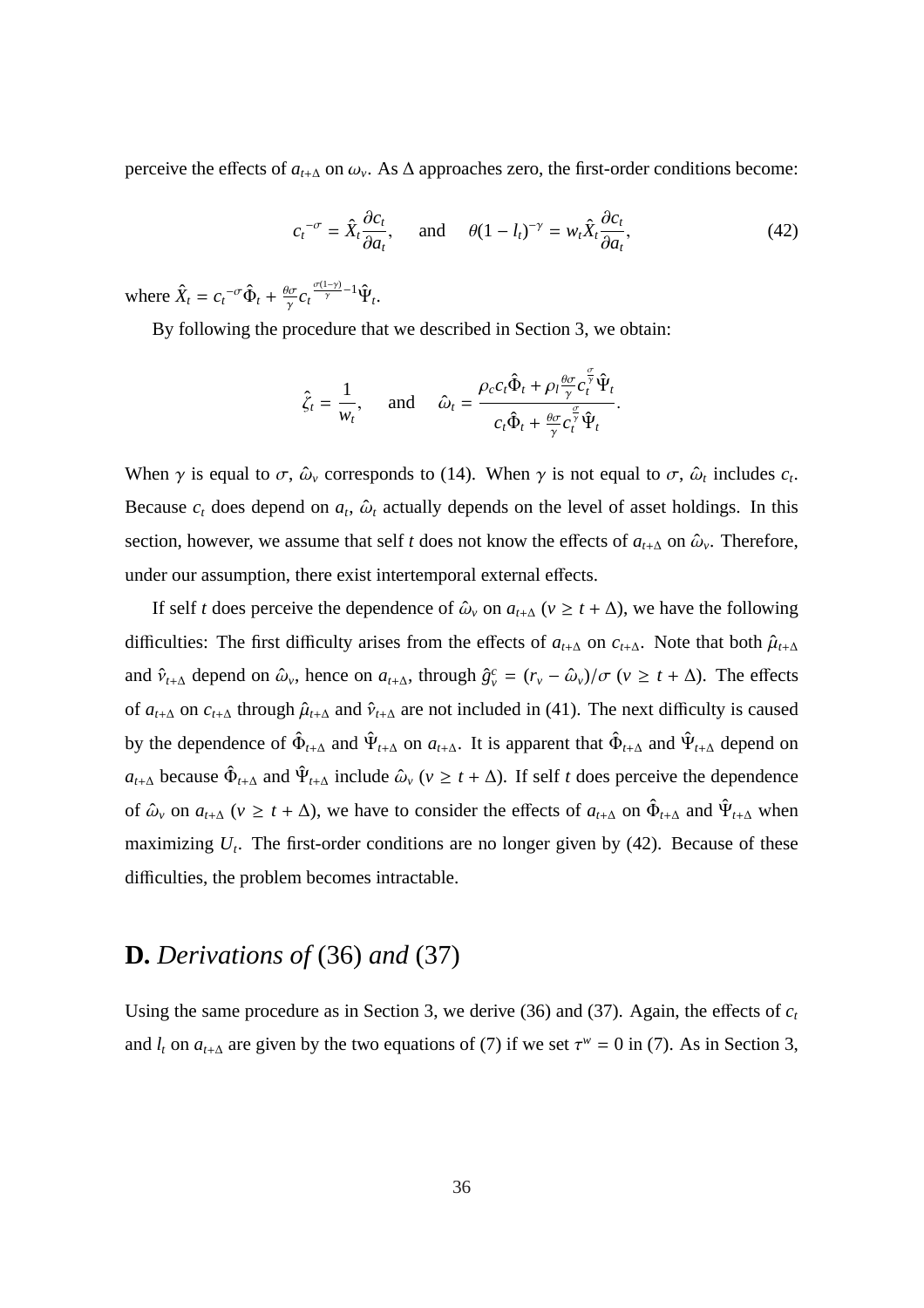perceive the effects of  $a_{t+\Delta}$  on  $\omega_{v}$ . As  $\Delta$  approaches zero, the first-order conditions become:

$$
c_t^{-\sigma} = \hat{X}_t \frac{\partial c_t}{\partial a_t}, \quad \text{and} \quad \theta (1 - l_t)^{-\gamma} = w_t \hat{X}_t \frac{\partial c_t}{\partial a_t}, \tag{42}
$$

where  $\hat{X}_t = c_t^{-\sigma} \hat{\Phi}_t + \frac{\theta \sigma}{\gamma}$  $\frac{\partial \sigma}{\gamma} c_t \frac{\sigma(1-\gamma)}{\gamma} - 1 \hat{\Psi}_t.$ 

By following the procedure that we described in Section 3, we obtain:

$$
\hat{\zeta}_t = \frac{1}{w_t}, \quad \text{and} \quad \hat{\omega}_t = \frac{\rho_c c_t \hat{\Phi}_t + \rho_l \frac{\theta \sigma}{\gamma} c_t^{\frac{\sigma}{\gamma}} \hat{\Psi}_t}{c_t \hat{\Phi}_t + \frac{\theta \sigma}{\gamma} c_t^{\frac{\sigma}{\gamma}} \hat{\Psi}_t}.
$$

When  $\gamma$  is equal to  $\sigma$ ,  $\hat{\omega}_\nu$  corresponds to (14). When  $\gamma$  is not equal to  $\sigma$ ,  $\hat{\omega}_t$  includes  $c_t$ . Because  $c_t$  does depend on  $a_t$ ,  $\hat{\omega}_t$  actually depends on the level of asset holdings. In this section, however, we assume that self *t* does not know the effects of  $a_{t+\Delta}$  on  $\hat{\omega}_v$ . Therefore, under our assumption, there exist intertemporal external effects.

If self *t* does perceive the dependence of  $\hat{\omega}_v$  on  $a_{t+\Delta}$  ( $v \ge t + \Delta$ ), we have the following difficulties: The first difficulty arises from the effects of  $a_{t+\Delta}$  on  $c_{t+\Delta}$ . Note that both  $\hat{\mu}_{t+\Delta}$ and  $\hat{v}_{t+\Delta}$  depend on  $\hat{\omega}_v$ , hence on  $a_{t+\Delta}$ , through  $\hat{g}_v^c = (r_v - \hat{\omega}_v)/\sigma$  ( $v \ge t + \Delta$ ). The effects of  $a_{t+\Delta}$  on  $c_{t+\Delta}$  through  $\hat{\mu}_{t+\Delta}$  and  $\hat{\nu}_{t+\Delta}$  are not included in (41). The next difficulty is caused by the dependence of  $\hat{\Phi}_{t+\Delta}$  and  $\hat{\Psi}_{t+\Delta}$  on  $a_{t+\Delta}$ . It is apparent that  $\hat{\Phi}_{t+\Delta}$  and  $\hat{\Psi}_{t+\Delta}$  depend on  $a_{t+\Delta}$  because  $\hat{\Phi}_{t+\Delta}$  and  $\Psi_{t+\Delta}$  include  $\hat{\omega}_{v}$  ( $v \ge t + \Delta$ ). If self *t* does perceive the dependence of  $\hat{\omega}_v$  on  $a_{t+\Delta}$  ( $v \ge t + \Delta$ ), we have to consider the effects of  $a_{t+\Delta}$  on  $\hat{\Phi}_{t+\Delta}$  and  $\hat{\Psi}_{t+\Delta}$  when maximizing  $U_t$ . The first-order conditions are no longer given by  $(42)$ . Because of these difficulties, the problem becomes intractable.

### **D.** *Derivations of* (36) *and* (37)

Using the same procedure as in Section 3, we derive (36) and (37). Again, the effects of  $c<sub>t</sub>$ and  $l_t$  on  $a_{t+\Delta}$  are given by the two equations of (7) if we set  $\tau^w = 0$  in (7). As in Section 3,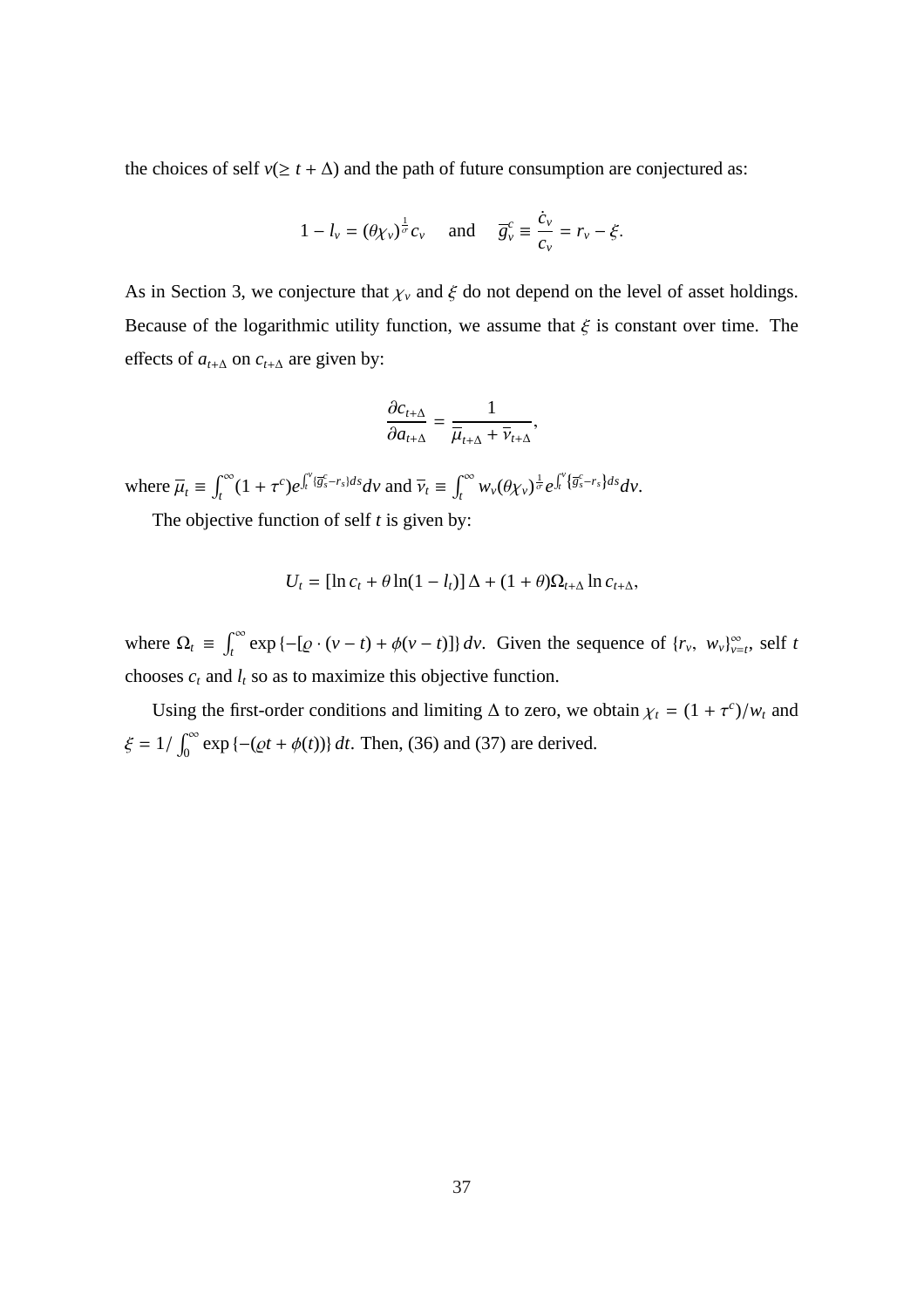the choices of self  $v(\geq t + \Delta)$  and the path of future consumption are conjectured as:

$$
1 - l_v = (\theta \chi_v)^{\frac{1}{\sigma}} c_v
$$
 and  $\overline{g}_v^c \equiv \frac{\dot{c}_v}{c_v} = r_v - \xi$ .

As in Section 3, we conjecture that  $\chi_v$  and  $\xi$  do not depend on the level of asset holdings. Because of the logarithmic utility function, we assume that  $\xi$  is constant over time. The effects of  $a_{t+\Delta}$  on  $c_{t+\Delta}$  are given by:

$$
\frac{\partial c_{t+\Delta}}{\partial a_{t+\Delta}} = \frac{1}{\overline{\mu}_{t+\Delta} + \overline{\nu}_{t+\Delta}},
$$

where  $\overline{\mu}_t \equiv$  $\int_0^\infty$  $\int_t^\infty (1+\tau^c)e^{-\tau^c}$  $\mathbf{r}^{\nu}$  $\int_t^v \{\overline{g}_s^c - r_s\} ds dV$  and  $\overline{\nu}_t \equiv$  $\int_0^\infty$  $\int_t^\infty w_\nu(\theta \chi_\nu)^{\frac{1}{\sigma}} e^{-\frac{1}{2}\chi_\nu^2}$  $\mathbf{r}^{\nu}$ *t* {*g c <sup>s</sup>*−*rs*}*dsdv*.

The objective function of self *t* is given by:

$$
U_t = [\ln c_t + \theta \ln(1 - l_t)] \Delta + (1 + \theta) \Omega_{t+\Delta} \ln c_{t+\Delta},
$$

where  $\Omega_t \equiv$  $\int_0^\infty$  $\int_{t}^{\infty} \exp \{-[\varrho \cdot (\nu - t) + \varphi(\nu - t)]\} d\nu$ . Given the sequence of  $\{r_{\nu}, w_{\nu}\}_{\nu=t}^{\infty}$ , self *t* chooses  $c_t$  and  $l_t$  so as to maximize this objective function.

Using the first-order conditions and limiting  $\Delta$  to zero, we obtain  $\chi_t = (1 + \tau^c)/w_t$  and  $\xi = 1/$  $\tilde{r}^{\infty}$  $\int_{0}^{\infty} \exp \{- (\varrho t + \phi(t)) \} dt$ . Then, (36) and (37) are derived.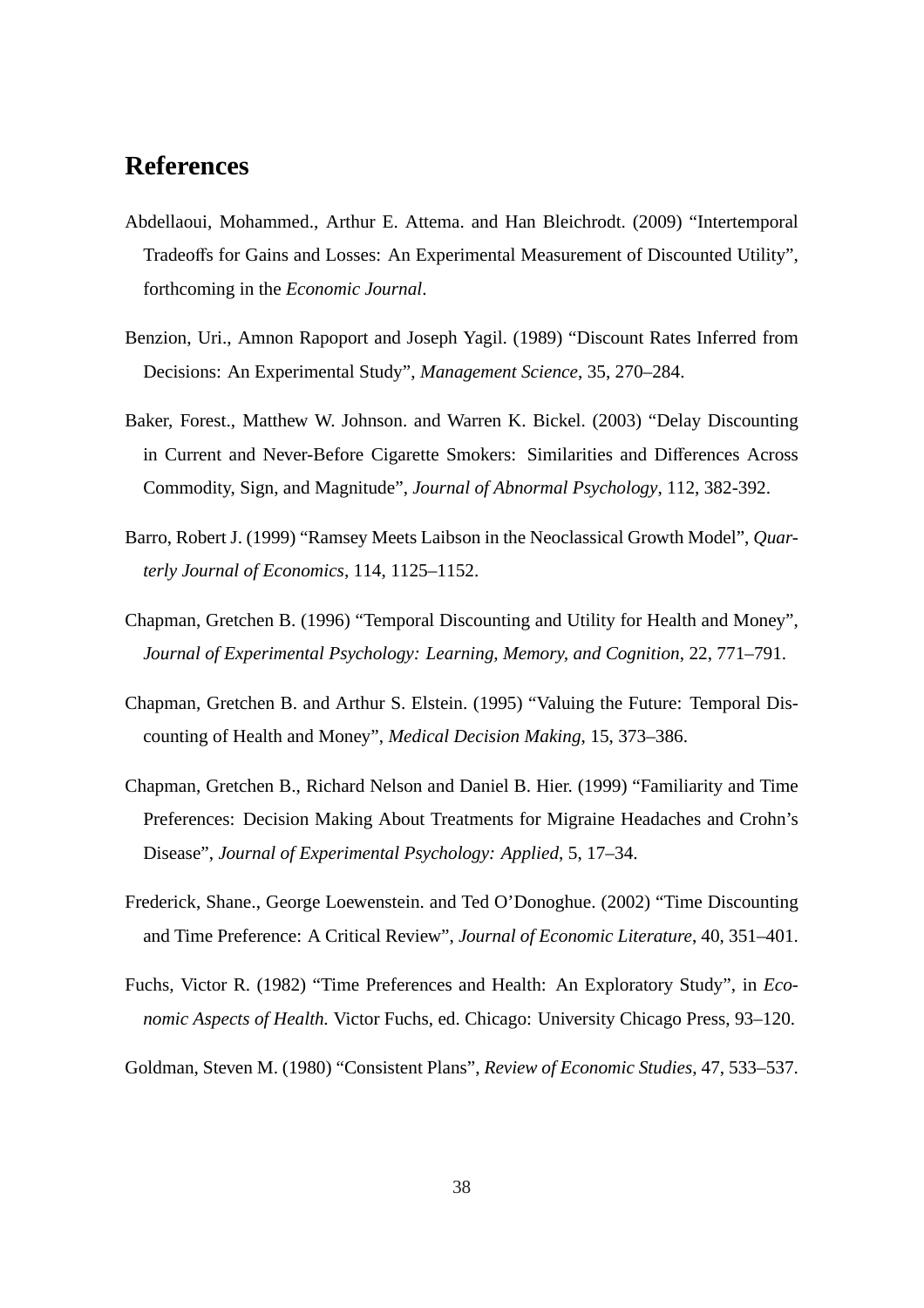# **References**

- Abdellaoui, Mohammed., Arthur E. Attema. and Han Bleichrodt. (2009) "Intertemporal Tradeoffs for Gains and Losses: An Experimental Measurement of Discounted Utility", forthcoming in the *Economic Journal*.
- Benzion, Uri., Amnon Rapoport and Joseph Yagil. (1989) "Discount Rates Inferred from Decisions: An Experimental Study", *Management Science*, 35, 270–284.
- Baker, Forest., Matthew W. Johnson. and Warren K. Bickel. (2003) "Delay Discounting in Current and Never-Before Cigarette Smokers: Similarities and Differences Across Commodity, Sign, and Magnitude", *Journal of Abnormal Psychology*, 112, 382-392.
- Barro, Robert J. (1999) "Ramsey Meets Laibson in the Neoclassical Growth Model", *Quarterly Journal of Economics*, 114, 1125–1152.
- Chapman, Gretchen B. (1996) "Temporal Discounting and Utility for Health and Money", *Journal of Experimental Psychology: Learning, Memory, and Cognition*, 22, 771–791.
- Chapman, Gretchen B. and Arthur S. Elstein. (1995) "Valuing the Future: Temporal Discounting of Health and Money", *Medical Decision Making*, 15, 373–386.
- Chapman, Gretchen B., Richard Nelson and Daniel B. Hier. (1999) "Familiarity and Time Preferences: Decision Making About Treatments for Migraine Headaches and Crohn's Disease", *Journal of Experimental Psychology: Applied*, 5, 17–34.
- Frederick, Shane., George Loewenstein. and Ted O'Donoghue. (2002) "Time Discounting and Time Preference: A Critical Review", *Journal of Economic Literature*, 40, 351–401.
- Fuchs, Victor R. (1982) "Time Preferences and Health: An Exploratory Study", in *Economic Aspects of Health.* Victor Fuchs, ed. Chicago: University Chicago Press, 93–120.
- Goldman, Steven M. (1980) "Consistent Plans", *Review of Economic Studies*, 47, 533–537.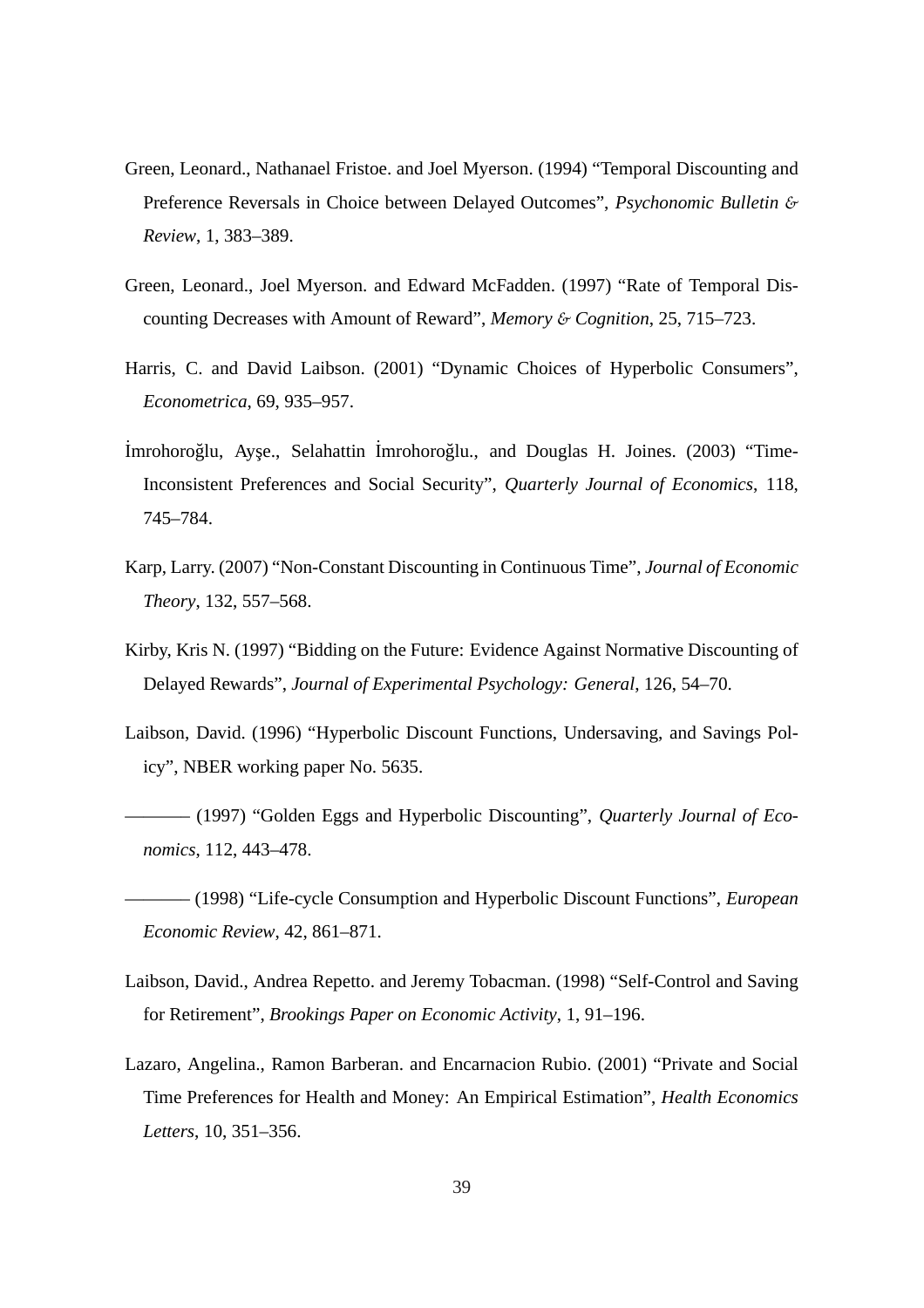- Green, Leonard., Nathanael Fristoe. and Joel Myerson. (1994) "Temporal Discounting and Preference Reversals in Choice between Delayed Outcomes", *Psychonomic Bulletin* & *Review*, 1, 383–389.
- Green, Leonard., Joel Myerson. and Edward McFadden. (1997) "Rate of Temporal Discounting Decreases with Amount of Reward", *Memory* & *Cognition*, 25, 715–723.
- Harris, C. and David Laibson. (2001) "Dynamic Choices of Hyperbolic Consumers", *Econometrica*, 69, 935–957.
- İmrohoroğlu, Ayşe., Selahattin İmrohoroğlu., and Douglas H. Joines. (2003) "Time-Inconsistent Preferences and Social Security", *Quarterly Journal of Economics*, 118, 745–784.
- Karp, Larry. (2007) "Non-Constant Discounting in Continuous Time", *Journal of Economic Theory*, 132, 557–568.
- Kirby, Kris N. (1997) "Bidding on the Future: Evidence Against Normative Discounting of Delayed Rewards", *Journal of Experimental Psychology: General*, 126, 54–70.
- Laibson, David. (1996) "Hyperbolic Discount Functions, Undersaving, and Savings Policy", NBER working paper No. 5635.
- $-$  (1997) "Golden Eggs and Hyperbolic Discounting", *Quarterly Journal of Economics*, 112, 443–478.
- ———– (1998) "Life-cycle Consumption and Hyperbolic Discount Functions", *European Economic Review*, 42, 861–871.
- Laibson, David., Andrea Repetto. and Jeremy Tobacman. (1998) "Self-Control and Saving for Retirement", *Brookings Paper on Economic Activity*, 1, 91–196.
- Lazaro, Angelina., Ramon Barberan. and Encarnacion Rubio. (2001) "Private and Social Time Preferences for Health and Money: An Empirical Estimation", *Health Economics Letters*, 10, 351–356.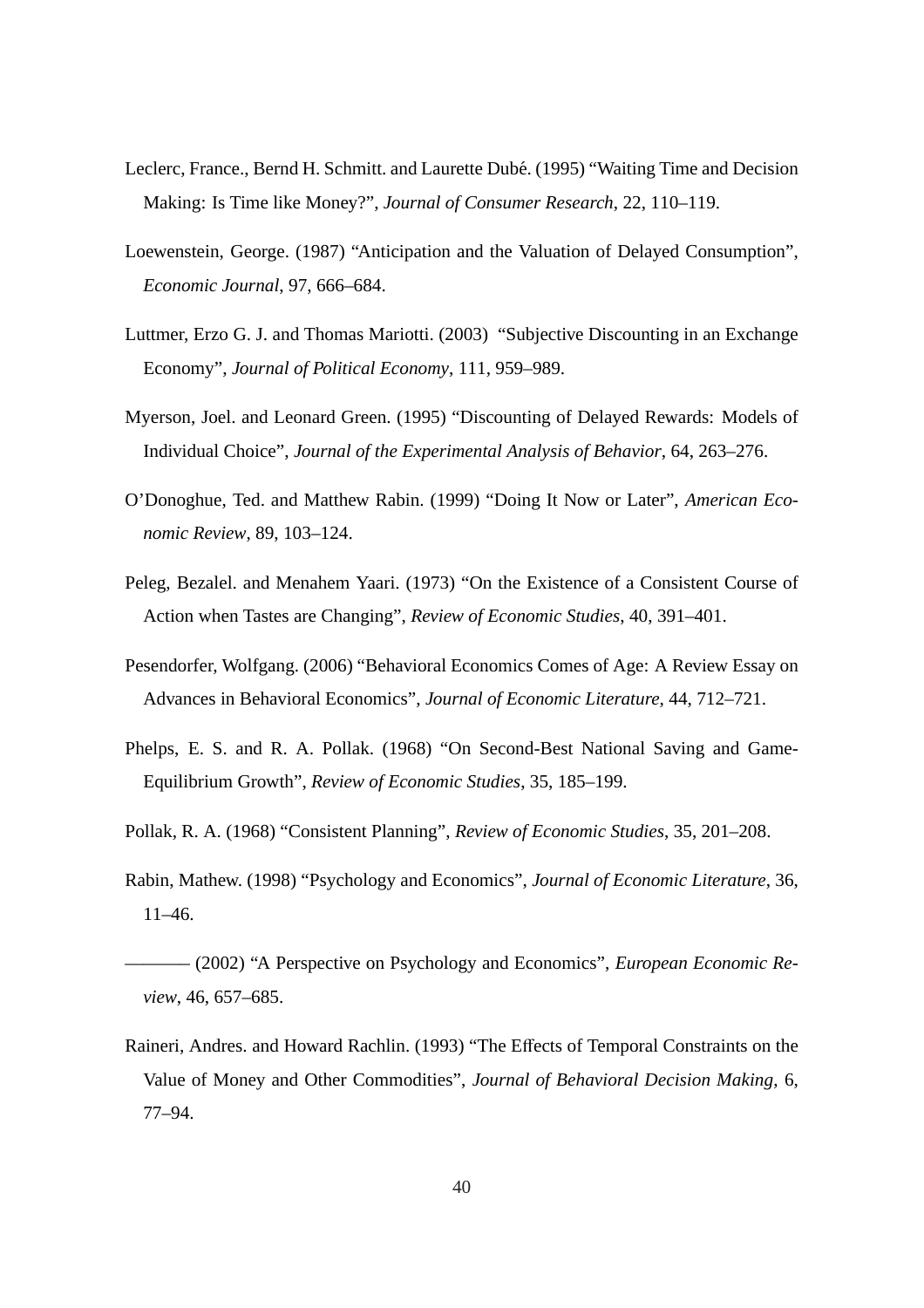- Leclerc, France., Bernd H. Schmitt. and Laurette Dubé. (1995) "Waiting Time and Decision Making: Is Time like Money?", *Journal of Consumer Research*, 22, 110–119.
- Loewenstein, George. (1987) "Anticipation and the Valuation of Delayed Consumption", *Economic Journal*, 97, 666–684.
- Luttmer, Erzo G. J. and Thomas Mariotti. (2003) "Subjective Discounting in an Exchange Economy", *Journal of Political Economy*, 111, 959–989.
- Myerson, Joel. and Leonard Green. (1995) "Discounting of Delayed Rewards: Models of Individual Choice", *Journal of the Experimental Analysis of Behavior*, 64, 263–276.
- O'Donoghue, Ted. and Matthew Rabin. (1999) "Doing It Now or Later", *American Economic Review*, 89, 103–124.
- Peleg, Bezalel. and Menahem Yaari. (1973) "On the Existence of a Consistent Course of Action when Tastes are Changing", *Review of Economic Studies*, 40, 391–401.
- Pesendorfer, Wolfgang. (2006) "Behavioral Economics Comes of Age: A Review Essay on Advances in Behavioral Economics", *Journal of Economic Literature*, 44, 712–721.
- Phelps, E. S. and R. A. Pollak. (1968) "On Second-Best National Saving and Game-Equilibrium Growth", *Review of Economic Studies*, 35, 185–199.
- Pollak, R. A. (1968) "Consistent Planning", *Review of Economic Studies*, 35, 201–208.
- Rabin, Mathew. (1998) "Psychology and Economics", *Journal of Economic Literature*, 36, 11–46.
- ———– (2002) "A Perspective on Psychology and Economics", *European Economic Review*, 46, 657–685.
- Raineri, Andres. and Howard Rachlin. (1993) "The Effects of Temporal Constraints on the Value of Money and Other Commodities", *Journal of Behavioral Decision Making*, 6, 77–94.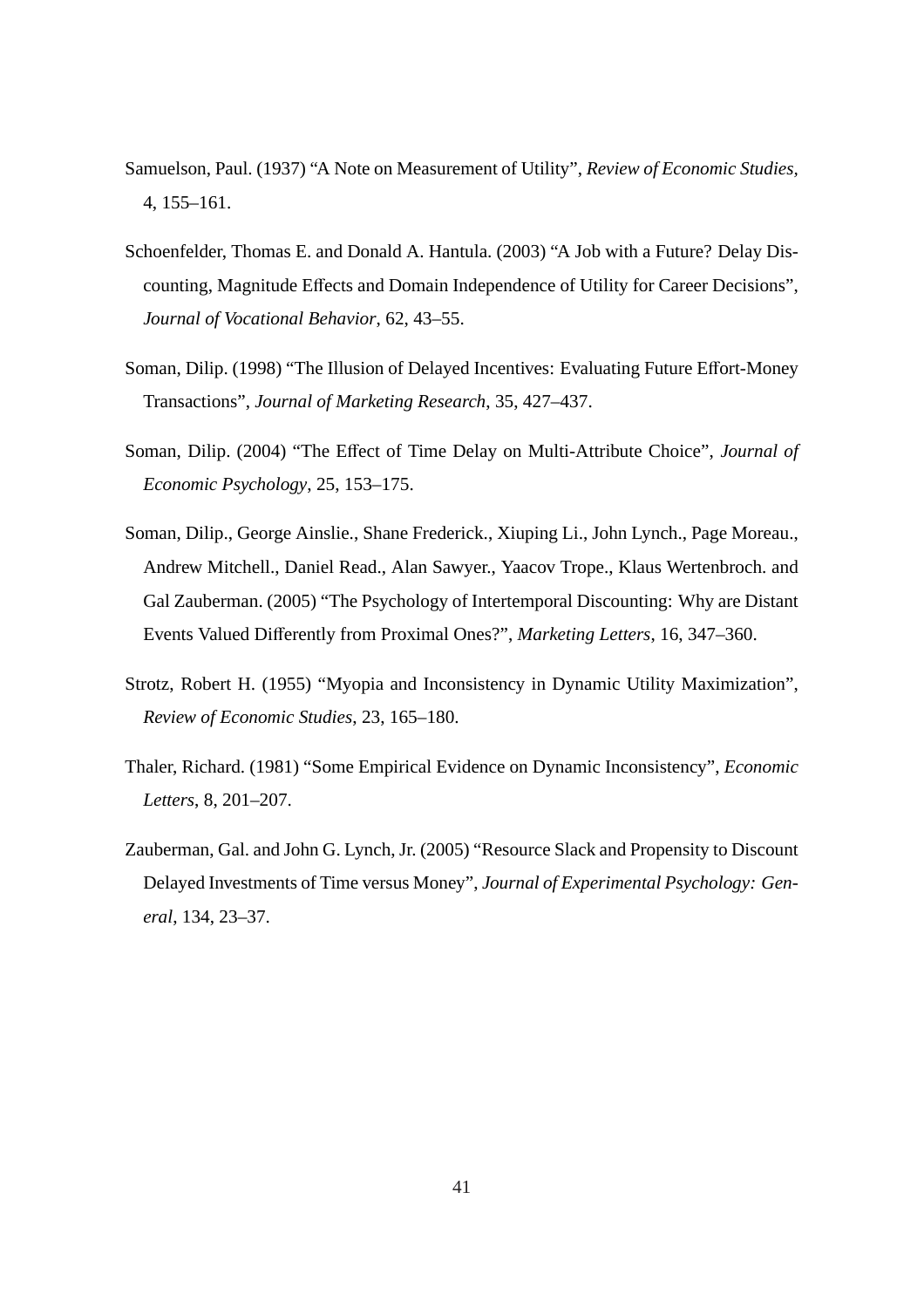- Samuelson, Paul. (1937) "A Note on Measurement of Utility", *Review of Economic Studies,* 4, 155–161.
- Schoenfelder, Thomas E. and Donald A. Hantula. (2003) "A Job with a Future? Delay Discounting, Magnitude Effects and Domain Independence of Utility for Career Decisions", *Journal of Vocational Behavior*, 62, 43–55.
- Soman, Dilip. (1998) "The Illusion of Delayed Incentives: Evaluating Future Effort-Money Transactions", *Journal of Marketing Research*, 35, 427–437.
- Soman, Dilip. (2004) "The Effect of Time Delay on Multi-Attribute Choice", *Journal of Economic Psychology*, 25, 153–175.
- Soman, Dilip., George Ainslie., Shane Frederick., Xiuping Li., John Lynch., Page Moreau., Andrew Mitchell., Daniel Read., Alan Sawyer., Yaacov Trope., Klaus Wertenbroch. and Gal Zauberman. (2005) "The Psychology of Intertemporal Discounting: Why are Distant Events Valued Differently from Proximal Ones?", *Marketing Letters*, 16, 347–360.
- Strotz, Robert H. (1955) "Myopia and Inconsistency in Dynamic Utility Maximization", *Review of Economic Studies*, 23, 165–180.
- Thaler, Richard. (1981) "Some Empirical Evidence on Dynamic Inconsistency", *Economic Letters*, 8, 201–207.
- Zauberman, Gal. and John G. Lynch, Jr. (2005) "Resource Slack and Propensity to Discount Delayed Investments of Time versus Money", *Journal of Experimental Psychology: General*, 134, 23–37.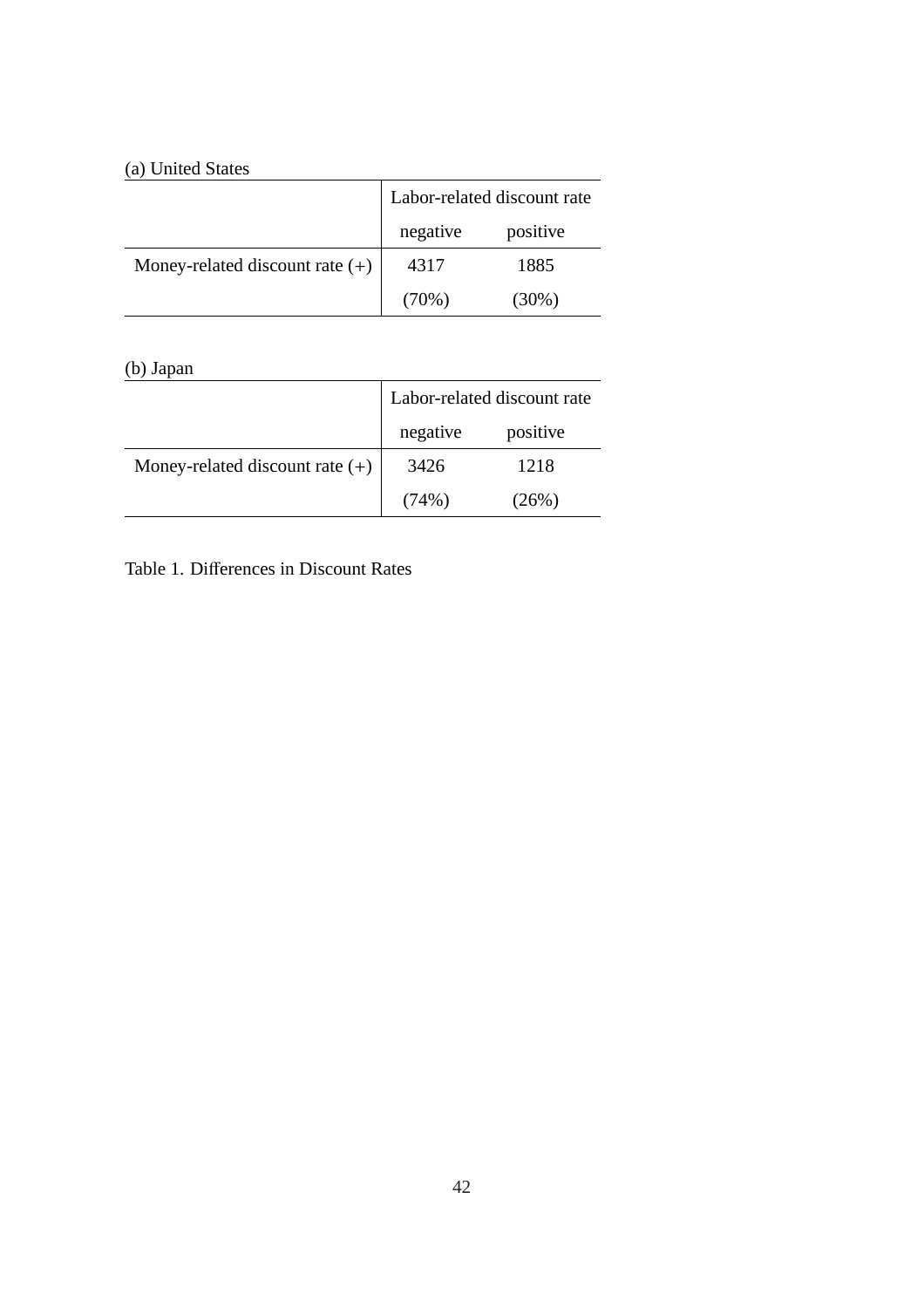### (a) United States

| (a) United States                 |                             |          |  |
|-----------------------------------|-----------------------------|----------|--|
|                                   | Labor-related discount rate |          |  |
|                                   | negative                    | positive |  |
| Money-related discount rate $(+)$ | 4317                        | 1885     |  |
|                                   | (70%)                       | $(30\%)$ |  |

### (b) Japan

|                                   | Labor-related discount rate |          |
|-----------------------------------|-----------------------------|----------|
|                                   | negative                    | positive |
| Money-related discount rate $(+)$ | 3426                        | 1218     |
|                                   | (74%)                       | $(26\%)$ |

<u> 1989 - Johann Barn, mars ann an t-Amhain Aonaich an t-Aonaich an t-Aonaich ann an t-Aonaich ann an t-Aonaich</u>

Table 1. Differences in Discount Rates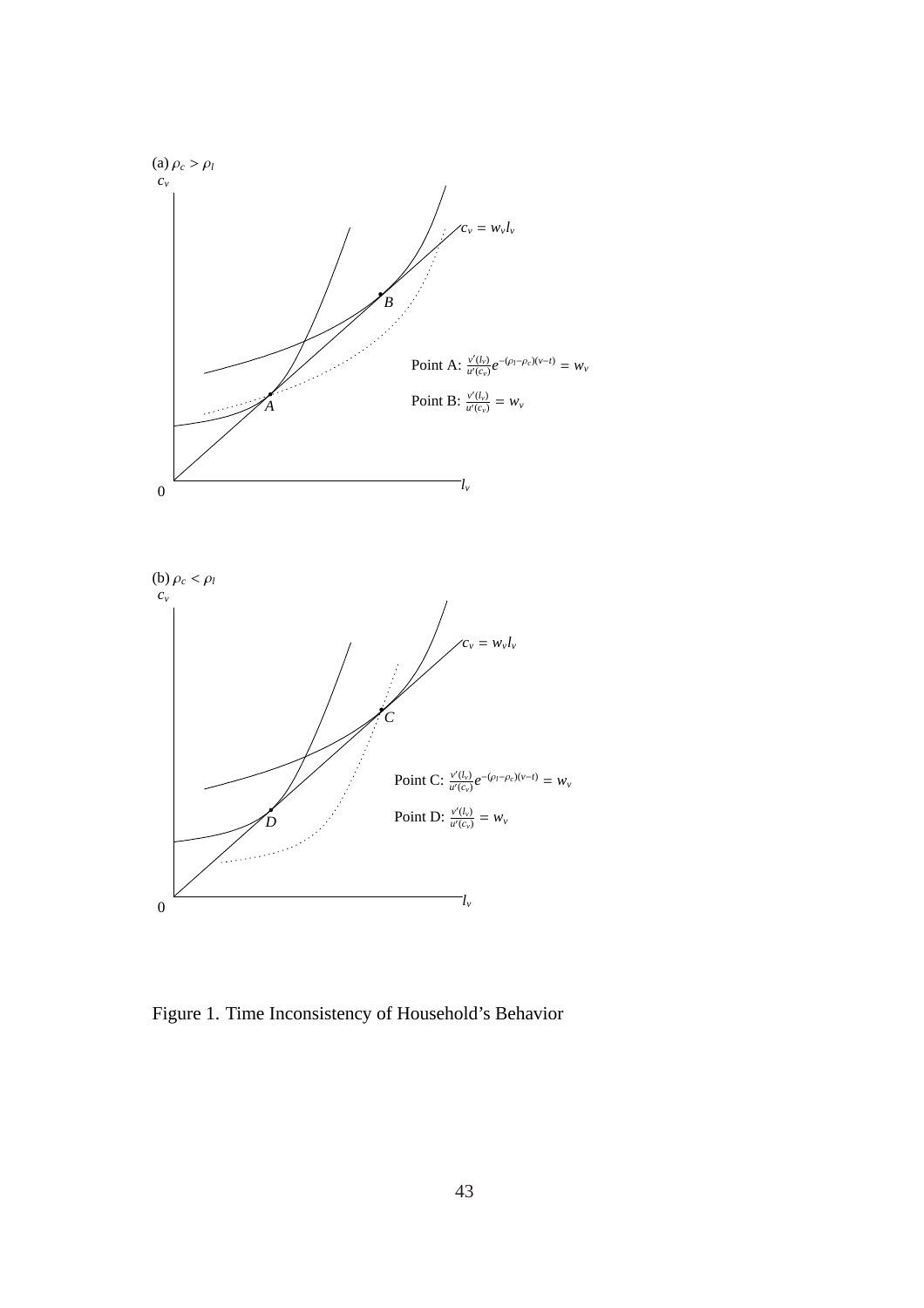

Figure 1. Time Inconsistency of Household's Behavior